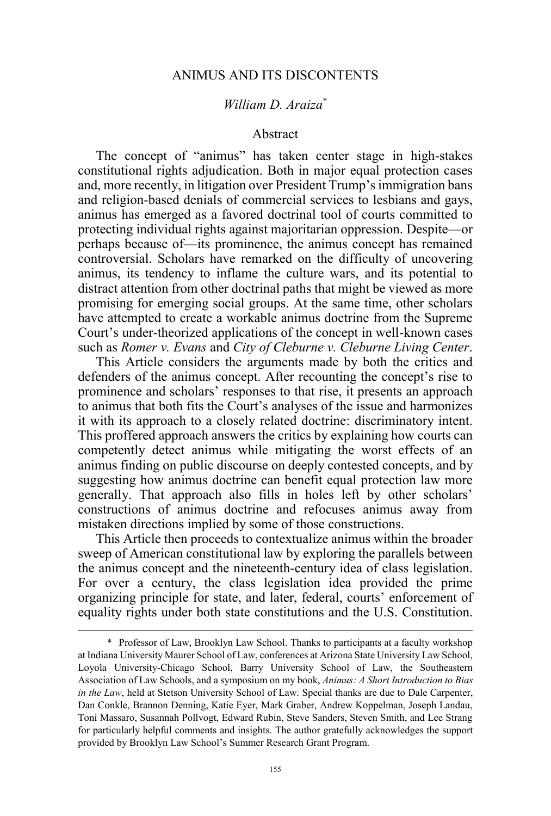## ANIMUS AND ITS DISCONTENTS

## *William D. Araiza*\*

#### Abstract

The concept of "animus" has taken center stage in high-stakes constitutional rights adjudication. Both in major equal protection cases and, more recently, in litigation over President Trump's immigration bans and religion-based denials of commercial services to lesbians and gays, animus has emerged as a favored doctrinal tool of courts committed to protecting individual rights against majoritarian oppression. Despite—or perhaps because of—its prominence, the animus concept has remained controversial. Scholars have remarked on the difficulty of uncovering animus, its tendency to inflame the culture wars, and its potential to distract attention from other doctrinal paths that might be viewed as more promising for emerging social groups. At the same time, other scholars have attempted to create a workable animus doctrine from the Supreme Court's under-theorized applications of the concept in well-known cases such as *Romer v. Evans* and *City of Cleburne v. Cleburne Living Center*.

This Article considers the arguments made by both the critics and defenders of the animus concept. After recounting the concept's rise to prominence and scholars' responses to that rise, it presents an approach to animus that both fits the Court's analyses of the issue and harmonizes it with its approach to a closely related doctrine: discriminatory intent. This proffered approach answers the critics by explaining how courts can competently detect animus while mitigating the worst effects of an animus finding on public discourse on deeply contested concepts, and by suggesting how animus doctrine can benefit equal protection law more generally. That approach also fills in holes left by other scholars' constructions of animus doctrine and refocuses animus away from mistaken directions implied by some of those constructions.

This Article then proceeds to contextualize animus within the broader sweep of American constitutional law by exploring the parallels between the animus concept and the nineteenth-century idea of class legislation. For over a century, the class legislation idea provided the prime organizing principle for state, and later, federal, courts' enforcement of equality rights under both state constitutions and the U.S. Constitution.

 <sup>\*</sup> Professor of Law, Brooklyn Law School. Thanks to participants at a faculty workshop at Indiana University Maurer School of Law, conferences at Arizona State University Law School, Loyola University-Chicago School, Barry University School of Law, the Southeastern Association of Law Schools, and a symposium on my book, *Animus: A Short Introduction to Bias in the Law*, held at Stetson University School of Law. Special thanks are due to Dale Carpenter, Dan Conkle, Brannon Denning, Katie Eyer, Mark Graber, Andrew Koppelman, Joseph Landau, Toni Massaro, Susannah Pollvogt, Edward Rubin, Steve Sanders, Steven Smith, and Lee Strang for particularly helpful comments and insights. The author gratefully acknowledges the support provided by Brooklyn Law School's Summer Research Grant Program.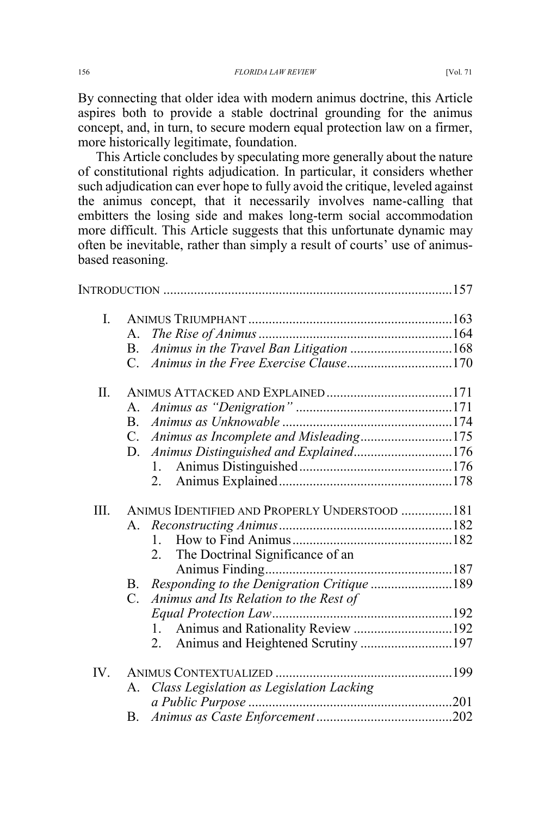By connecting that older idea with modern animus doctrine, this Article aspires both to provide a stable doctrinal grounding for the animus concept, and, in turn, to secure modern equal protection law on a firmer, more historically legitimate, foundation.

This Article concludes by speculating more generally about the nature of constitutional rights adjudication. In particular, it considers whether such adjudication can ever hope to fully avoid the critique, leveled against the animus concept, that it necessarily involves name-calling that embitters the losing side and makes long-term social accommodation more difficult. This Article suggests that this unfortunate dynamic may often be inevitable, rather than simply a result of courts' use of animusbased reasoning.

| $\mathbf{I}$ . |                                                         |  |
|----------------|---------------------------------------------------------|--|
|                | $A_{-}$                                                 |  |
|                | Animus in the Travel Ban Litigation 168<br>B.           |  |
|                |                                                         |  |
| Π.             |                                                         |  |
|                | $A_{-}$                                                 |  |
|                | B.                                                      |  |
|                | Animus as Incomplete and Misleading175<br>$C_{\cdot}$   |  |
|                | Animus Distinguished and Explained176<br>D.             |  |
|                | 1.                                                      |  |
|                | 2.                                                      |  |
| III.           | ANIMUS IDENTIFIED AND PROPERLY UNDERSTOOD  181          |  |
|                | $A_{-}$                                                 |  |
|                |                                                         |  |
|                | 2. The Doctrinal Significance of an                     |  |
|                |                                                         |  |
|                | Responding to the Denigration Critique 189<br><b>B.</b> |  |
|                | Animus and Its Relation to the Rest of<br>C.            |  |
|                |                                                         |  |
|                | 1. Animus and Rationality Review 192                    |  |
|                | Animus and Heightened Scrutiny 197<br>2                 |  |
| IV.            |                                                         |  |
|                | Class Legislation as Legislation Lacking<br>А.          |  |
|                |                                                         |  |
|                | В.                                                      |  |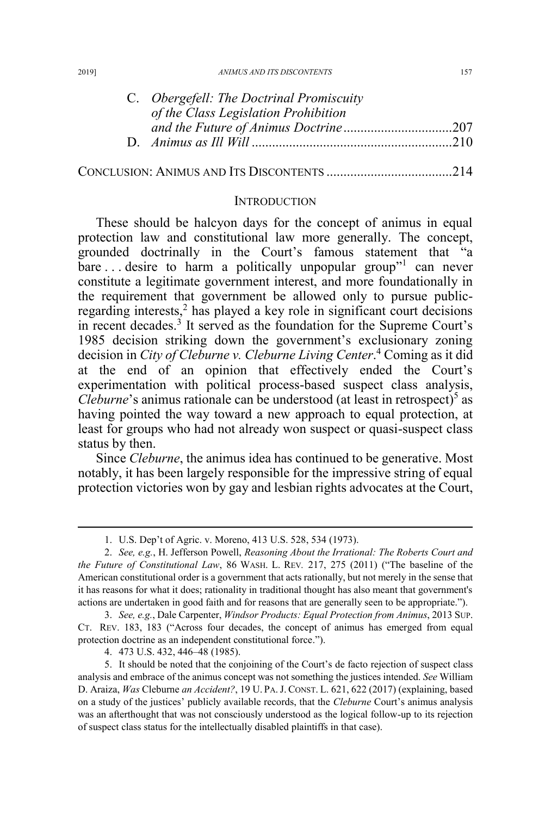| C. Obergefell: The Doctrinal Promiscuity |  |
|------------------------------------------|--|
| of the Class Legislation Prohibition     |  |
|                                          |  |
|                                          |  |
|                                          |  |

## CONCLUSION: ANIMUS AND ITS DISCONTENTS .....................................214

#### INTRODUCTION

These should be halcyon days for the concept of animus in equal protection law and constitutional law more generally. The concept, grounded doctrinally in the Court's famous statement that "a  $bare...$  desire to harm a politically unpopular group" can never constitute a legitimate government interest, and more foundationally in the requirement that government be allowed only to pursue publicregarding interests,<sup>2</sup> has played a key role in significant court decisions in recent decades.<sup>3</sup> It served as the foundation for the Supreme Court's 1985 decision striking down the government's exclusionary zoning decision in *City of Cleburne v. Cleburne Living Center*. <sup>4</sup> Coming as it did at the end of an opinion that effectively ended the Court's experimentation with political process-based suspect class analysis, *Cleburne*'s animus rationale can be understood (at least in retrospect)<sup>5</sup> as having pointed the way toward a new approach to equal protection, at least for groups who had not already won suspect or quasi-suspect class status by then.

Since *Cleburne*, the animus idea has continued to be generative. Most notably, it has been largely responsible for the impressive string of equal protection victories won by gay and lesbian rights advocates at the Court,

4. 473 U.S. 432, 446–48 (1985).

 <sup>1.</sup> U.S. Dep't of Agric. v. Moreno, 413 U.S. 528, 534 (1973).

<sup>2.</sup> *See, e.g.*, H. Jefferson Powell, *Reasoning About the Irrational: The Roberts Court and the Future of Constitutional Law*, 86 WASH. L. REV*.* 217, 275 (2011) ("The baseline of the American constitutional order is a government that acts rationally, but not merely in the sense that it has reasons for what it does; rationality in traditional thought has also meant that government's actions are undertaken in good faith and for reasons that are generally seen to be appropriate.").

<sup>3.</sup> *See, e.g.*, Dale Carpenter, *Windsor Products: Equal Protection from Animus*, 2013 SUP. CT. REV. 183, 183 ("Across four decades, the concept of animus has emerged from equal protection doctrine as an independent constitutional force.").

<sup>5.</sup> It should be noted that the conjoining of the Court's de facto rejection of suspect class analysis and embrace of the animus concept was not something the justices intended. *See* William D. Araiza, *Was* Cleburne *an Accident?*, 19 U. PA. J. CONST. L. 621, 622 (2017) (explaining, based on a study of the justices' publicly available records, that the *Cleburne* Court's animus analysis was an afterthought that was not consciously understood as the logical follow-up to its rejection of suspect class status for the intellectually disabled plaintiffs in that case).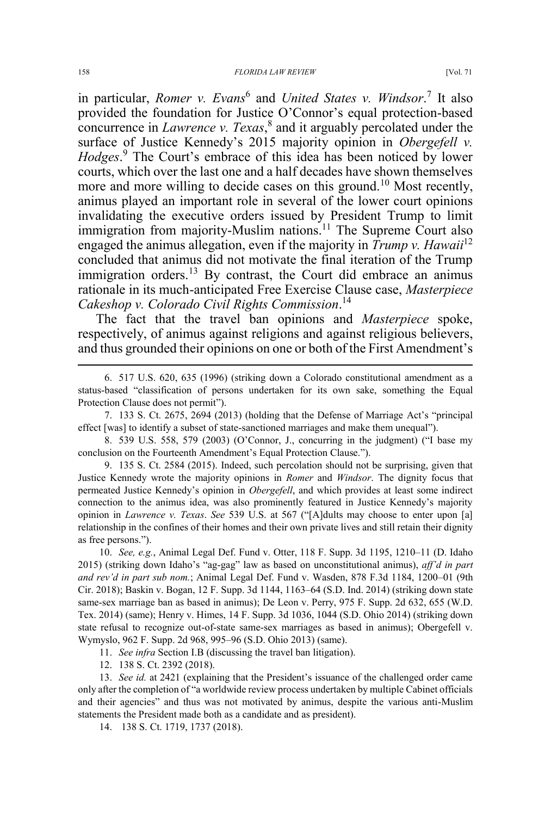in particular, *Romer v. Evans*<sup>6</sup> and *United States v. Windsor*. <sup>7</sup> It also provided the foundation for Justice O'Connor's equal protection-based concurrence in *Lawrence v. Texas*, <sup>8</sup> and it arguably percolated under the surface of Justice Kennedy's 2015 majority opinion in *Obergefell v. Hodges*. <sup>9</sup> The Court's embrace of this idea has been noticed by lower courts, which over the last one and a half decades have shown themselves more and more willing to decide cases on this ground.<sup>10</sup> Most recently, animus played an important role in several of the lower court opinions invalidating the executive orders issued by President Trump to limit immigration from majority-Muslim nations.<sup>11</sup> The Supreme Court also engaged the animus allegation, even if the majority in *Trump v. Hawaii*<sup>12</sup> concluded that animus did not motivate the final iteration of the Trump immigration orders.<sup>13</sup> By contrast, the Court did embrace an animus rationale in its much-anticipated Free Exercise Clause case, *Masterpiece Cakeshop v. Colorado Civil Rights Commission*. 14

The fact that the travel ban opinions and *Masterpiece* spoke, respectively, of animus against religions and against religious believers, and thus grounded their opinions on one or both of the First Amendment's

9. 135 S. Ct. 2584 (2015). Indeed, such percolation should not be surprising, given that Justice Kennedy wrote the majority opinions in *Romer* and *Windsor*. The dignity focus that permeated Justice Kennedy's opinion in *Obergefell*, and which provides at least some indirect connection to the animus idea, was also prominently featured in Justice Kennedy's majority opinion in *Lawrence v. Texas*. *See* 539 U.S. at 567 ("[A]dults may choose to enter upon [a] relationship in the confines of their homes and their own private lives and still retain their dignity as free persons.").

10. *See, e.g.*, Animal Legal Def. Fund v. Otter, 118 F. Supp. 3d 1195, 1210–11 (D. Idaho 2015) (striking down Idaho's "ag-gag" law as based on unconstitutional animus), *aff'd in part and rev'd in part sub nom.*; Animal Legal Def. Fund v. Wasden, 878 F.3d 1184, 1200–01 (9th Cir. 2018); Baskin v. Bogan, 12 F. Supp. 3d 1144, 1163–64 (S.D. Ind. 2014) (striking down state same-sex marriage ban as based in animus); De Leon v. Perry, 975 F. Supp. 2d 632, 655 (W.D. Tex. 2014) (same); Henry v. Himes, 14 F. Supp. 3d 1036, 1044 (S.D. Ohio 2014) (striking down state refusal to recognize out-of-state same-sex marriages as based in animus); Obergefell v. Wymyslo, 962 F. Supp. 2d 968, 995–96 (S.D. Ohio 2013) (same).

11. *See infra* Section I.B (discussing the travel ban litigation).

12. 138 S. Ct. 2392 (2018).

13. *See id.* at 2421 (explaining that the President's issuance of the challenged order came only after the completion of "a worldwide review process undertaken by multiple Cabinet officials and their agencies" and thus was not motivated by animus, despite the various anti-Muslim statements the President made both as a candidate and as president).

14. 138 S. Ct. 1719, 1737 (2018).

 <sup>6. 517</sup> U.S. 620, 635 (1996) (striking down a Colorado constitutional amendment as a status-based "classification of persons undertaken for its own sake, something the Equal Protection Clause does not permit").

<sup>7. 133</sup> S. Ct. 2675, 2694 (2013) (holding that the Defense of Marriage Act's "principal effect [was] to identify a subset of state-sanctioned marriages and make them unequal").

<sup>8. 539</sup> U.S. 558, 579 (2003) (O'Connor, J., concurring in the judgment) ("I base my conclusion on the Fourteenth Amendment's Equal Protection Clause.").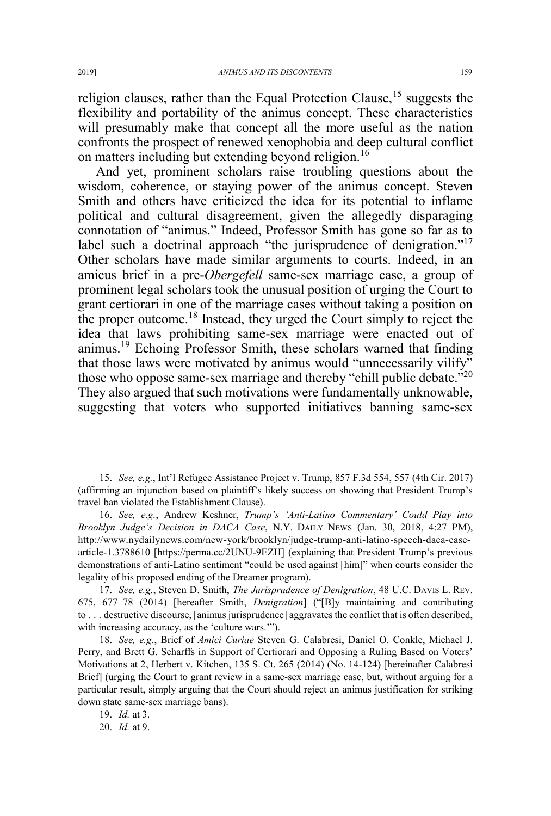religion clauses, rather than the Equal Protection Clause,  $15$  suggests the flexibility and portability of the animus concept. These characteristics will presumably make that concept all the more useful as the nation confronts the prospect of renewed xenophobia and deep cultural conflict on matters including but extending beyond religion.<sup>16</sup>

And yet, prominent scholars raise troubling questions about the wisdom, coherence, or staying power of the animus concept. Steven Smith and others have criticized the idea for its potential to inflame political and cultural disagreement, given the allegedly disparaging connotation of "animus." Indeed, Professor Smith has gone so far as to label such a doctrinal approach "the jurisprudence of denigration."<sup>17</sup> Other scholars have made similar arguments to courts. Indeed, in an amicus brief in a pre-*Obergefell* same-sex marriage case, a group of prominent legal scholars took the unusual position of urging the Court to grant certiorari in one of the marriage cases without taking a position on the proper outcome.<sup>18</sup> Instead, they urged the Court simply to reject the idea that laws prohibiting same-sex marriage were enacted out of animus.<sup>19</sup> Echoing Professor Smith, these scholars warned that finding that those laws were motivated by animus would "unnecessarily vilify" those who oppose same-sex marriage and thereby "chill public debate."<sup>20</sup> They also argued that such motivations were fundamentally unknowable, suggesting that voters who supported initiatives banning same-sex

 <sup>15.</sup> *See, e.g.*, Int'l Refugee Assistance Project v. Trump, 857 F.3d 554, 557 (4th Cir. 2017) (affirming an injunction based on plaintiff's likely success on showing that President Trump's travel ban violated the Establishment Clause).

<sup>16.</sup> *See, e.g.*, Andrew Keshner, *Trump's 'Anti-Latino Commentary' Could Play into Brooklyn Judge's Decision in DACA Case*, N.Y. DAILY NEWS (Jan. 30, 2018, 4:27 PM), http://www.nydailynews.com/new-york/brooklyn/judge-trump-anti-latino-speech-daca-casearticle-1.3788610 [https://perma.cc/2UNU-9EZH] (explaining that President Trump's previous demonstrations of anti-Latino sentiment "could be used against [him]" when courts consider the legality of his proposed ending of the Dreamer program).

<sup>17.</sup> *See, e.g.*, Steven D. Smith, *The Jurisprudence of Denigration*, 48 U.C. DAVIS L. REV. 675, 677–78 (2014) [hereafter Smith, *Denigration*] ("[B]y maintaining and contributing to . . . destructive discourse, [animus jurisprudence] aggravates the conflict that is often described, with increasing accuracy, as the 'culture wars.'").

<sup>18.</sup> *See, e.g.*, Brief of *Amici Curiae* Steven G. Calabresi, Daniel O. Conkle, Michael J. Perry, and Brett G. Scharffs in Support of Certiorari and Opposing a Ruling Based on Voters' Motivations at 2, Herbert v. Kitchen, 135 S. Ct. 265 (2014) (No. 14-124) [hereinafter Calabresi Brief] (urging the Court to grant review in a same-sex marriage case, but, without arguing for a particular result, simply arguing that the Court should reject an animus justification for striking down state same-sex marriage bans).

<sup>19.</sup> *Id.* at 3.

<sup>20.</sup> *Id.* at 9.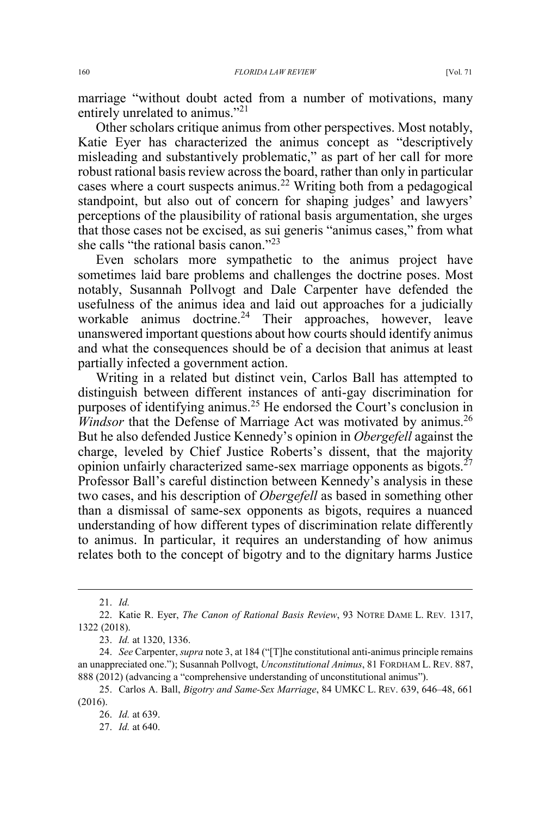marriage "without doubt acted from a number of motivations, many entirely unrelated to animus."<sup>21</sup>

Other scholars critique animus from other perspectives. Most notably, Katie Eyer has characterized the animus concept as "descriptively misleading and substantively problematic," as part of her call for more robust rational basis review across the board, rather than only in particular cases where a court suspects animus.<sup>22</sup> Writing both from a pedagogical standpoint, but also out of concern for shaping judges' and lawyers' perceptions of the plausibility of rational basis argumentation, she urges that those cases not be excised, as sui generis "animus cases," from what she calls "the rational basis canon."<sup>23</sup>

Even scholars more sympathetic to the animus project have sometimes laid bare problems and challenges the doctrine poses. Most notably, Susannah Pollvogt and Dale Carpenter have defended the usefulness of the animus idea and laid out approaches for a judicially workable animus doctrine.<sup>24</sup> Their approaches, however, leave unanswered important questions about how courts should identify animus and what the consequences should be of a decision that animus at least partially infected a government action.

Writing in a related but distinct vein, Carlos Ball has attempted to distinguish between different instances of anti-gay discrimination for purposes of identifying animus.<sup>25</sup> He endorsed the Court's conclusion in *Windsor* that the Defense of Marriage Act was motivated by animus.<sup>26</sup> But he also defended Justice Kennedy's opinion in *Obergefell* against the charge, leveled by Chief Justice Roberts's dissent, that the majority opinion unfairly characterized same-sex marriage opponents as bigots. $27$ Professor Ball's careful distinction between Kennedy's analysis in these two cases, and his description of *Obergefell* as based in something other than a dismissal of same-sex opponents as bigots, requires a nuanced understanding of how different types of discrimination relate differently to animus. In particular, it requires an understanding of how animus relates both to the concept of bigotry and to the dignitary harms Justice

 <sup>21.</sup> *Id.*

<sup>22.</sup> Katie R. Eyer, *The Canon of Rational Basis Review*, 93 NOTRE DAME L. REV*.* 1317, 1322 (2018).

<sup>23.</sup> *Id.* at 1320, 1336.

<sup>24.</sup> *See* Carpenter, *supra* note 3, at 184 ("[T]he constitutional anti-animus principle remains an unappreciated one."); Susannah Pollvogt, *Unconstitutional Animus*, 81 FORDHAM L. REV. 887, 888 (2012) (advancing a "comprehensive understanding of unconstitutional animus").

<sup>25.</sup> Carlos A. Ball, *Bigotry and Same-Sex Marriage*, 84 UMKC L. REV. 639, 646–48, 661 (2016).

<sup>26.</sup> *Id.* at 639.

<sup>27.</sup> *Id.* at 640.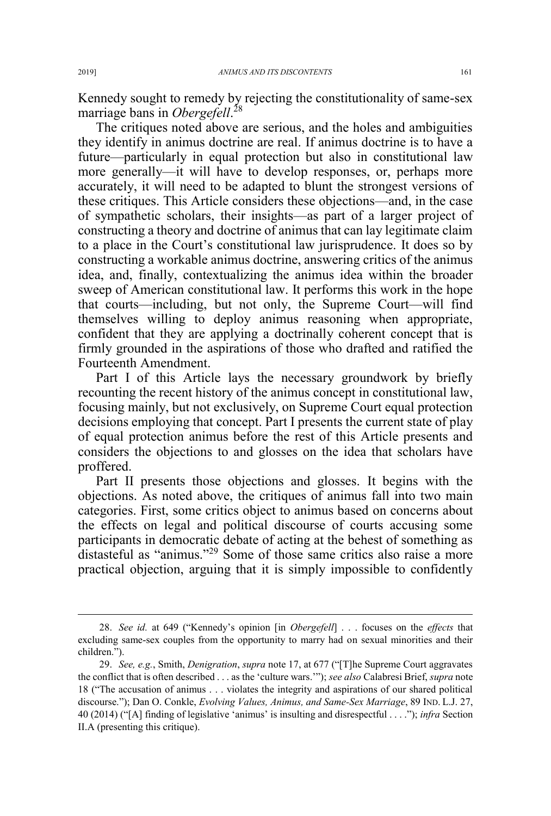Kennedy sought to remedy by rejecting the constitutionality of same-sex marriage bans in *Obergefell*. 28

The critiques noted above are serious, and the holes and ambiguities they identify in animus doctrine are real. If animus doctrine is to have a future—particularly in equal protection but also in constitutional law more generally—it will have to develop responses, or, perhaps more accurately, it will need to be adapted to blunt the strongest versions of these critiques. This Article considers these objections—and, in the case of sympathetic scholars, their insights—as part of a larger project of constructing a theory and doctrine of animus that can lay legitimate claim to a place in the Court's constitutional law jurisprudence. It does so by constructing a workable animus doctrine, answering critics of the animus idea, and, finally, contextualizing the animus idea within the broader sweep of American constitutional law. It performs this work in the hope that courts—including, but not only, the Supreme Court—will find themselves willing to deploy animus reasoning when appropriate, confident that they are applying a doctrinally coherent concept that is firmly grounded in the aspirations of those who drafted and ratified the Fourteenth Amendment.

Part I of this Article lays the necessary groundwork by briefly recounting the recent history of the animus concept in constitutional law, focusing mainly, but not exclusively, on Supreme Court equal protection decisions employing that concept. Part I presents the current state of play of equal protection animus before the rest of this Article presents and considers the objections to and glosses on the idea that scholars have proffered.

Part II presents those objections and glosses. It begins with the objections. As noted above, the critiques of animus fall into two main categories. First, some critics object to animus based on concerns about the effects on legal and political discourse of courts accusing some participants in democratic debate of acting at the behest of something as distasteful as "animus."<sup>29</sup> Some of those same critics also raise a more practical objection, arguing that it is simply impossible to confidently

 <sup>28.</sup> *See id.* at 649 ("Kennedy's opinion [in *Obergefell*] . . . focuses on the *effects* that excluding same-sex couples from the opportunity to marry had on sexual minorities and their children.").

<sup>29.</sup> *See, e.g.*, Smith, *Denigration*, *supra* note 17, at 677 ("[T]he Supreme Court aggravates the conflict that is often described . . . as the 'culture wars.'"); *see also* Calabresi Brief, *supra* note 18 ("The accusation of animus . . . violates the integrity and aspirations of our shared political discourse."); Dan O. Conkle, *Evolving Values, Animus, and Same-Sex Marriage*, 89 IND. L.J. 27, 40 (2014) ("[A] finding of legislative 'animus' is insulting and disrespectful . . . ."); *infra* Section II.A (presenting this critique).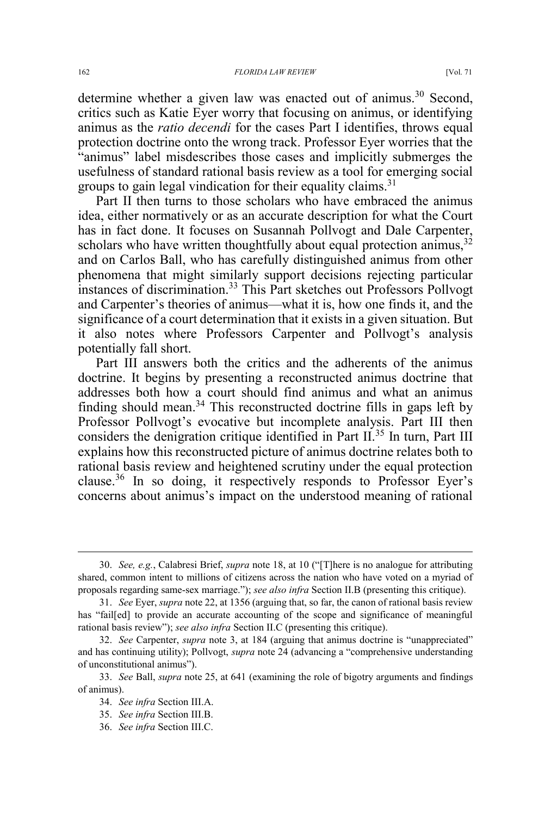determine whether a given law was enacted out of animus.<sup>30</sup> Second, critics such as Katie Eyer worry that focusing on animus, or identifying animus as the *ratio decendi* for the cases Part I identifies, throws equal protection doctrine onto the wrong track. Professor Eyer worries that the "animus" label misdescribes those cases and implicitly submerges the usefulness of standard rational basis review as a tool for emerging social groups to gain legal vindication for their equality claims.<sup>31</sup>

Part II then turns to those scholars who have embraced the animus idea, either normatively or as an accurate description for what the Court has in fact done. It focuses on Susannah Pollvogt and Dale Carpenter, scholars who have written thoughtfully about equal protection animus,  $32$ and on Carlos Ball, who has carefully distinguished animus from other phenomena that might similarly support decisions rejecting particular instances of discrimination.33 This Part sketches out Professors Pollvogt and Carpenter's theories of animus—what it is, how one finds it, and the significance of a court determination that it exists in a given situation. But it also notes where Professors Carpenter and Pollvogt's analysis potentially fall short.

Part III answers both the critics and the adherents of the animus doctrine. It begins by presenting a reconstructed animus doctrine that addresses both how a court should find animus and what an animus finding should mean.<sup>34</sup> This reconstructed doctrine fills in gaps left by Professor Pollvogt's evocative but incomplete analysis. Part III then considers the denigration critique identified in Part II.<sup>35</sup> In turn, Part III explains how this reconstructed picture of animus doctrine relates both to rational basis review and heightened scrutiny under the equal protection clause.<sup>36</sup> In so doing, it respectively responds to Professor Eyer's concerns about animus's impact on the understood meaning of rational

 <sup>30.</sup> *See, e.g.*, Calabresi Brief, *supra* note 18, at 10 ("[T]here is no analogue for attributing shared, common intent to millions of citizens across the nation who have voted on a myriad of proposals regarding same-sex marriage."); *see also infra* Section II.B (presenting this critique).

<sup>31.</sup> *See* Eyer, *supra* note 22, at 1356 (arguing that, so far, the canon of rational basis review has "fail[ed] to provide an accurate accounting of the scope and significance of meaningful rational basis review"); *see also infra* Section II.C (presenting this critique).

<sup>32.</sup> *See* Carpenter, *supra* note 3, at 184 (arguing that animus doctrine is "unappreciated" and has continuing utility); Pollvogt, *supra* note 24 (advancing a "comprehensive understanding of unconstitutional animus").

<sup>33.</sup> *See* Ball, *supra* note 25, at 641 (examining the role of bigotry arguments and findings of animus).

<sup>34.</sup> *See infra* Section III.A.

<sup>35.</sup> *See infra* Section III.B.

<sup>36.</sup> *See infra* Section III.C.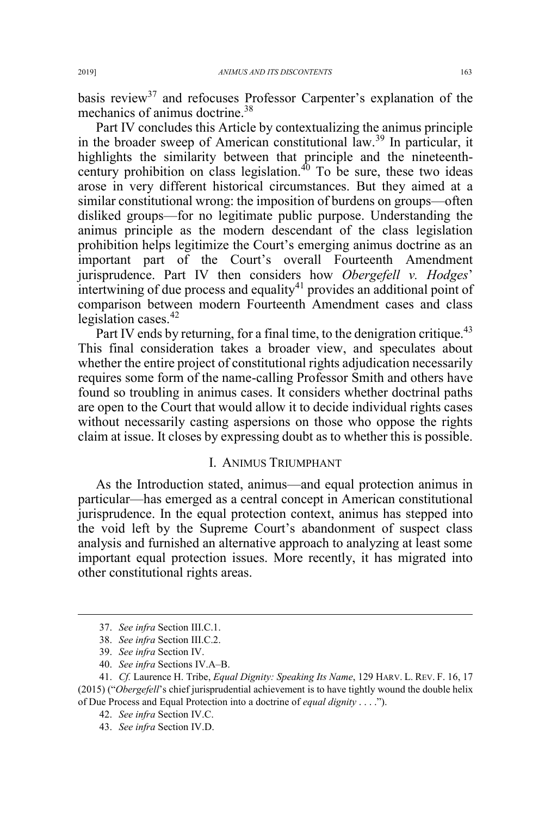basis review<sup>37</sup> and refocuses Professor Carpenter's explanation of the mechanics of animus doctrine.<sup>38</sup>

Part IV concludes this Article by contextualizing the animus principle in the broader sweep of American constitutional law.<sup>39</sup> In particular, it highlights the similarity between that principle and the nineteenthcentury prohibition on class legislation. $40$  To be sure, these two ideas arose in very different historical circumstances. But they aimed at a similar constitutional wrong: the imposition of burdens on groups—often disliked groups—for no legitimate public purpose. Understanding the animus principle as the modern descendant of the class legislation prohibition helps legitimize the Court's emerging animus doctrine as an important part of the Court's overall Fourteenth Amendment jurisprudence. Part IV then considers how *Obergefell v. Hodges*' intertwining of due process and equality<sup>41</sup> provides an additional point of comparison between modern Fourteenth Amendment cases and class legislation cases. $42$ 

Part IV ends by returning, for a final time, to the denigration critique.<sup>43</sup> This final consideration takes a broader view, and speculates about whether the entire project of constitutional rights adjudication necessarily requires some form of the name-calling Professor Smith and others have found so troubling in animus cases. It considers whether doctrinal paths are open to the Court that would allow it to decide individual rights cases without necessarily casting aspersions on those who oppose the rights claim at issue. It closes by expressing doubt as to whether this is possible.

#### I. ANIMUS TRIUMPHANT

As the Introduction stated, animus—and equal protection animus in particular—has emerged as a central concept in American constitutional jurisprudence. In the equal protection context, animus has stepped into the void left by the Supreme Court's abandonment of suspect class analysis and furnished an alternative approach to analyzing at least some important equal protection issues. More recently, it has migrated into other constitutional rights areas.

 <sup>37.</sup> *See infra* Section III.C.1.

<sup>38.</sup> *See infra* Section III.C.2.

<sup>39.</sup> *See infra* Section IV.

<sup>40.</sup> *See infra* Sections IV.A–B.

<sup>41.</sup> *Cf.* Laurence H. Tribe, *Equal Dignity: Speaking Its Name*, 129 HARV. L. REV. F. 16, 17 (2015) ("*Obergefell*'s chief jurisprudential achievement is to have tightly wound the double helix of Due Process and Equal Protection into a doctrine of *equal dignity* . . . .").

<sup>42.</sup> *See infra* Section IV.C.

<sup>43.</sup> *See infra* Section IV.D.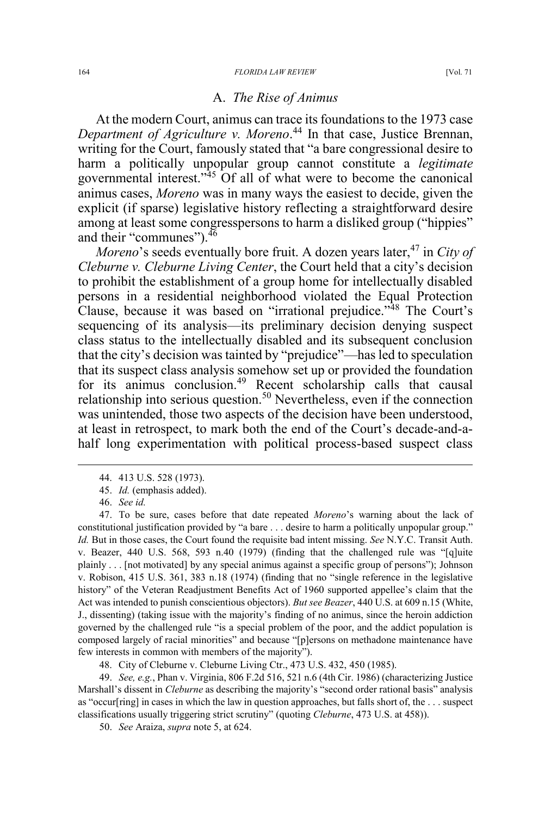## A. *The Rise of Animus*

At the modern Court, animus can trace its foundations to the 1973 case *Department of Agriculture v. Moreno*. <sup>44</sup> In that case, Justice Brennan, writing for the Court, famously stated that "a bare congressional desire to harm a politically unpopular group cannot constitute a *legitimate* governmental interest."<sup>45</sup> Of all of what were to become the canonical animus cases, *Moreno* was in many ways the easiest to decide, given the explicit (if sparse) legislative history reflecting a straightforward desire among at least some congresspersons to harm a disliked group ("hippies" and their "communes").  $46$ 

*Moreno*'s seeds eventually bore fruit. A dozen years later,<sup>47</sup> in *City of Cleburne v. Cleburne Living Center*, the Court held that a city's decision to prohibit the establishment of a group home for intellectually disabled persons in a residential neighborhood violated the Equal Protection Clause, because it was based on "irrational prejudice."<sup>48</sup> The Court's sequencing of its analysis—its preliminary decision denying suspect class status to the intellectually disabled and its subsequent conclusion that the city's decision was tainted by "prejudice"—has led to speculation that its suspect class analysis somehow set up or provided the foundation for its animus conclusion.<sup>49</sup> Recent scholarship calls that causal relationship into serious question.<sup>50</sup> Nevertheless, even if the connection was unintended, those two aspects of the decision have been understood, at least in retrospect, to mark both the end of the Court's decade-and-ahalf long experimentation with political process-based suspect class

48. City of Cleburne v. Cleburne Living Ctr., 473 U.S. 432, 450 (1985).

49. *See, e.g.*, Phan v. Virginia, 806 F.2d 516, 521 n.6 (4th Cir. 1986) (characterizing Justice Marshall's dissent in *Cleburne* as describing the majority's "second order rational basis" analysis as "occur[ring] in cases in which the law in question approaches, but falls short of, the . . . suspect classifications usually triggering strict scrutiny" (quoting *Cleburne*, 473 U.S. at 458)).

50. *See* Araiza, *supra* note 5, at 624.

 <sup>44. 413</sup> U.S. 528 (1973).

<sup>45.</sup> *Id.* (emphasis added).

<sup>46.</sup> *See id.*

<sup>47.</sup> To be sure, cases before that date repeated *Moreno*'s warning about the lack of constitutional justification provided by "a bare . . . desire to harm a politically unpopular group." *Id.* But in those cases, the Court found the requisite bad intent missing. *See* N.Y.C. Transit Auth. v. Beazer, 440 U.S. 568, 593 n.40 (1979) (finding that the challenged rule was "[q]uite plainly . . . [not motivated] by any special animus against a specific group of persons"); Johnson v. Robison, 415 U.S. 361, 383 n.18 (1974) (finding that no "single reference in the legislative history" of the Veteran Readjustment Benefits Act of 1960 supported appellee's claim that the Act was intended to punish conscientious objectors). *But see Beazer*, 440 U.S. at 609 n.15 (White, J., dissenting) (taking issue with the majority's finding of no animus, since the heroin addiction governed by the challenged rule "is a special problem of the poor, and the addict population is composed largely of racial minorities" and because "[p]ersons on methadone maintenance have few interests in common with members of the majority").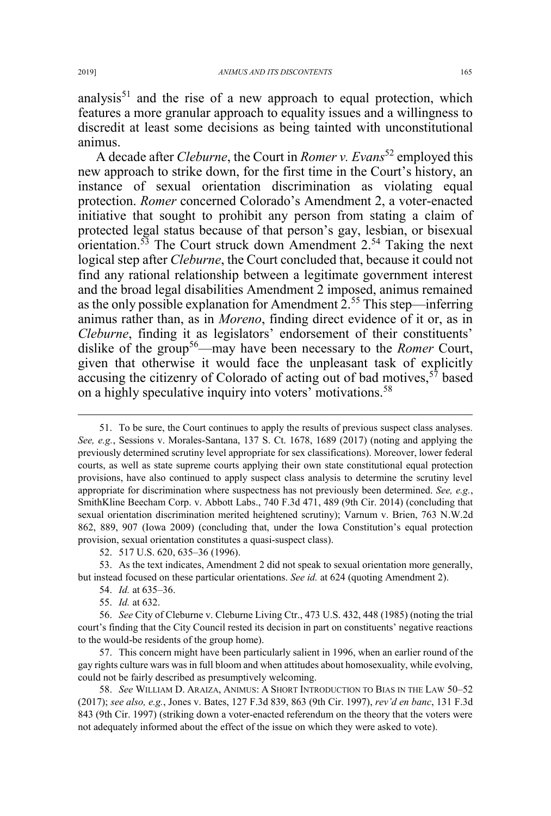analysis<sup>51</sup> and the rise of a new approach to equal protection, which features a more granular approach to equality issues and a willingness to discredit at least some decisions as being tainted with unconstitutional animus.

A decade after *Cleburne*, the Court in *Romer v. Evans*<sup>52</sup> employed this new approach to strike down, for the first time in the Court's history, an instance of sexual orientation discrimination as violating equal protection. *Romer* concerned Colorado's Amendment 2, a voter-enacted initiative that sought to prohibit any person from stating a claim of protected legal status because of that person's gay, lesbian, or bisexual orientation.<sup>53</sup> The Court struck down Amendment  $2^{54}$  Taking the next logical step after *Cleburne*, the Court concluded that, because it could not find any rational relationship between a legitimate government interest and the broad legal disabilities Amendment 2 imposed, animus remained as the only possible explanation for Amendment 2.<sup>55</sup> This step—inferring animus rather than, as in *Moreno*, finding direct evidence of it or, as in *Cleburne*, finding it as legislators' endorsement of their constituents' dislike of the group<sup>56</sup>—may have been necessary to the *Romer* Court, given that otherwise it would face the unpleasant task of explicitly accusing the citizenry of Colorado of acting out of bad motives,  $57$  based on a highly speculative inquiry into voters' motivations.<sup>58</sup>

53. As the text indicates, Amendment 2 did not speak to sexual orientation more generally, but instead focused on these particular orientations. *See id.* at 624 (quoting Amendment 2).

- 54. *Id.* at 635–36.
- 55. *Id.* at 632.

56. *See* City of Cleburne v. Cleburne Living Ctr., 473 U.S. 432, 448 (1985) (noting the trial court's finding that the City Council rested its decision in part on constituents' negative reactions to the would-be residents of the group home).

57. This concern might have been particularly salient in 1996, when an earlier round of the gay rights culture wars was in full bloom and when attitudes about homosexuality, while evolving, could not be fairly described as presumptively welcoming.

58. See WILLIAM D. ARAIZA, ANIMUS: A SHORT INTRODUCTION TO BIAS IN THE LAW 50-52 (2017); *see also, e.g.*, Jones v. Bates, 127 F.3d 839, 863 (9th Cir. 1997), *rev'd en banc*, 131 F.3d 843 (9th Cir. 1997) (striking down a voter-enacted referendum on the theory that the voters were not adequately informed about the effect of the issue on which they were asked to vote).

 <sup>51.</sup> To be sure, the Court continues to apply the results of previous suspect class analyses. *See, e.g.*, Sessions v. Morales-Santana, 137 S. Ct. 1678, 1689 (2017) (noting and applying the previously determined scrutiny level appropriate for sex classifications). Moreover, lower federal courts, as well as state supreme courts applying their own state constitutional equal protection provisions, have also continued to apply suspect class analysis to determine the scrutiny level appropriate for discrimination where suspectness has not previously been determined. *See, e.g.*, SmithKline Beecham Corp. v. Abbott Labs., 740 F.3d 471, 489 (9th Cir. 2014) (concluding that sexual orientation discrimination merited heightened scrutiny); Varnum v. Brien, 763 N.W.2d 862, 889, 907 (Iowa 2009) (concluding that, under the Iowa Constitution's equal protection provision, sexual orientation constitutes a quasi-suspect class).

<sup>52. 517</sup> U.S. 620, 635–36 (1996).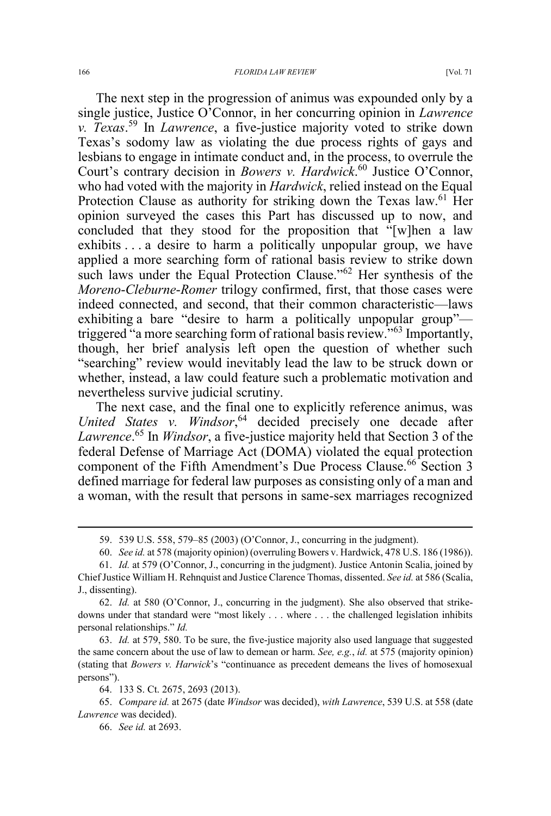The next step in the progression of animus was expounded only by a single justice, Justice O'Connor, in her concurring opinion in *Lawrence v. Texas*. <sup>59</sup> In *Lawrence*, a five-justice majority voted to strike down Texas's sodomy law as violating the due process rights of gays and lesbians to engage in intimate conduct and, in the process, to overrule the Court's contrary decision in *Bowers v. Hardwick*. <sup>60</sup> Justice O'Connor, who had voted with the majority in *Hardwick*, relied instead on the Equal Protection Clause as authority for striking down the Texas law.<sup>61</sup> Her opinion surveyed the cases this Part has discussed up to now, and concluded that they stood for the proposition that "[w]hen a law exhibits . . . a desire to harm a politically unpopular group, we have applied a more searching form of rational basis review to strike down such laws under the Equal Protection Clause."<sup>62</sup> Her synthesis of the *Moreno*-*Cleburne*-*Romer* trilogy confirmed, first, that those cases were indeed connected, and second, that their common characteristic—laws exhibiting a bare "desire to harm a politically unpopular group" triggered "a more searching form of rational basis review."<sup>63</sup> Importantly, though, her brief analysis left open the question of whether such "searching" review would inevitably lead the law to be struck down or whether, instead, a law could feature such a problematic motivation and nevertheless survive judicial scrutiny.

The next case, and the final one to explicitly reference animus, was *United States v. Windsor*, <sup>64</sup> decided precisely one decade after *Lawrence*. <sup>65</sup> In *Windsor*, a five-justice majority held that Section 3 of the federal Defense of Marriage Act (DOMA) violated the equal protection component of the Fifth Amendment's Due Process Clause.<sup>66</sup> Section 3 defined marriage for federal law purposes as consisting only of a man and a woman, with the result that persons in same-sex marriages recognized

63. *Id.* at 579, 580. To be sure, the five-justice majority also used language that suggested the same concern about the use of law to demean or harm. *See, e.g.*, *id.* at 575 (majority opinion) (stating that *Bowers v. Harwick*'s "continuance as precedent demeans the lives of homosexual persons").

 <sup>59. 539</sup> U.S. 558, 579–85 (2003) (O'Connor, J., concurring in the judgment).

<sup>60.</sup> *See id.* at 578 (majority opinion) (overruling Bowers v. Hardwick, 478 U.S. 186 (1986)).

<sup>61.</sup> *Id.* at 579 (O'Connor, J., concurring in the judgment). Justice Antonin Scalia, joined by Chief Justice William H. Rehnquist and Justice Clarence Thomas, dissented. *See id.* at 586 (Scalia, J., dissenting).

<sup>62.</sup> *Id.* at 580 (O'Connor, J., concurring in the judgment). She also observed that strikedowns under that standard were "most likely . . . where . . . the challenged legislation inhibits personal relationships." *Id.* 

<sup>64. 133</sup> S. Ct. 2675, 2693 (2013).

<sup>65.</sup> *Compare id.* at 2675 (date *Windsor* was decided), *with Lawrence*, 539 U.S. at 558 (date *Lawrence* was decided).

<sup>66.</sup> *See id.* at 2693.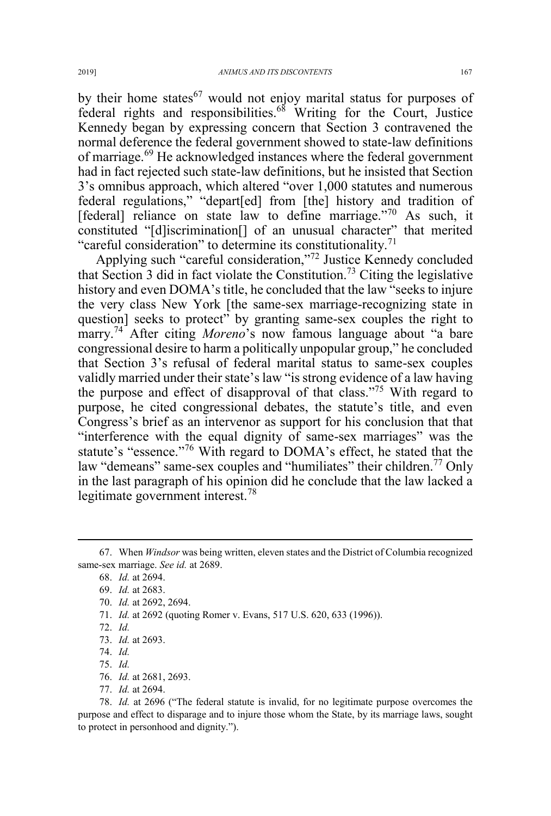by their home states $^{67}$  would not enjoy marital status for purposes of federal rights and responsibilities.68 Writing for the Court, Justice Kennedy began by expressing concern that Section 3 contravened the normal deference the federal government showed to state-law definitions of marriage.<sup>69</sup> He acknowledged instances where the federal government had in fact rejected such state-law definitions, but he insisted that Section 3's omnibus approach, which altered "over 1,000 statutes and numerous federal regulations," "depart[ed] from [the] history and tradition of [federal] reliance on state law to define marriage."<sup>70</sup> As such, it constituted "[d]iscrimination[] of an unusual character" that merited "careful consideration" to determine its constitutionality.<sup>71</sup>

Applying such "careful consideration,"<sup>72</sup> Justice Kennedy concluded that Section 3 did in fact violate the Constitution.<sup>73</sup> Citing the legislative history and even DOMA's title, he concluded that the law "seeks to injure the very class New York [the same-sex marriage-recognizing state in question] seeks to protect" by granting same-sex couples the right to marry.<sup>74</sup> After citing *Moreno*'s now famous language about "a bare congressional desire to harm a politically unpopular group," he concluded that Section 3's refusal of federal marital status to same-sex couples validly married under their state's law "is strong evidence of a law having the purpose and effect of disapproval of that class."<sup>75</sup> With regard to purpose, he cited congressional debates, the statute's title, and even Congress's brief as an intervenor as support for his conclusion that that "interference with the equal dignity of same-sex marriages" was the statute's "essence."<sup>76</sup> With regard to DOMA's effect, he stated that the law "demeans" same-sex couples and "humiliates" their children.<sup>77</sup> Only in the last paragraph of his opinion did he conclude that the law lacked a legitimate government interest.<sup>78</sup>

71. *Id.* at 2692 (quoting Romer v. Evans, 517 U.S. 620, 633 (1996)).

- 76. *Id.* at 2681, 2693.
- 77. *Id.* at 2694.

78. *Id.* at 2696 ("The federal statute is invalid, for no legitimate purpose overcomes the purpose and effect to disparage and to injure those whom the State, by its marriage laws, sought to protect in personhood and dignity.").

 <sup>67.</sup> When *Windsor* was being written, eleven states and the District of Columbia recognized same-sex marriage. *See id.* at 2689.

<sup>68.</sup> *Id.* at 2694.

<sup>69.</sup> *Id.* at 2683.

<sup>70.</sup> *Id.* at 2692, 2694.

<sup>72.</sup> *Id.*

<sup>73.</sup> *Id.* at 2693.

<sup>74.</sup> *Id.*

<sup>75.</sup> *Id.*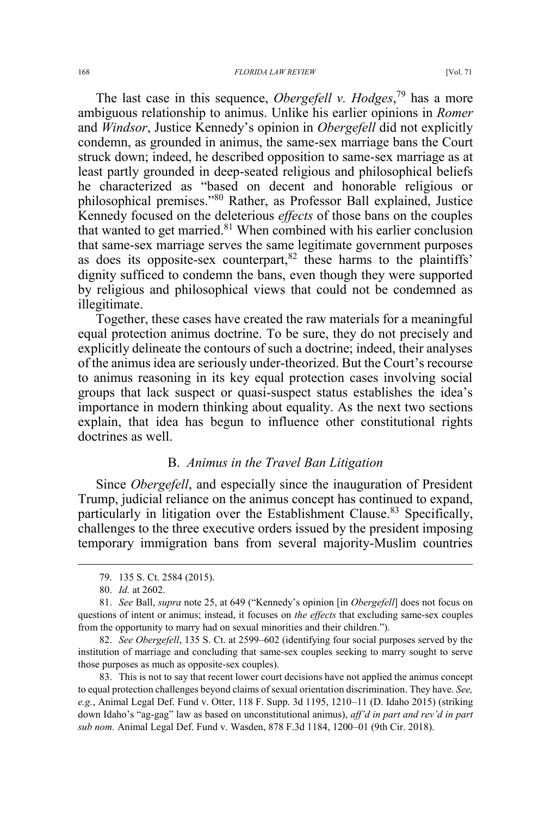The last case in this sequence, *Obergefell v. Hodges*, <sup>79</sup> has a more ambiguous relationship to animus. Unlike his earlier opinions in *Romer* and *Windsor*, Justice Kennedy's opinion in *Obergefell* did not explicitly condemn, as grounded in animus, the same-sex marriage bans the Court struck down; indeed, he described opposition to same-sex marriage as at least partly grounded in deep-seated religious and philosophical beliefs he characterized as "based on decent and honorable religious or philosophical premises."<sup>80</sup> Rather, as Professor Ball explained, Justice Kennedy focused on the deleterious *effects* of those bans on the couples that wanted to get married. $81$  When combined with his earlier conclusion that same-sex marriage serves the same legitimate government purposes as does its opposite-sex counterpart, $82$  these harms to the plaintiffs' dignity sufficed to condemn the bans, even though they were supported by religious and philosophical views that could not be condemned as illegitimate.

Together, these cases have created the raw materials for a meaningful equal protection animus doctrine. To be sure, they do not precisely and explicitly delineate the contours of such a doctrine; indeed, their analyses of the animus idea are seriously under-theorized. But the Court's recourse to animus reasoning in its key equal protection cases involving social groups that lack suspect or quasi-suspect status establishes the idea's importance in modern thinking about equality. As the next two sections explain, that idea has begun to influence other constitutional rights doctrines as well.

## B. *Animus in the Travel Ban Litigation*

Since *Obergefell*, and especially since the inauguration of President Trump, judicial reliance on the animus concept has continued to expand, particularly in litigation over the Establishment Clause.<sup>83</sup> Specifically, challenges to the three executive orders issued by the president imposing temporary immigration bans from several majority-Muslim countries

83. This is not to say that recent lower court decisions have not applied the animus concept to equal protection challenges beyond claims of sexual orientation discrimination. They have. *See, e.g.*, Animal Legal Def. Fund v. Otter, 118 F. Supp. 3d 1195, 1210–11 (D. Idaho 2015) (striking down Idaho's "ag-gag" law as based on unconstitutional animus), *aff'd in part and rev'd in part sub nom.* Animal Legal Def. Fund v. Wasden, 878 F.3d 1184, 1200–01 (9th Cir. 2018).

 <sup>79. 135</sup> S. Ct. 2584 (2015).

<sup>80.</sup> *Id.* at 2602.

<sup>81.</sup> *See* Ball, *supra* note 25, at 649 ("Kennedy's opinion [in *Obergefell*] does not focus on questions of intent or animus; instead, it focuses on *the effects* that excluding same-sex couples from the opportunity to marry had on sexual minorities and their children.").

<sup>82.</sup> *See Obergefell*, 135 S. Ct. at 2599–602 (identifying four social purposes served by the institution of marriage and concluding that same-sex couples seeking to marry sought to serve those purposes as much as opposite-sex couples).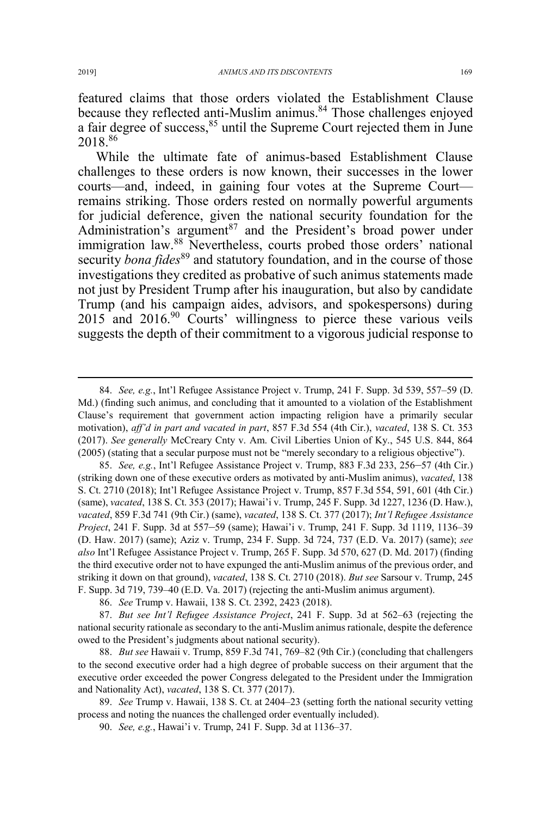featured claims that those orders violated the Establishment Clause because they reflected anti-Muslim animus.<sup>84</sup> Those challenges enjoyed a fair degree of success,  $85$  until the Supreme Court rejected them in June 2018.<sup>86</sup>

While the ultimate fate of animus-based Establishment Clause challenges to these orders is now known, their successes in the lower courts—and, indeed, in gaining four votes at the Supreme Court remains striking. Those orders rested on normally powerful arguments for judicial deference, given the national security foundation for the Administration's argument<sup>87</sup> and the President's broad power under immigration law.<sup>88</sup> Nevertheless, courts probed those orders' national security *bona fides*<sup>89</sup> and statutory foundation, and in the course of those investigations they credited as probative of such animus statements made not just by President Trump after his inauguration, but also by candidate Trump (and his campaign aides, advisors, and spokespersons) during 2015 and 2016.<sup>90</sup> Courts' willingness to pierce these various veils suggests the depth of their commitment to a vigorous judicial response to

85. *See, e.g.*, Int'l Refugee Assistance Project v. Trump, 883 F.3d 233, 256–57 (4th Cir.) (striking down one of these executive orders as motivated by anti-Muslim animus), *vacated*, 138 S. Ct. 2710 (2018); Int'l Refugee Assistance Project v. Trump, 857 F.3d 554, 591, 601 (4th Cir.) (same), *vacated*, 138 S. Ct. 353 (2017); Hawai'i v. Trump, 245 F. Supp. 3d 1227, 1236 (D. Haw.), *vacated*, 859 F.3d 741 (9th Cir.) (same), *vacated*, 138 S. Ct. 377 (2017); *Int'l Refugee Assistance Project*, 241 F. Supp. 3d at 557–59 (same); Hawai'i v. Trump, 241 F. Supp. 3d 1119, 1136–39 (D. Haw. 2017) (same); Aziz v. Trump, 234 F. Supp. 3d 724, 737 (E.D. Va. 2017) (same); *see also* Int'l Refugee Assistance Project v. Trump, 265 F. Supp. 3d 570, 627 (D. Md. 2017) (finding the third executive order not to have expunged the anti-Muslim animus of the previous order, and striking it down on that ground), *vacated*, 138 S. Ct. 2710 (2018). *But see* Sarsour v. Trump, 245 F. Supp. 3d 719, 739–40 (E.D. Va. 2017) (rejecting the anti-Muslim animus argument).

86. *See* Trump v. Hawaii, 138 S. Ct. 2392, 2423 (2018).

87. *But see Int'l Refugee Assistance Project*, 241 F. Supp. 3d at 562–63 (rejecting the national security rationale as secondary to the anti-Muslim animus rationale, despite the deference owed to the President's judgments about national security).

88. *But see* Hawaii v. Trump, 859 F.3d 741, 769–82 (9th Cir.) (concluding that challengers to the second executive order had a high degree of probable success on their argument that the executive order exceeded the power Congress delegated to the President under the Immigration and Nationality Act), *vacated*, 138 S. Ct. 377 (2017).

89. *See* Trump v. Hawaii, 138 S. Ct. at 2404–23 (setting forth the national security vetting process and noting the nuances the challenged order eventually included).

90. *See, e.g.*, Hawai'i v. Trump, 241 F. Supp. 3d at 1136–37.

 <sup>84.</sup> *See, e.g.*, Int'l Refugee Assistance Project v. Trump, 241 F. Supp. 3d 539, 557–59 (D. Md.) (finding such animus, and concluding that it amounted to a violation of the Establishment Clause's requirement that government action impacting religion have a primarily secular motivation), *aff'd in part and vacated in part*, 857 F.3d 554 (4th Cir.), *vacated*, 138 S. Ct. 353 (2017). *See generally* McCreary Cnty v. Am. Civil Liberties Union of Ky., 545 U.S. 844, 864 (2005) (stating that a secular purpose must not be "merely secondary to a religious objective").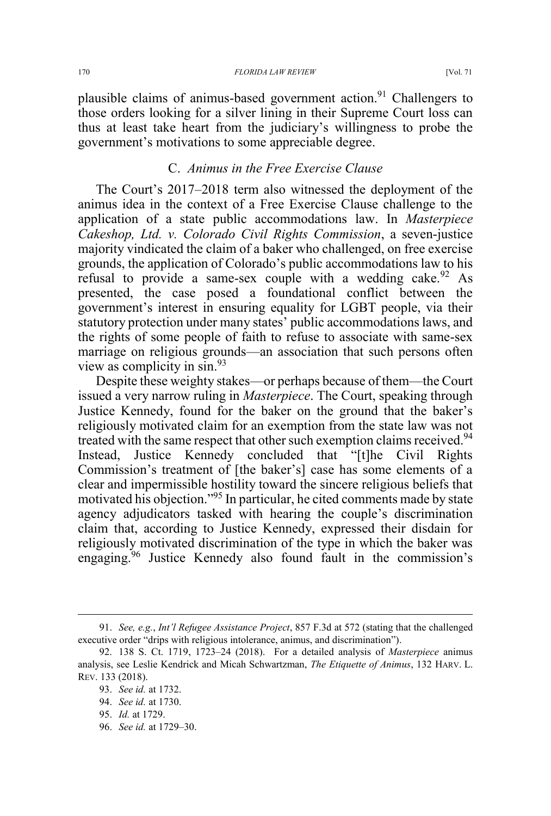plausible claims of animus-based government action.<sup>91</sup> Challengers to those orders looking for a silver lining in their Supreme Court loss can thus at least take heart from the judiciary's willingness to probe the government's motivations to some appreciable degree.

## C. *Animus in the Free Exercise Clause*

The Court's 2017–2018 term also witnessed the deployment of the animus idea in the context of a Free Exercise Clause challenge to the application of a state public accommodations law. In *Masterpiece Cakeshop, Ltd. v. Colorado Civil Rights Commission*, a seven-justice majority vindicated the claim of a baker who challenged, on free exercise grounds, the application of Colorado's public accommodations law to his refusal to provide a same-sex couple with a wedding cake.  $92$  As presented, the case posed a foundational conflict between the government's interest in ensuring equality for LGBT people, via their statutory protection under many states' public accommodations laws, and the rights of some people of faith to refuse to associate with same-sex marriage on religious grounds—an association that such persons often view as complicity in sin.93

Despite these weighty stakes—or perhaps because of them—the Court issued a very narrow ruling in *Masterpiece*. The Court, speaking through Justice Kennedy, found for the baker on the ground that the baker's religiously motivated claim for an exemption from the state law was not treated with the same respect that other such exemption claims received.<sup>94</sup> Instead, Justice Kennedy concluded that "[t]he Civil Rights Commission's treatment of [the baker's] case has some elements of a clear and impermissible hostility toward the sincere religious beliefs that motivated his objection."<sup>95</sup> In particular, he cited comments made by state agency adjudicators tasked with hearing the couple's discrimination claim that, according to Justice Kennedy, expressed their disdain for religiously motivated discrimination of the type in which the baker was engaging.<sup>96</sup> Justice Kennedy also found fault in the commission's

96. *See id.* at 1729–30.

 <sup>91.</sup> *See, e.g.*, *Int'l Refugee Assistance Project*, 857 F.3d at 572 (stating that the challenged executive order "drips with religious intolerance, animus, and discrimination").

<sup>92. 138</sup> S. Ct. 1719, 1723–24 (2018). For a detailed analysis of *Masterpiece* animus analysis, see Leslie Kendrick and Micah Schwartzman, *The Etiquette of Animus*, 132 HARV. L. REV. 133 (2018).

<sup>93.</sup> *See id.* at 1732.

<sup>94.</sup> *See id.* at 1730.

<sup>95.</sup> *Id.* at 1729.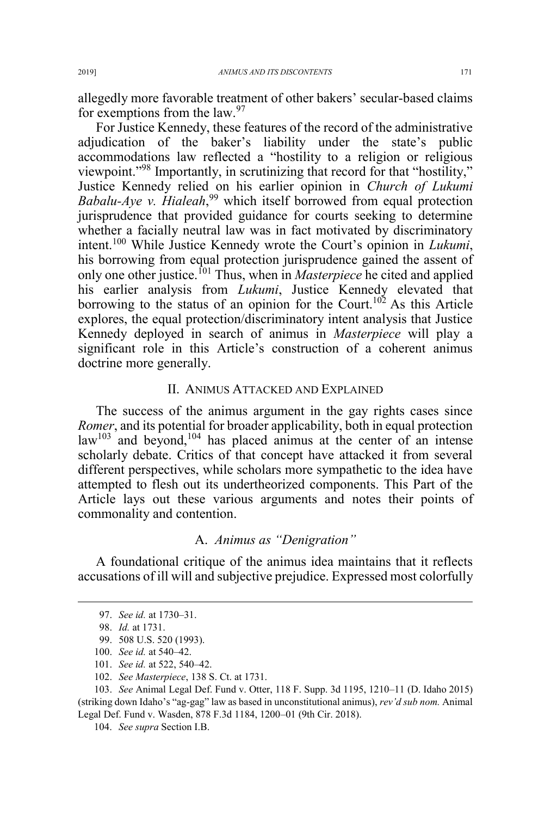allegedly more favorable treatment of other bakers' secular-based claims for exemptions from the law. $97$ 

For Justice Kennedy, these features of the record of the administrative adjudication of the baker's liability under the state's public accommodations law reflected a "hostility to a religion or religious viewpoint."<sup>98</sup> Importantly, in scrutinizing that record for that "hostility," Justice Kennedy relied on his earlier opinion in *Church of Lukumi Babalu-Aye v. Hialeah*, <sup>99</sup> which itself borrowed from equal protection jurisprudence that provided guidance for courts seeking to determine whether a facially neutral law was in fact motivated by discriminatory intent.<sup>100</sup> While Justice Kennedy wrote the Court's opinion in *Lukumi*, his borrowing from equal protection jurisprudence gained the assent of only one other justice.<sup>101</sup> Thus, when in *Masterpiece* he cited and applied his earlier analysis from *Lukumi*, Justice Kennedy elevated that borrowing to the status of an opinion for the Court.<sup>102</sup> As this Article explores, the equal protection/discriminatory intent analysis that Justice Kennedy deployed in search of animus in *Masterpiece* will play a significant role in this Article's construction of a coherent animus doctrine more generally.

#### II. ANIMUS ATTACKED AND EXPLAINED

The success of the animus argument in the gay rights cases since *Romer*, and its potential for broader applicability, both in equal protection  $law<sup>103</sup>$  and beyond,<sup>104</sup> has placed animus at the center of an intense scholarly debate. Critics of that concept have attacked it from several different perspectives, while scholars more sympathetic to the idea have attempted to flesh out its undertheorized components. This Part of the Article lays out these various arguments and notes their points of commonality and contention.

## A. *Animus as "Denigration"*

A foundational critique of the animus idea maintains that it reflects accusations of ill will and subjective prejudice. Expressed most colorfully

104. *See supra* Section I.B.

 <sup>97.</sup> *See id.* at 1730–31.

<sup>98.</sup> *Id.* at 1731.

<sup>99. 508</sup> U.S. 520 (1993).

<sup>100.</sup> *See id.* at 540–42.

<sup>101.</sup> *See id.* at 522, 540–42.

<sup>102.</sup> *See Masterpiece*, 138 S. Ct. at 1731.

<sup>103.</sup> *See* Animal Legal Def. Fund v. Otter, 118 F. Supp. 3d 1195, 1210–11 (D. Idaho 2015) (striking down Idaho's "ag-gag" law as based in unconstitutional animus), *rev'd sub nom.* Animal Legal Def. Fund v. Wasden, 878 F.3d 1184, 1200–01 (9th Cir. 2018).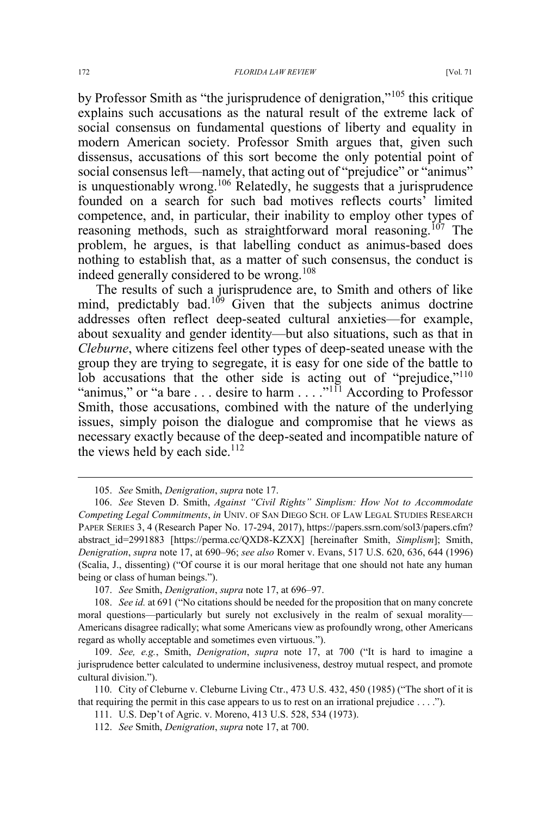by Professor Smith as "the jurisprudence of denigration,"<sup>105</sup> this critique explains such accusations as the natural result of the extreme lack of social consensus on fundamental questions of liberty and equality in modern American society. Professor Smith argues that, given such dissensus, accusations of this sort become the only potential point of social consensus left—namely, that acting out of "prejudice" or "animus" is unquestionably wrong.<sup>106</sup> Relatedly, he suggests that a jurisprudence founded on a search for such bad motives reflects courts' limited competence, and, in particular, their inability to employ other types of reasoning methods, such as straightforward moral reasoning.<sup>107</sup> The problem, he argues, is that labelling conduct as animus-based does nothing to establish that, as a matter of such consensus, the conduct is indeed generally considered to be wrong.<sup>108</sup>

The results of such a jurisprudence are, to Smith and others of like mind, predictably bad.<sup>109</sup> Given that the subjects animus doctrine addresses often reflect deep-seated cultural anxieties—for example, about sexuality and gender identity—but also situations, such as that in *Cleburne*, where citizens feel other types of deep-seated unease with the group they are trying to segregate, it is easy for one side of the battle to lob accusations that the other side is acting out of "prejudice,"<sup>110</sup> "animus," or "a bare . . . desire to harm . . . . "<sup>111</sup> According to Professor Smith, those accusations, combined with the nature of the underlying issues, simply poison the dialogue and compromise that he views as necessary exactly because of the deep-seated and incompatible nature of the views held by each side. $112$ 

 <sup>105.</sup> *See* Smith, *Denigration*, *supra* note 17.

<sup>106.</sup> *See* Steven D. Smith, *Against "Civil Rights" Simplism: How Not to Accommodate Competing Legal Commitments*, *in* UNIV. OF SAN DIEGO SCH. OF LAW LEGAL STUDIES RESEARCH PAPER SERIES 3, 4 (Research Paper No. 17-294, 2017), https://papers.ssrn.com/sol3/papers.cfm? abstract\_id=2991883 [https://perma.cc/QXD8-KZXX] [hereinafter Smith, *Simplism*]; Smith, *Denigration*, *supra* note 17, at 690–96; *see also* Romer v. Evans, 517 U.S. 620, 636, 644 (1996) (Scalia, J., dissenting) ("Of course it is our moral heritage that one should not hate any human being or class of human beings.").

<sup>107.</sup> *See* Smith, *Denigration*, *supra* note 17, at 696–97.

<sup>108.</sup> *See id.* at 691 ("No citations should be needed for the proposition that on many concrete moral questions—particularly but surely not exclusively in the realm of sexual morality— Americans disagree radically; what some Americans view as profoundly wrong, other Americans regard as wholly acceptable and sometimes even virtuous.").

<sup>109.</sup> *See, e.g.*, Smith, *Denigration*, *supra* note 17, at 700 ("It is hard to imagine a jurisprudence better calculated to undermine inclusiveness, destroy mutual respect, and promote cultural division.").

<sup>110.</sup> City of Cleburne v. Cleburne Living Ctr., 473 U.S. 432, 450 (1985) ("The short of it is that requiring the permit in this case appears to us to rest on an irrational prejudice . . . .").

<sup>111.</sup> U.S. Dep't of Agric. v. Moreno, 413 U.S. 528, 534 (1973).

<sup>112.</sup> *See* Smith, *Denigration*, *supra* note 17, at 700.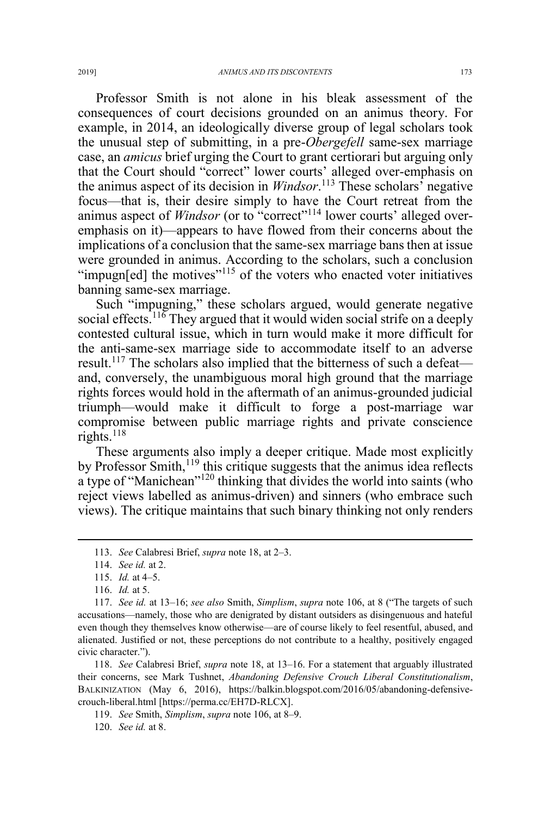Professor Smith is not alone in his bleak assessment of the consequences of court decisions grounded on an animus theory. For example, in 2014, an ideologically diverse group of legal scholars took the unusual step of submitting, in a pre-*Obergefell* same-sex marriage case, an *amicus* brief urging the Court to grant certiorari but arguing only that the Court should "correct" lower courts' alleged over-emphasis on the animus aspect of its decision in *Windsor*. <sup>113</sup> These scholars' negative focus—that is, their desire simply to have the Court retreat from the animus aspect of *Windsor* (or to "correct"<sup>114</sup> lower courts' alleged overemphasis on it)—appears to have flowed from their concerns about the implications of a conclusion that the same-sex marriage bans then at issue were grounded in animus. According to the scholars, such a conclusion "impugn[ed] the motives"<sup>115</sup> of the voters who enacted voter initiatives banning same-sex marriage.

Such "impugning," these scholars argued, would generate negative social effects.<sup>116</sup> They argued that it would widen social strife on a deeply contested cultural issue, which in turn would make it more difficult for the anti-same-sex marriage side to accommodate itself to an adverse result.<sup>117</sup> The scholars also implied that the bitterness of such a defeat and, conversely, the unambiguous moral high ground that the marriage rights forces would hold in the aftermath of an animus-grounded judicial triumph—would make it difficult to forge a post-marriage war compromise between public marriage rights and private conscience rights.<sup>118</sup>

These arguments also imply a deeper critique. Made most explicitly by Professor Smith,<sup>119</sup> this critique suggests that the animus idea reflects a type of "Manichean"<sup>120</sup> thinking that divides the world into saints (who reject views labelled as animus-driven) and sinners (who embrace such views). The critique maintains that such binary thinking not only renders

 <sup>113.</sup> *See* Calabresi Brief, *supra* note 18, at 2–3.

<sup>114.</sup> *See id.* at 2.

<sup>115.</sup> *Id.* at 4–5.

<sup>116.</sup> *Id.* at 5.

<sup>117.</sup> *See id.* at 13–16; *see also* Smith, *Simplism*, *supra* note 106, at 8 ("The targets of such accusations—namely, those who are denigrated by distant outsiders as disingenuous and hateful even though they themselves know otherwise—are of course likely to feel resentful, abused, and alienated. Justified or not, these perceptions do not contribute to a healthy, positively engaged civic character.").

<sup>118.</sup> *See* Calabresi Brief, *supra* note 18, at 13–16. For a statement that arguably illustrated their concerns, see Mark Tushnet, *Abandoning Defensive Crouch Liberal Constitutionalism*, BALKINIZATION (May 6, 2016), https://balkin.blogspot.com/2016/05/abandoning-defensivecrouch-liberal.html [https://perma.cc/EH7D-RLCX].

<sup>119.</sup> *See* Smith, *Simplism*, *supra* note 106, at 8–9.

<sup>120.</sup> *See id.* at 8.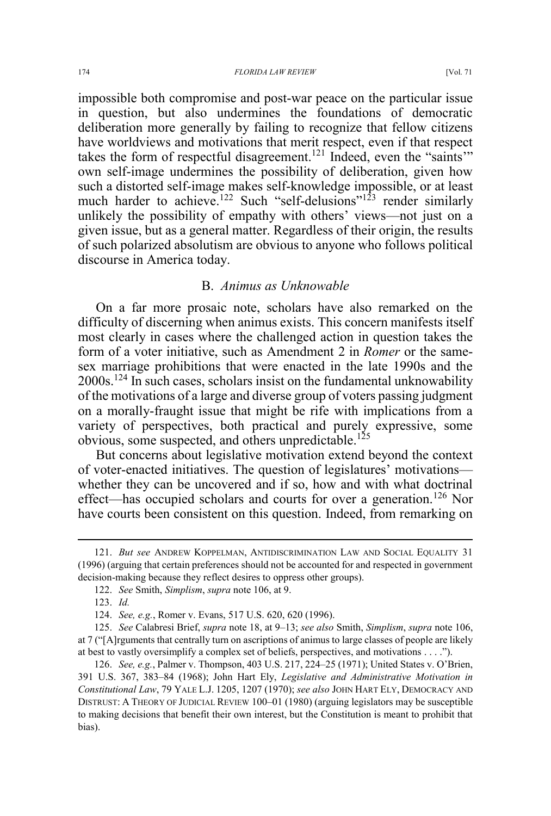impossible both compromise and post-war peace on the particular issue in question, but also undermines the foundations of democratic deliberation more generally by failing to recognize that fellow citizens have worldviews and motivations that merit respect, even if that respect takes the form of respectful disagreement.<sup>121</sup> Indeed, even the "saints" own self-image undermines the possibility of deliberation, given how such a distorted self-image makes self-knowledge impossible, or at least much harder to achieve.<sup>122</sup> Such "self-delusions"<sup>123</sup> render similarly unlikely the possibility of empathy with others' views—not just on a given issue, but as a general matter. Regardless of their origin, the results of such polarized absolutism are obvious to anyone who follows political discourse in America today.

## B. *Animus as Unknowable*

On a far more prosaic note, scholars have also remarked on the difficulty of discerning when animus exists. This concern manifests itself most clearly in cases where the challenged action in question takes the form of a voter initiative, such as Amendment 2 in *Romer* or the samesex marriage prohibitions that were enacted in the late 1990s and the  $2000s$ <sup>124</sup> In such cases, scholars insist on the fundamental unknowability of the motivations of a large and diverse group of voters passing judgment on a morally-fraught issue that might be rife with implications from a variety of perspectives, both practical and purely expressive, some obvious, some suspected, and others unpredictable.<sup>125</sup>

But concerns about legislative motivation extend beyond the context of voter-enacted initiatives. The question of legislatures' motivations whether they can be uncovered and if so, how and with what doctrinal effect—has occupied scholars and courts for over a generation.<sup>126</sup> Nor have courts been consistent on this question. Indeed, from remarking on

 <sup>121.</sup> *But see* ANDREW KOPPELMAN, ANTIDISCRIMINATION LAW AND SOCIAL EQUALITY <sup>31</sup> (1996) (arguing that certain preferences should not be accounted for and respected in government decision-making because they reflect desires to oppress other groups).

<sup>122.</sup> *See* Smith, *Simplism*, *supra* note 106, at 9.

<sup>123.</sup> *Id.*

<sup>124.</sup> *See, e.g.*, Romer v. Evans, 517 U.S. 620, 620 (1996).

<sup>125.</sup> *See* Calabresi Brief, *supra* note 18, at 9–13; *see also* Smith, *Simplism*, *supra* note 106, at 7 ("[A]rguments that centrally turn on ascriptions of animus to large classes of people are likely at best to vastly oversimplify a complex set of beliefs, perspectives, and motivations . . . .").

<sup>126.</sup> *See, e.g.*, Palmer v. Thompson, 403 U.S. 217, 224–25 (1971); United States v. O'Brien, 391 U.S. 367, 383–84 (1968); John Hart Ely, *Legislative and Administrative Motivation in Constitutional Law*, 79 YALE L.J. 1205, 1207 (1970); *see also* JOHN HART ELY, DEMOCRACY AND DISTRUST:ATHEORY OF JUDICIAL REVIEW 100–01 (1980) (arguing legislators may be susceptible to making decisions that benefit their own interest, but the Constitution is meant to prohibit that bias).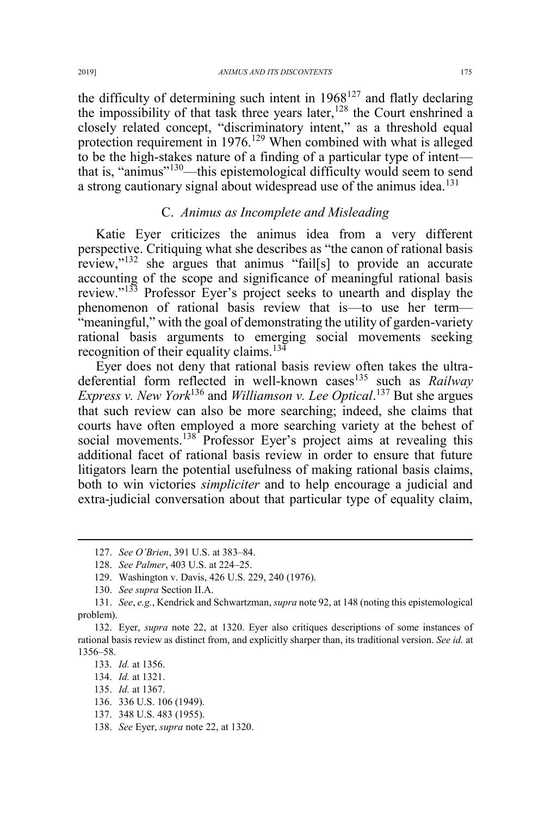the difficulty of determining such intent in  $1968^{127}$  and flatly declaring the impossibility of that task three years later,<sup>128</sup> the Court enshrined a closely related concept, "discriminatory intent," as a threshold equal protection requirement in 1976.<sup>129</sup> When combined with what is alleged to be the high-stakes nature of a finding of a particular type of intent that is, "animus"<sup>130</sup>—this epistemological difficulty would seem to send a strong cautionary signal about widespread use of the animus idea.<sup>131</sup>

### C. *Animus as Incomplete and Misleading*

Katie Eyer criticizes the animus idea from a very different perspective. Critiquing what she describes as "the canon of rational basis review,"<sup>132</sup> she argues that animus "fail[s] to provide an accurate accounting of the scope and significance of meaningful rational basis review."<sup>133</sup> Professor Eyer's project seeks to unearth and display the phenomenon of rational basis review that is—to use her term— "meaningful," with the goal of demonstrating the utility of garden-variety rational basis arguments to emerging social movements seeking recognition of their equality claims.<sup>134</sup>

Eyer does not deny that rational basis review often takes the ultradeferential form reflected in well-known cases<sup>135</sup> such as *Railway Express v. New York*<sup>136</sup> and *Williamson v. Lee Optical*. <sup>137</sup> But she argues that such review can also be more searching; indeed, she claims that courts have often employed a more searching variety at the behest of social movements.<sup>138</sup> Professor Eyer's project aims at revealing this additional facet of rational basis review in order to ensure that future litigators learn the potential usefulness of making rational basis claims, both to win victories *simpliciter* and to help encourage a judicial and extra-judicial conversation about that particular type of equality claim,

129. Washington v. Davis, 426 U.S. 229, 240 (1976).

 <sup>127.</sup> *See O'Brien*, 391 U.S. at 383–84.

<sup>128.</sup> *See Palmer*, 403 U.S. at 224–25.

<sup>130.</sup> *See supra* Section II.A.

<sup>131.</sup> *See*, *e.g.*, Kendrick and Schwartzman, *supra* note 92, at 148 (noting this epistemological problem).

<sup>132.</sup> Eyer, *supra* note 22, at 1320. Eyer also critiques descriptions of some instances of rational basis review as distinct from, and explicitly sharper than, its traditional version. *See id.* at 1356–58.

<sup>133.</sup> *Id.* at 1356.

<sup>134.</sup> *Id.* at 1321.

<sup>135.</sup> *Id.* at 1367.

<sup>136. 336</sup> U.S. 106 (1949).

<sup>137. 348</sup> U.S. 483 (1955).

<sup>138.</sup> *See* Eyer, *supra* note 22, at 1320.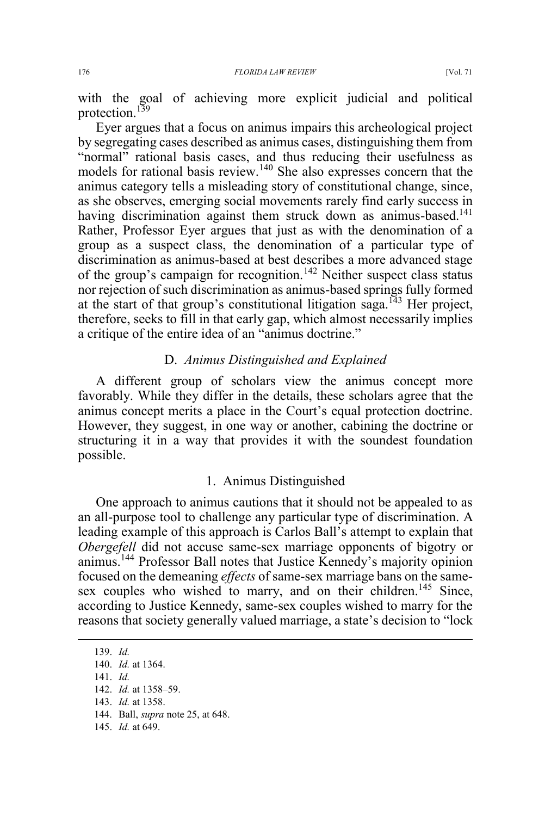with the goal of achieving more explicit judicial and political protection.<sup>139</sup>

Eyer argues that a focus on animus impairs this archeological project by segregating cases described as animus cases, distinguishing them from "normal" rational basis cases, and thus reducing their usefulness as models for rational basis review.<sup>140</sup> She also expresses concern that the animus category tells a misleading story of constitutional change, since, as she observes, emerging social movements rarely find early success in having discrimination against them struck down as animus-based.<sup>141</sup> Rather, Professor Eyer argues that just as with the denomination of a group as a suspect class, the denomination of a particular type of discrimination as animus-based at best describes a more advanced stage of the group's campaign for recognition.<sup>142</sup> Neither suspect class status nor rejection of such discrimination as animus-based springs fully formed at the start of that group's constitutional litigation saga.<sup>143</sup> Her project, therefore, seeks to fill in that early gap, which almost necessarily implies a critique of the entire idea of an "animus doctrine."

## D. *Animus Distinguished and Explained*

A different group of scholars view the animus concept more favorably. While they differ in the details, these scholars agree that the animus concept merits a place in the Court's equal protection doctrine. However, they suggest, in one way or another, cabining the doctrine or structuring it in a way that provides it with the soundest foundation possible.

## 1. Animus Distinguished

One approach to animus cautions that it should not be appealed to as an all-purpose tool to challenge any particular type of discrimination. A leading example of this approach is Carlos Ball's attempt to explain that *Obergefell* did not accuse same-sex marriage opponents of bigotry or animus.144 Professor Ball notes that Justice Kennedy's majority opinion focused on the demeaning *effects* of same-sex marriage bans on the samesex couples who wished to marry, and on their children.<sup>145</sup> Since, according to Justice Kennedy, same-sex couples wished to marry for the reasons that society generally valued marriage, a state's decision to "lock

 139. *Id.* 140. *Id.* at 1364. 141. *Id.* 142. *Id.* at 1358–59. 143. *Id.* at 1358. 144. Ball, *supra* note 25, at 648. 145. *Id.* at 649.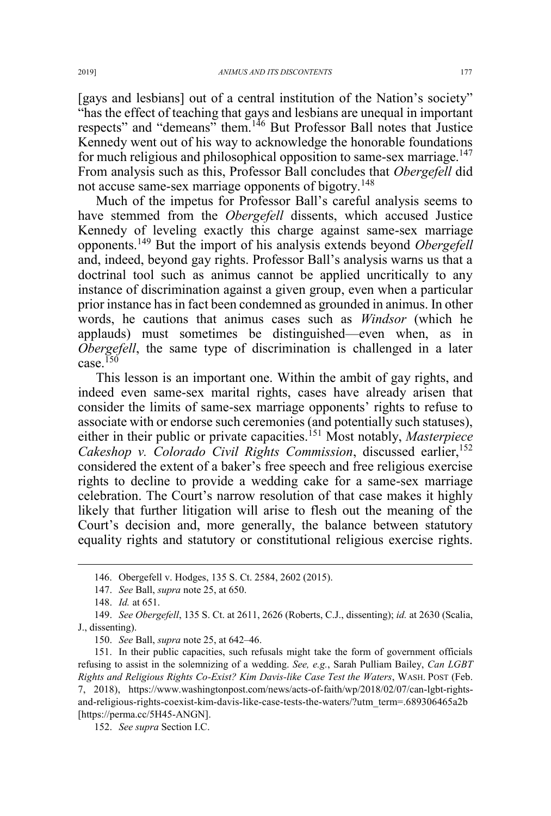[gays and lesbians] out of a central institution of the Nation's society" "has the effect of teaching that gays and lesbians are unequal in important respects" and "demeans" them.<sup>146</sup> But Professor Ball notes that Justice Kennedy went out of his way to acknowledge the honorable foundations for much religious and philosophical opposition to same-sex marriage.<sup>147</sup> From analysis such as this, Professor Ball concludes that *Obergefell* did not accuse same-sex marriage opponents of bigotry.<sup>148</sup>

Much of the impetus for Professor Ball's careful analysis seems to have stemmed from the *Obergefell* dissents, which accused Justice Kennedy of leveling exactly this charge against same-sex marriage opponents.<sup>149</sup> But the import of his analysis extends beyond *Obergefell* and, indeed, beyond gay rights. Professor Ball's analysis warns us that a doctrinal tool such as animus cannot be applied uncritically to any instance of discrimination against a given group, even when a particular prior instance has in fact been condemned as grounded in animus. In other words, he cautions that animus cases such as *Windsor* (which he applauds) must sometimes be distinguished—even when, as in *Obergefell*, the same type of discrimination is challenged in a later case  $150$ 

This lesson is an important one. Within the ambit of gay rights, and indeed even same-sex marital rights, cases have already arisen that consider the limits of same-sex marriage opponents' rights to refuse to associate with or endorse such ceremonies (and potentially such statuses), either in their public or private capacities.<sup>151</sup> Most notably, *Masterpiece Cakeshop v. Colorado Civil Rights Commission*, discussed earlier,<sup>152</sup> considered the extent of a baker's free speech and free religious exercise rights to decline to provide a wedding cake for a same-sex marriage celebration. The Court's narrow resolution of that case makes it highly likely that further litigation will arise to flesh out the meaning of the Court's decision and, more generally, the balance between statutory equality rights and statutory or constitutional religious exercise rights.

 <sup>146.</sup> Obergefell v. Hodges, 135 S. Ct. 2584, 2602 (2015).

<sup>147.</sup> *See* Ball, *supra* note 25, at 650.

<sup>148.</sup> *Id.* at 651.

<sup>149.</sup> *See Obergefell*, 135 S. Ct. at 2611, 2626 (Roberts, C.J., dissenting); *id.* at 2630 (Scalia, J., dissenting).

<sup>150.</sup> *See* Ball, *supra* note 25, at 642–46.

<sup>151.</sup> In their public capacities, such refusals might take the form of government officials refusing to assist in the solemnizing of a wedding. *See, e.g.*, Sarah Pulliam Bailey, *Can LGBT Rights and Religious Rights Co-Exist? Kim Davis-like Case Test the Waters*, WASH. POST (Feb. 7, 2018), https://www.washingtonpost.com/news/acts-of-faith/wp/2018/02/07/can-lgbt-rightsand-religious-rights-coexist-kim-davis-like-case-tests-the-waters/?utm\_term=.689306465a2b [https://perma.cc/5H45-ANGN].

<sup>152.</sup> *See supra* Section I.C.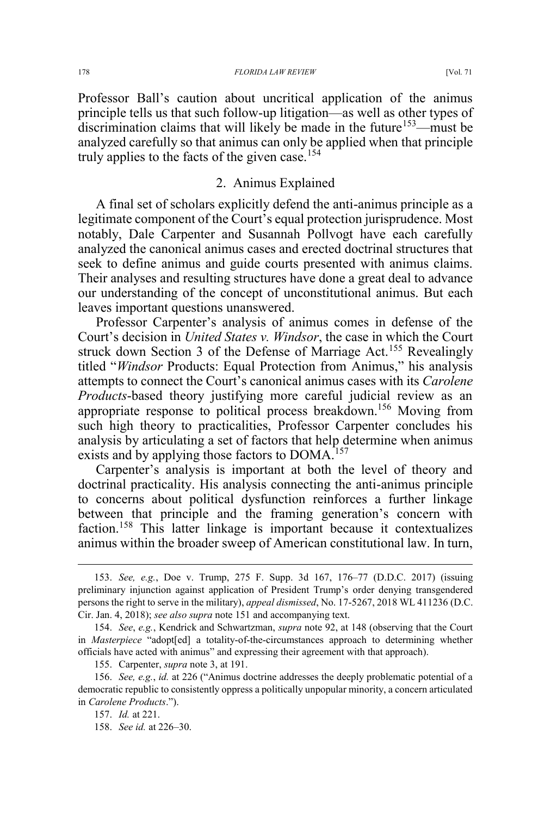Professor Ball's caution about uncritical application of the animus principle tells us that such follow-up litigation—as well as other types of discrimination claims that will likely be made in the future<sup>153</sup>—must be analyzed carefully so that animus can only be applied when that principle truly applies to the facts of the given case.<sup>154</sup>

## 2. Animus Explained

A final set of scholars explicitly defend the anti-animus principle as a legitimate component of the Court's equal protection jurisprudence. Most notably, Dale Carpenter and Susannah Pollvogt have each carefully analyzed the canonical animus cases and erected doctrinal structures that seek to define animus and guide courts presented with animus claims. Their analyses and resulting structures have done a great deal to advance our understanding of the concept of unconstitutional animus. But each leaves important questions unanswered.

Professor Carpenter's analysis of animus comes in defense of the Court's decision in *United States v. Windsor*, the case in which the Court struck down Section 3 of the Defense of Marriage Act.<sup>155</sup> Revealingly titled "*Windsor* Products: Equal Protection from Animus," his analysis attempts to connect the Court's canonical animus cases with its *Carolene Products*-based theory justifying more careful judicial review as an appropriate response to political process breakdown.<sup>156</sup> Moving from such high theory to practicalities, Professor Carpenter concludes his analysis by articulating a set of factors that help determine when animus exists and by applying those factors to DOMA.<sup>157</sup>

Carpenter's analysis is important at both the level of theory and doctrinal practicality. His analysis connecting the anti-animus principle to concerns about political dysfunction reinforces a further linkage between that principle and the framing generation's concern with faction.<sup>158</sup> This latter linkage is important because it contextualizes animus within the broader sweep of American constitutional law. In turn,

 <sup>153.</sup> *See, e.g.*, Doe v. Trump, 275 F. Supp. 3d 167, 176–77 (D.D.C. 2017) (issuing preliminary injunction against application of President Trump's order denying transgendered persons the right to serve in the military), *appeal dismissed*, No. 17-5267, 2018 WL 411236 (D.C. Cir. Jan. 4, 2018); *see also supra* note 151 and accompanying text.

<sup>154.</sup> *See*, *e.g.*, Kendrick and Schwartzman, *supra* note 92, at 148 (observing that the Court in *Masterpiece* "adopt[ed] a totality-of-the-circumstances approach to determining whether officials have acted with animus" and expressing their agreement with that approach).

<sup>155.</sup> Carpenter, *supra* note 3, at 191.

<sup>156.</sup> *See, e.g.*, *id.* at 226 ("Animus doctrine addresses the deeply problematic potential of a democratic republic to consistently oppress a politically unpopular minority, a concern articulated in *Carolene Products*.").

<sup>157.</sup> *Id.* at 221.

<sup>158.</sup> *See id.* at 226–30.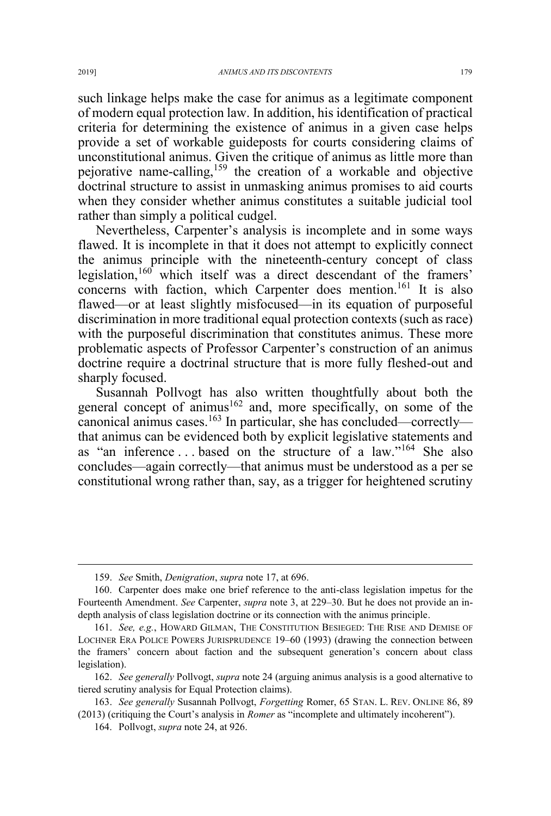such linkage helps make the case for animus as a legitimate component of modern equal protection law. In addition, his identification of practical criteria for determining the existence of animus in a given case helps provide a set of workable guideposts for courts considering claims of unconstitutional animus. Given the critique of animus as little more than pejorative name-calling,<sup>159</sup> the creation of a workable and objective doctrinal structure to assist in unmasking animus promises to aid courts when they consider whether animus constitutes a suitable judicial tool rather than simply a political cudgel.

Nevertheless, Carpenter's analysis is incomplete and in some ways flawed. It is incomplete in that it does not attempt to explicitly connect the animus principle with the nineteenth-century concept of class legislation,<sup>160</sup> which itself was a direct descendant of the framers' concerns with faction, which Carpenter does mention.<sup>161</sup> It is also flawed—or at least slightly misfocused—in its equation of purposeful discrimination in more traditional equal protection contexts (such as race) with the purposeful discrimination that constitutes animus. These more problematic aspects of Professor Carpenter's construction of an animus doctrine require a doctrinal structure that is more fully fleshed-out and sharply focused.

Susannah Pollvogt has also written thoughtfully about both the general concept of animus<sup>162</sup> and, more specifically, on some of the canonical animus cases.<sup>163</sup> In particular, she has concluded—correctly that animus can be evidenced both by explicit legislative statements and as "an inference ... based on the structure of a law."<sup>164</sup> She also concludes—again correctly—that animus must be understood as a per se constitutional wrong rather than, say, as a trigger for heightened scrutiny

 <sup>159.</sup> *See* Smith, *Denigration*, *supra* note 17, at 696.

<sup>160.</sup> Carpenter does make one brief reference to the anti-class legislation impetus for the Fourteenth Amendment. *See* Carpenter, *supra* note 3, at 229–30. But he does not provide an indepth analysis of class legislation doctrine or its connection with the animus principle.

<sup>161.</sup> *See, e.g.*, HOWARD GILMAN, THE CONSTITUTION BESIEGED: THE RISE AND DEMISE OF LOCHNER ERA POLICE POWERS JURISPRUDENCE 19–60 (1993) (drawing the connection between the framers' concern about faction and the subsequent generation's concern about class legislation).

<sup>162.</sup> *See generally* Pollvogt, *supra* note 24 (arguing animus analysis is a good alternative to tiered scrutiny analysis for Equal Protection claims).

<sup>163.</sup> *See generally* Susannah Pollvogt, *Forgetting* Romer, 65 STAN. L. REV. ONLINE 86, 89 (2013) (critiquing the Court's analysis in *Romer* as "incomplete and ultimately incoherent").

<sup>164.</sup> Pollvogt, *supra* note 24, at 926.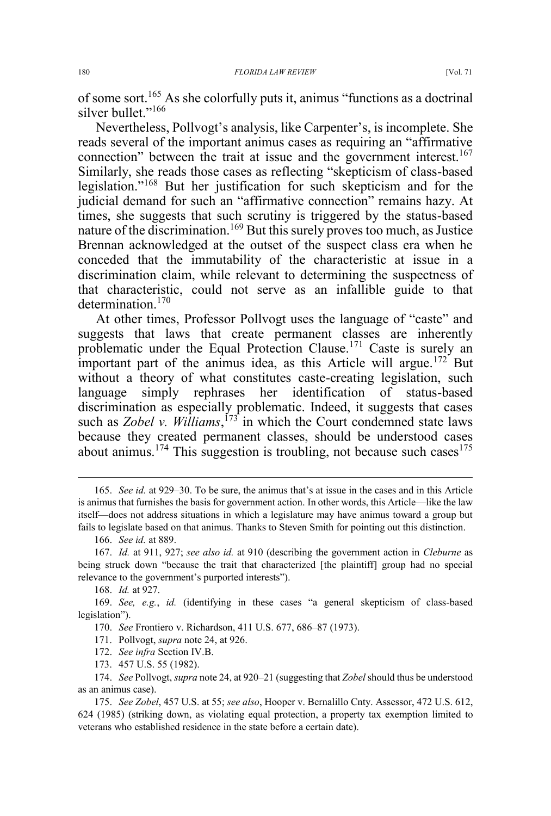of some sort.165 As she colorfully puts it, animus "functions as a doctrinal silver bullet."<sup>166</sup>

Nevertheless, Pollvogt's analysis, like Carpenter's, is incomplete. She reads several of the important animus cases as requiring an "affirmative connection" between the trait at issue and the government interest.<sup>167</sup> Similarly, she reads those cases as reflecting "skepticism of class-based legislation."<sup>168</sup> But her justification for such skepticism and for the judicial demand for such an "affirmative connection" remains hazy. At times, she suggests that such scrutiny is triggered by the status-based nature of the discrimination.<sup>169</sup> But this surely proves too much, as Justice Brennan acknowledged at the outset of the suspect class era when he conceded that the immutability of the characteristic at issue in a discrimination claim, while relevant to determining the suspectness of that characteristic, could not serve as an infallible guide to that determination<sup>170</sup>

At other times, Professor Pollvogt uses the language of "caste" and suggests that laws that create permanent classes are inherently problematic under the Equal Protection Clause.<sup>171</sup> Caste is surely an important part of the animus idea, as this Article will argue.<sup>172</sup> But without a theory of what constitutes caste-creating legislation, such language simply rephrases her identification of status-based discrimination as especially problematic. Indeed, it suggests that cases such as *Zobel v. Williams*,<sup>173</sup> in which the Court condemned state laws because they created permanent classes, should be understood cases about animus.<sup>174</sup> This suggestion is troubling, not because such cases<sup>175</sup>

- 170. *See* Frontiero v. Richardson, 411 U.S. 677, 686–87 (1973).
- 171. Pollvogt, *supra* note 24, at 926.
- 172. *See infra* Section IV.B.
- 173. 457 U.S. 55 (1982).

 <sup>165.</sup> *See id.* at 929–30. To be sure, the animus that's at issue in the cases and in this Article is animus that furnishes the basis for government action. In other words, this Article—like the law itself—does not address situations in which a legislature may have animus toward a group but fails to legislate based on that animus. Thanks to Steven Smith for pointing out this distinction.

<sup>166.</sup> *See id.* at 889.

<sup>167.</sup> *Id.* at 911, 927; *see also id.* at 910 (describing the government action in *Cleburne* as being struck down "because the trait that characterized [the plaintiff] group had no special relevance to the government's purported interests").

<sup>168.</sup> *Id.* at 927.

<sup>169.</sup> *See, e.g.*, *id.* (identifying in these cases "a general skepticism of class-based legislation").

<sup>174.</sup> *See* Pollvogt, *supra* note 24, at 920–21 (suggesting that *Zobel* should thus be understood as an animus case).

<sup>175.</sup> *See Zobel*, 457 U.S. at 55; *see also*, Hooper v. Bernalillo Cnty. Assessor, 472 U.S. 612, 624 (1985) (striking down, as violating equal protection, a property tax exemption limited to veterans who established residence in the state before a certain date).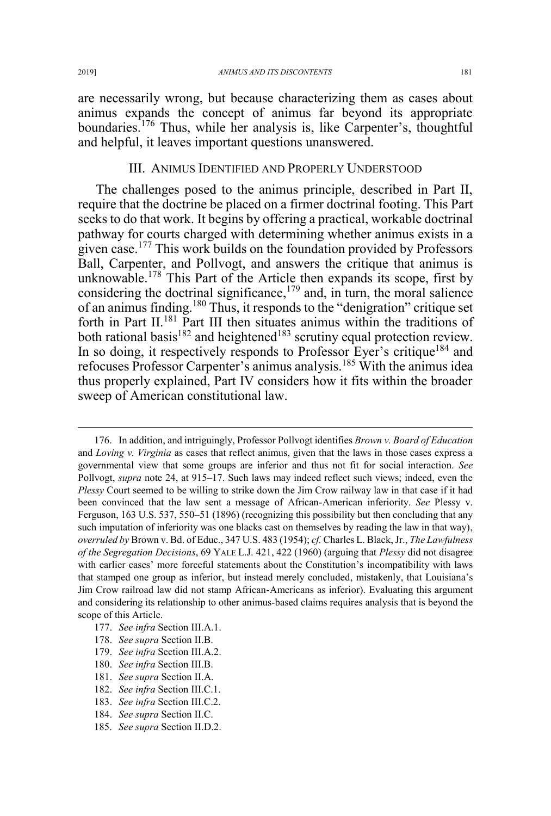are necessarily wrong, but because characterizing them as cases about animus expands the concept of animus far beyond its appropriate boundaries.<sup>176</sup> Thus, while her analysis is, like Carpenter's, thoughtful and helpful, it leaves important questions unanswered.

#### III. ANIMUS IDENTIFIED AND PROPERLY UNDERSTOOD

The challenges posed to the animus principle, described in Part II, require that the doctrine be placed on a firmer doctrinal footing. This Part seeks to do that work. It begins by offering a practical, workable doctrinal pathway for courts charged with determining whether animus exists in a given case.<sup>177</sup> This work builds on the foundation provided by Professors Ball, Carpenter, and Pollvogt, and answers the critique that animus is unknowable.<sup>178</sup> This Part of the Article then expands its scope, first by considering the doctrinal significance, $179$  and, in turn, the moral salience of an animus finding.180 Thus, it responds to the "denigration" critique set forth in Part II.<sup>181</sup> Part III then situates animus within the traditions of both rational basis<sup>182</sup> and heightened<sup>183</sup> scrutiny equal protection review. In so doing, it respectively responds to Professor Eyer's critique<sup>184</sup> and refocuses Professor Carpenter's animus analysis.<sup>185</sup> With the animus idea thus properly explained, Part IV considers how it fits within the broader sweep of American constitutional law.

- 177. *See infra* Section III.A.1.
- 178. *See supra* Section II.B.
- 179. *See infra* Section III.A.2.
- 180. *See infra* Section III.B.
- 181. *See supra* Section II.A.
- 182. *See infra* Section III.C.1.
- 183. *See infra* Section III.C.2.
- 184. *See supra* Section II.C.
- 185. *See supra* Section II.D.2.

 <sup>176.</sup> In addition, and intriguingly, Professor Pollvogt identifies *Brown v. Board of Education* and *Loving v. Virginia* as cases that reflect animus, given that the laws in those cases express a governmental view that some groups are inferior and thus not fit for social interaction. *See* Pollvogt, *supra* note 24, at 915–17. Such laws may indeed reflect such views; indeed, even the *Plessy* Court seemed to be willing to strike down the Jim Crow railway law in that case if it had been convinced that the law sent a message of African-American inferiority. *See* Plessy v. Ferguson, 163 U.S. 537, 550–51 (1896) (recognizing this possibility but then concluding that any such imputation of inferiority was one blacks cast on themselves by reading the law in that way), *overruled by* Brown v. Bd. of Educ., 347 U.S. 483 (1954); *cf.* Charles L. Black, Jr., *The Lawfulness of the Segregation Decisions*, 69 YALE L.J. 421, 422 (1960) (arguing that *Plessy* did not disagree with earlier cases' more forceful statements about the Constitution's incompatibility with laws that stamped one group as inferior, but instead merely concluded, mistakenly, that Louisiana's Jim Crow railroad law did not stamp African-Americans as inferior). Evaluating this argument and considering its relationship to other animus-based claims requires analysis that is beyond the scope of this Article.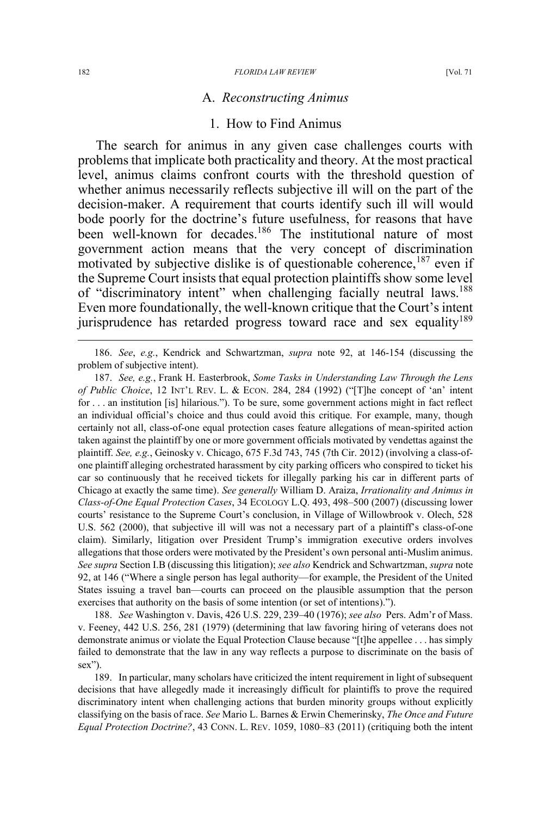#### A. *Reconstructing Animus*

## 1. How to Find Animus

The search for animus in any given case challenges courts with problems that implicate both practicality and theory. At the most practical level, animus claims confront courts with the threshold question of whether animus necessarily reflects subjective ill will on the part of the decision-maker. A requirement that courts identify such ill will would bode poorly for the doctrine's future usefulness, for reasons that have been well-known for decades.<sup>186</sup> The institutional nature of most government action means that the very concept of discrimination motivated by subjective dislike is of questionable coherence,<sup>187</sup> even if the Supreme Court insists that equal protection plaintiffs show some level of "discriminatory intent" when challenging facially neutral laws.<sup>188</sup> Even more foundationally, the well-known critique that the Court's intent jurisprudence has retarded progress toward race and sex equality<sup>189</sup>

 186. *See*, *e.g.*, Kendrick and Schwartzman, *supra* note 92, at 146-154 (discussing the problem of subjective intent).

187. *See, e.g.*, Frank H. Easterbrook, *Some Tasks in Understanding Law Through the Lens of Public Choice*, 12 INT'L REV. L. & ECON. 284, 284 (1992) ("[T]he concept of 'an' intent for . . . an institution [is] hilarious."). To be sure, some government actions might in fact reflect an individual official's choice and thus could avoid this critique. For example, many, though certainly not all, class-of-one equal protection cases feature allegations of mean-spirited action taken against the plaintiff by one or more government officials motivated by vendettas against the plaintiff. *See, e.g.*, Geinosky v. Chicago, 675 F.3d 743, 745 (7th Cir. 2012) (involving a class-ofone plaintiff alleging orchestrated harassment by city parking officers who conspired to ticket his car so continuously that he received tickets for illegally parking his car in different parts of Chicago at exactly the same time). *See generally* William D. Araiza, *Irrationality and Animus in Class-of-One Equal Protection Cases*, 34 ECOLOGY L.Q. 493, 498–500 (2007) (discussing lower courts' resistance to the Supreme Court's conclusion, in Village of Willowbrook v. Olech, 528 U.S. 562 (2000), that subjective ill will was not a necessary part of a plaintiff's class-of-one claim). Similarly, litigation over President Trump's immigration executive orders involves allegations that those orders were motivated by the President's own personal anti-Muslim animus. *See supra* Section I.B (discussing this litigation); *see also* Kendrick and Schwartzman, *supra* note 92, at 146 ("Where a single person has legal authority—for example, the President of the United States issuing a travel ban—courts can proceed on the plausible assumption that the person exercises that authority on the basis of some intention (or set of intentions).").

188. *See* Washington v. Davis, 426 U.S. 229, 239–40 (1976); *see also* Pers. Adm'r of Mass. v. Feeney, 442 U.S. 256, 281 (1979) (determining that law favoring hiring of veterans does not demonstrate animus or violate the Equal Protection Clause because "[t]he appellee . . . has simply failed to demonstrate that the law in any way reflects a purpose to discriminate on the basis of sex").

189. In particular, many scholars have criticized the intent requirement in light of subsequent decisions that have allegedly made it increasingly difficult for plaintiffs to prove the required discriminatory intent when challenging actions that burden minority groups without explicitly classifying on the basis of race. *See* Mario L. Barnes & Erwin Chemerinsky, *The Once and Future Equal Protection Doctrine?*, 43 CONN. L. REV. 1059, 1080–83 (2011) (critiquing both the intent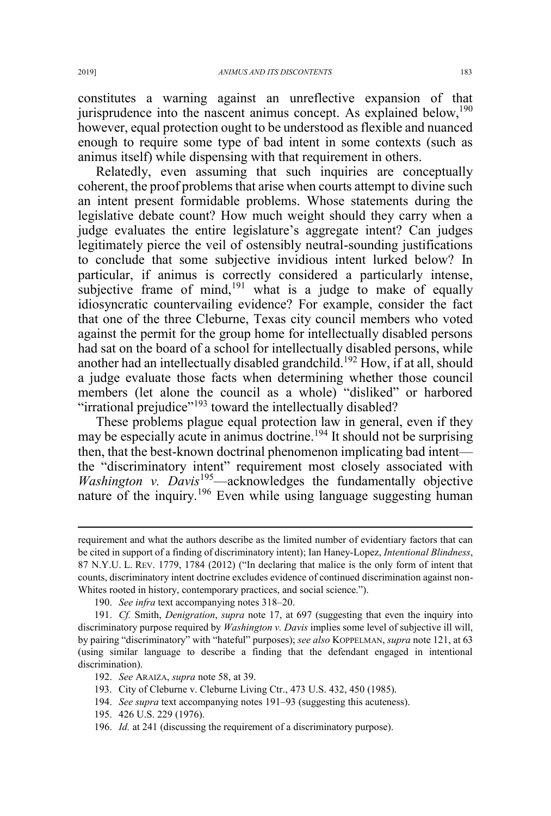constitutes a warning against an unreflective expansion of that jurisprudence into the nascent animus concept. As explained below,  $190$ however, equal protection ought to be understood as flexible and nuanced enough to require some type of bad intent in some contexts (such as animus itself) while dispensing with that requirement in others.

Relatedly, even assuming that such inquiries are conceptually coherent, the proof problems that arise when courts attempt to divine such an intent present formidable problems. Whose statements during the legislative debate count? How much weight should they carry when a judge evaluates the entire legislature's aggregate intent? Can judges legitimately pierce the veil of ostensibly neutral-sounding justifications to conclude that some subjective invidious intent lurked below? In particular, if animus is correctly considered a particularly intense, subjective frame of mind, $191$  what is a judge to make of equally idiosyncratic countervailing evidence? For example, consider the fact that one of the three Cleburne, Texas city council members who voted against the permit for the group home for intellectually disabled persons had sat on the board of a school for intellectually disabled persons, while another had an intellectually disabled grandchild.<sup>192</sup> How, if at all, should a judge evaluate those facts when determining whether those council members (let alone the council as a whole) "disliked" or harbored "irrational prejudice"<sup>193</sup> toward the intellectually disabled?

These problems plague equal protection law in general, even if they may be especially acute in animus doctrine.<sup>194</sup> It should not be surprising then, that the best-known doctrinal phenomenon implicating bad intent the "discriminatory intent" requirement most closely associated with *Washington v. Davis*<sup>195</sup>—acknowledges the fundamentally objective nature of the inquiry.<sup>196</sup> Even while using language suggesting human

194. *See supra* text accompanying notes 191–93 (suggesting this acuteness).

 $\overline{a}$ 

requirement and what the authors describe as the limited number of evidentiary factors that can be cited in support of a finding of discriminatory intent); Ian Haney-Lopez, *Intentional Blindness*, 87 N.Y.U. L. REV. 1779, 1784 (2012) ("In declaring that malice is the only form of intent that counts, discriminatory intent doctrine excludes evidence of continued discrimination against non-Whites rooted in history, contemporary practices, and social science.").

<sup>190.</sup> *See infra* text accompanying notes 318–20.

<sup>191.</sup> *Cf.* Smith, *Denigration*, *supra* note 17, at 697 (suggesting that even the inquiry into discriminatory purpose required by *Washington v. Davis* implies some level of subjective ill will, by pairing "discriminatory" with "hateful" purposes); *see also* KOPPELMAN, *supra* note 121, at 63 (using similar language to describe a finding that the defendant engaged in intentional discrimination).

<sup>192.</sup> *See* ARAIZA, *supra* note 58, at 39.

<sup>193.</sup> City of Cleburne v. Cleburne Living Ctr., 473 U.S. 432, 450 (1985).

<sup>195. 426</sup> U.S. 229 (1976).

<sup>196.</sup> *Id.* at 241 (discussing the requirement of a discriminatory purpose).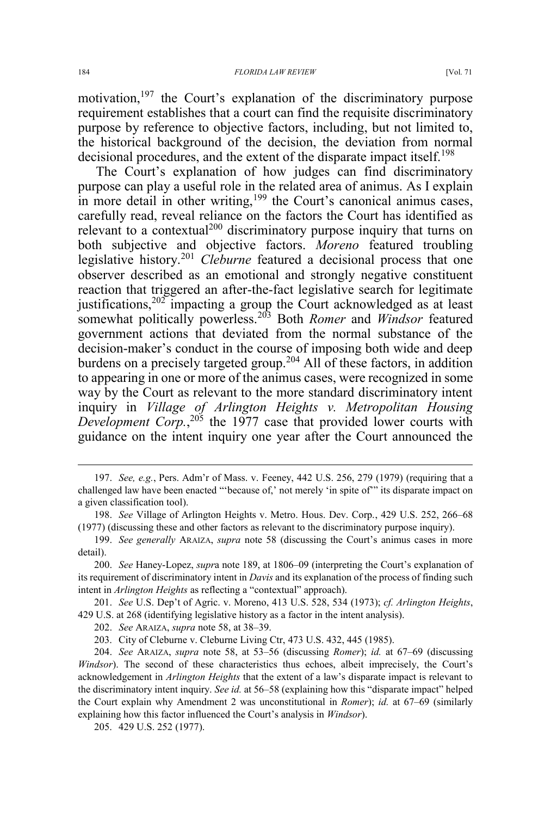motivation,<sup>197</sup> the Court's explanation of the discriminatory purpose requirement establishes that a court can find the requisite discriminatory purpose by reference to objective factors, including, but not limited to, the historical background of the decision, the deviation from normal decisional procedures, and the extent of the disparate impact itself.<sup>198</sup>

The Court's explanation of how judges can find discriminatory purpose can play a useful role in the related area of animus. As I explain in more detail in other writing,<sup>199</sup> the Court's canonical animus cases, carefully read, reveal reliance on the factors the Court has identified as relevant to a contextual<sup>200</sup> discriminatory purpose inquiry that turns on both subjective and objective factors. *Moreno* featured troubling legislative history.<sup>201</sup> *Cleburne* featured a decisional process that one observer described as an emotional and strongly negative constituent reaction that triggered an after-the-fact legislative search for legitimate justifications, $202$  impacting a group the Court acknowledged as at least somewhat politically powerless.<sup>203</sup> Both *Romer* and *Windsor* featured government actions that deviated from the normal substance of the decision-maker's conduct in the course of imposing both wide and deep burdens on a precisely targeted group.<sup>204</sup> All of these factors, in addition to appearing in one or more of the animus cases, were recognized in some way by the Court as relevant to the more standard discriminatory intent inquiry in *Village of Arlington Heights v. Metropolitan Housing*  Development Corp.,<sup>205</sup> the 1977 case that provided lower courts with guidance on the intent inquiry one year after the Court announced the

201. *See* U.S. Dep't of Agric. v. Moreno, 413 U.S. 528, 534 (1973); *cf. Arlington Heights*, 429 U.S. at 268 (identifying legislative history as a factor in the intent analysis).

 <sup>197.</sup> *See, e.g.*, Pers. Adm'r of Mass. v. Feeney, 442 U.S. 256, 279 (1979) (requiring that a challenged law have been enacted "'because of,' not merely 'in spite of'" its disparate impact on a given classification tool).

<sup>198.</sup> *See* Village of Arlington Heights v. Metro. Hous. Dev. Corp., 429 U.S. 252, 266–68 (1977) (discussing these and other factors as relevant to the discriminatory purpose inquiry).

<sup>199.</sup> *See generally* ARAIZA, *supra* note 58 (discussing the Court's animus cases in more detail).

<sup>200.</sup> *See* Haney-Lopez, *supr*a note 189, at 1806–09 (interpreting the Court's explanation of its requirement of discriminatory intent in *Davis* and its explanation of the process of finding such intent in *Arlington Heights* as reflecting a "contextual" approach).

<sup>202.</sup> *See* ARAIZA, *supra* note 58, at 38–39.

<sup>203.</sup> City of Cleburne v. Cleburne Living Ctr, 473 U.S. 432, 445 (1985).

<sup>204.</sup> *See* ARAIZA, *supra* note 58, at 53–56 (discussing *Romer*); *id.* at 67–69 (discussing *Windsor*). The second of these characteristics thus echoes, albeit imprecisely, the Court's acknowledgement in *Arlington Heights* that the extent of a law's disparate impact is relevant to the discriminatory intent inquiry. *See id.* at 56–58 (explaining how this "disparate impact" helped the Court explain why Amendment 2 was unconstitutional in *Romer*); *id.* at 67–69 (similarly explaining how this factor influenced the Court's analysis in *Windsor*).

<sup>205. 429</sup> U.S. 252 (1977).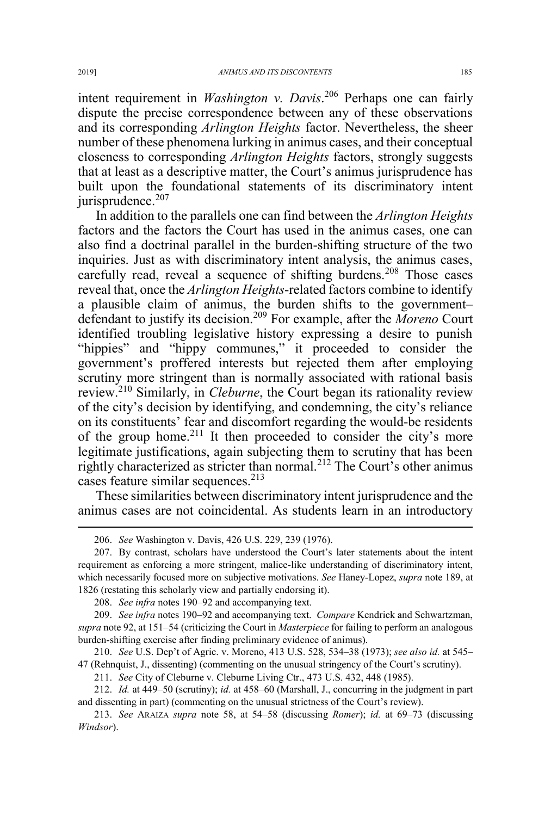intent requirement in *Washington v. Davis*. <sup>206</sup> Perhaps one can fairly dispute the precise correspondence between any of these observations and its corresponding *Arlington Heights* factor. Nevertheless, the sheer number of these phenomena lurking in animus cases, and their conceptual closeness to corresponding *Arlington Heights* factors, strongly suggests that at least as a descriptive matter, the Court's animus jurisprudence has built upon the foundational statements of its discriminatory intent jurisprudence. $207$ 

In addition to the parallels one can find between the *Arlington Heights* factors and the factors the Court has used in the animus cases, one can also find a doctrinal parallel in the burden-shifting structure of the two inquiries. Just as with discriminatory intent analysis, the animus cases, carefully read, reveal a sequence of shifting burdens.<sup>208</sup> Those cases reveal that, once the *Arlington Heights*-related factors combine to identify a plausible claim of animus, the burden shifts to the government– defendant to justify its decision.<sup>209</sup> For example, after the *Moreno* Court identified troubling legislative history expressing a desire to punish "hippies" and "hippy communes," it proceeded to consider the government's proffered interests but rejected them after employing scrutiny more stringent than is normally associated with rational basis review.<sup>210</sup> Similarly, in *Cleburne*, the Court began its rationality review of the city's decision by identifying, and condemning, the city's reliance on its constituents' fear and discomfort regarding the would-be residents of the group home.<sup>211</sup> It then proceeded to consider the city's more legitimate justifications, again subjecting them to scrutiny that has been rightly characterized as stricter than normal.<sup>212</sup> The Court's other animus cases feature similar sequences. $213$ 

These similarities between discriminatory intent jurisprudence and the animus cases are not coincidental. As students learn in an introductory

208. *See infra* notes 190–92 and accompanying text.

210. *See* U.S. Dep't of Agric. v. Moreno, 413 U.S. 528, 534–38 (1973); *see also id.* at 545– 47 (Rehnquist, J., dissenting) (commenting on the unusual stringency of the Court's scrutiny).

211. *See* City of Cleburne v. Cleburne Living Ctr., 473 U.S. 432, 448 (1985).

212. *Id.* at 449–50 (scrutiny); *id.* at 458–60 (Marshall, J., concurring in the judgment in part and dissenting in part) (commenting on the unusual strictness of the Court's review).

 <sup>206.</sup> *See* Washington v. Davis, 426 U.S. 229, 239 (1976).

<sup>207.</sup> By contrast, scholars have understood the Court's later statements about the intent requirement as enforcing a more stringent, malice-like understanding of discriminatory intent, which necessarily focused more on subjective motivations. *See* Haney-Lopez, *supra* note 189, at 1826 (restating this scholarly view and partially endorsing it).

<sup>209.</sup> *See infra* notes 190–92 and accompanying text. *Compare* Kendrick and Schwartzman, *supra* note 92, at 151–54 (criticizing the Court in *Masterpiece* for failing to perform an analogous burden-shifting exercise after finding preliminary evidence of animus).

<sup>213.</sup> *See* ARAIZA *supra* note 58, at 54–58 (discussing *Romer*); *id.* at 69–73 (discussing *Windsor*).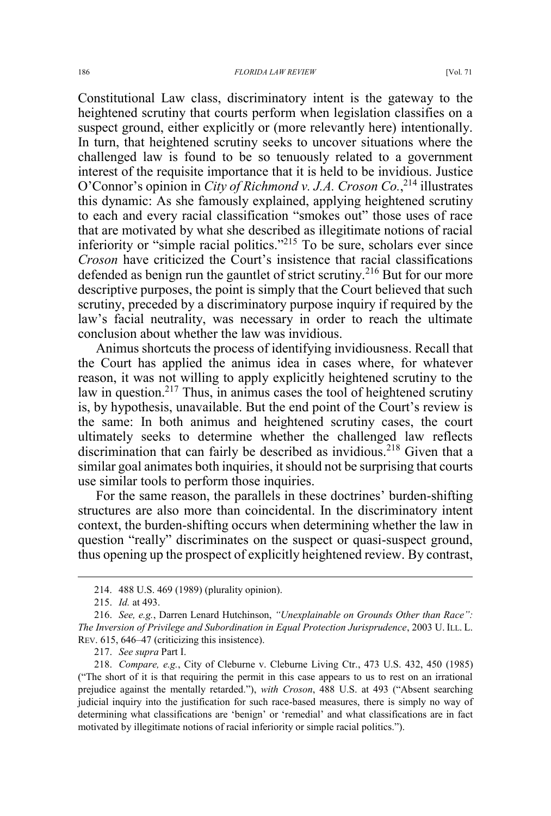#### 186 *FLORIDA LAW REVIEW* [Vol. 71

Constitutional Law class, discriminatory intent is the gateway to the heightened scrutiny that courts perform when legislation classifies on a suspect ground, either explicitly or (more relevantly here) intentionally. In turn, that heightened scrutiny seeks to uncover situations where the challenged law is found to be so tenuously related to a government interest of the requisite importance that it is held to be invidious. Justice O'Connor's opinion in *City of Richmond v. J.A. Croson Co.*, <sup>214</sup> illustrates this dynamic: As she famously explained, applying heightened scrutiny to each and every racial classification "smokes out" those uses of race that are motivated by what she described as illegitimate notions of racial inferiority or "simple racial politics."<sup>215</sup> To be sure, scholars ever since *Croson* have criticized the Court's insistence that racial classifications defended as benign run the gauntlet of strict scrutiny.<sup>216</sup> But for our more descriptive purposes, the point is simply that the Court believed that such scrutiny, preceded by a discriminatory purpose inquiry if required by the law's facial neutrality, was necessary in order to reach the ultimate conclusion about whether the law was invidious.

Animus shortcuts the process of identifying invidiousness. Recall that the Court has applied the animus idea in cases where, for whatever reason, it was not willing to apply explicitly heightened scrutiny to the law in question.<sup>217</sup> Thus, in animus cases the tool of heightened scrutiny is, by hypothesis, unavailable. But the end point of the Court's review is the same: In both animus and heightened scrutiny cases, the court ultimately seeks to determine whether the challenged law reflects discrimination that can fairly be described as invidious.<sup>218</sup> Given that a similar goal animates both inquiries, it should not be surprising that courts use similar tools to perform those inquiries.

For the same reason, the parallels in these doctrines' burden-shifting structures are also more than coincidental. In the discriminatory intent context, the burden-shifting occurs when determining whether the law in question "really" discriminates on the suspect or quasi-suspect ground, thus opening up the prospect of explicitly heightened review. By contrast,

 <sup>214. 488</sup> U.S. 469 (1989) (plurality opinion).

<sup>215.</sup> *Id.* at 493.

<sup>216.</sup> *See, e.g.*, Darren Lenard Hutchinson, *"Unexplainable on Grounds Other than Race": The Inversion of Privilege and Subordination in Equal Protection Jurisprudence*, 2003 U. ILL. L. REV. 615, 646–47 (criticizing this insistence).

<sup>217.</sup> *See supra* Part I.

<sup>218.</sup> *Compare, e.g.*, City of Cleburne v. Cleburne Living Ctr., 473 U.S. 432, 450 (1985) ("The short of it is that requiring the permit in this case appears to us to rest on an irrational prejudice against the mentally retarded."), *with Croson*, 488 U.S. at 493 ("Absent searching judicial inquiry into the justification for such race-based measures, there is simply no way of determining what classifications are 'benign' or 'remedial' and what classifications are in fact motivated by illegitimate notions of racial inferiority or simple racial politics.").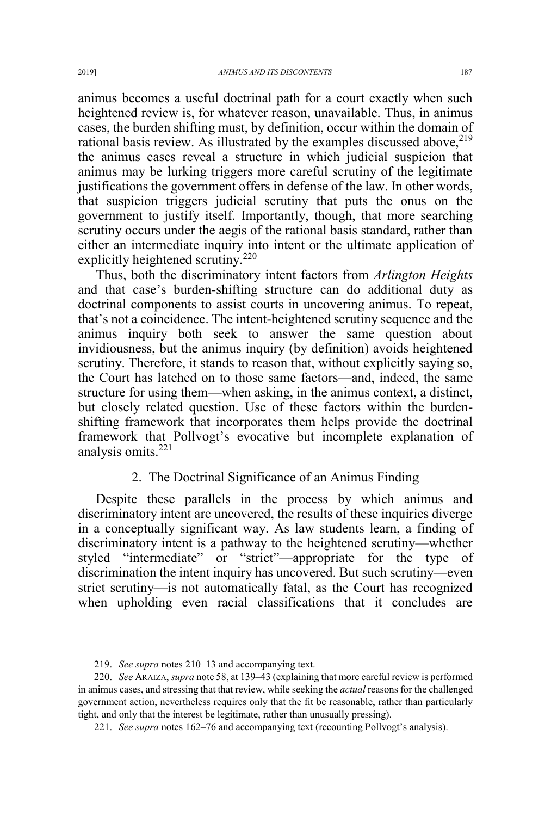animus becomes a useful doctrinal path for a court exactly when such heightened review is, for whatever reason, unavailable. Thus, in animus cases, the burden shifting must, by definition, occur within the domain of rational basis review. As illustrated by the examples discussed above, <sup>219</sup> the animus cases reveal a structure in which judicial suspicion that animus may be lurking triggers more careful scrutiny of the legitimate justifications the government offers in defense of the law. In other words, that suspicion triggers judicial scrutiny that puts the onus on the government to justify itself. Importantly, though, that more searching scrutiny occurs under the aegis of the rational basis standard, rather than either an intermediate inquiry into intent or the ultimate application of explicitly heightened scrutiny.<sup>220</sup>

Thus, both the discriminatory intent factors from *Arlington Heights*  and that case's burden-shifting structure can do additional duty as doctrinal components to assist courts in uncovering animus. To repeat, that's not a coincidence. The intent-heightened scrutiny sequence and the animus inquiry both seek to answer the same question about invidiousness, but the animus inquiry (by definition) avoids heightened scrutiny. Therefore, it stands to reason that, without explicitly saying so, the Court has latched on to those same factors—and, indeed, the same structure for using them—when asking, in the animus context, a distinct, but closely related question. Use of these factors within the burdenshifting framework that incorporates them helps provide the doctrinal framework that Pollvogt's evocative but incomplete explanation of analysis omits.<sup>221</sup>

## 2. The Doctrinal Significance of an Animus Finding

Despite these parallels in the process by which animus and discriminatory intent are uncovered, the results of these inquiries diverge in a conceptually significant way. As law students learn, a finding of discriminatory intent is a pathway to the heightened scrutiny—whether styled "intermediate" or "strict"—appropriate for the type of discrimination the intent inquiry has uncovered. But such scrutiny—even strict scrutiny—is not automatically fatal, as the Court has recognized when upholding even racial classifications that it concludes are

 <sup>219.</sup> *See supra* notes 210–13 and accompanying text.

<sup>220.</sup> *See* ARAIZA, *supra* note 58, at 139–43 (explaining that more careful review is performed in animus cases, and stressing that that review, while seeking the *actual* reasons for the challenged government action, nevertheless requires only that the fit be reasonable, rather than particularly tight, and only that the interest be legitimate, rather than unusually pressing).

<sup>221.</sup> *See supra* notes 162–76 and accompanying text (recounting Pollvogt's analysis).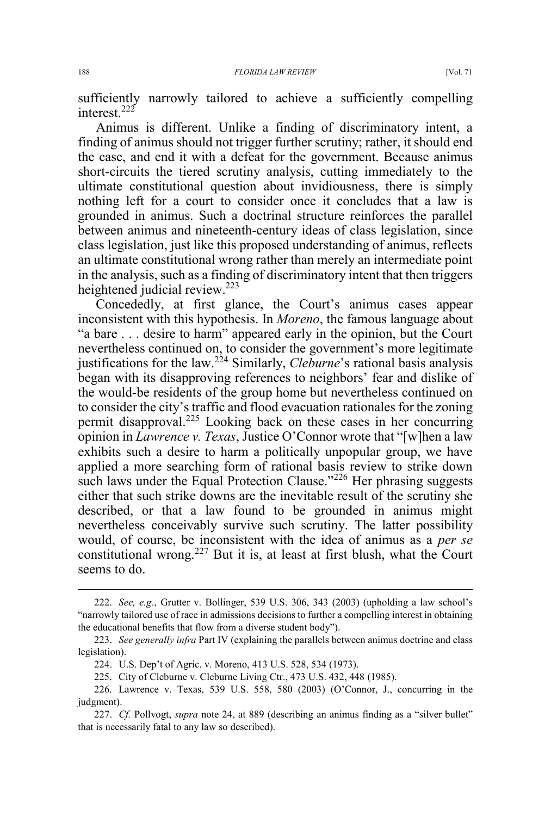sufficiently narrowly tailored to achieve a sufficiently compelling interest.<sup>222</sup>

Animus is different. Unlike a finding of discriminatory intent, a finding of animus should not trigger further scrutiny; rather, it should end the case, and end it with a defeat for the government. Because animus short-circuits the tiered scrutiny analysis, cutting immediately to the ultimate constitutional question about invidiousness, there is simply nothing left for a court to consider once it concludes that a law is grounded in animus. Such a doctrinal structure reinforces the parallel between animus and nineteenth-century ideas of class legislation, since class legislation, just like this proposed understanding of animus, reflects an ultimate constitutional wrong rather than merely an intermediate point in the analysis, such as a finding of discriminatory intent that then triggers heightened judicial review.<sup>223</sup>

Concededly, at first glance, the Court's animus cases appear inconsistent with this hypothesis. In *Moreno*, the famous language about "a bare . . . desire to harm" appeared early in the opinion, but the Court nevertheless continued on, to consider the government's more legitimate justifications for the law.<sup>224</sup> Similarly, *Cleburne*'s rational basis analysis began with its disapproving references to neighbors' fear and dislike of the would-be residents of the group home but nevertheless continued on to consider the city's traffic and flood evacuation rationales for the zoning permit disapproval.<sup>225</sup> Looking back on these cases in her concurring opinion in *Lawrence v. Texas*, Justice O'Connor wrote that "[w]hen a law exhibits such a desire to harm a politically unpopular group, we have applied a more searching form of rational basis review to strike down such laws under the Equal Protection Clause."<sup>226</sup> Her phrasing suggests either that such strike downs are the inevitable result of the scrutiny she described, or that a law found to be grounded in animus might nevertheless conceivably survive such scrutiny. The latter possibility would, of course, be inconsistent with the idea of animus as a *per se* constitutional wrong.<sup>227</sup> But it is, at least at first blush, what the Court seems to do.

 <sup>222.</sup> *See, e.g.*, Grutter v. Bollinger, 539 U.S. 306, 343 (2003) (upholding a law school's "narrowly tailored use of race in admissions decisions to further a compelling interest in obtaining the educational benefits that flow from a diverse student body").

<sup>223.</sup> *See generally infra* Part IV (explaining the parallels between animus doctrine and class legislation).

<sup>224.</sup> U.S. Dep't of Agric. v. Moreno, 413 U.S. 528, 534 (1973).

<sup>225.</sup> City of Cleburne v. Cleburne Living Ctr., 473 U.S. 432, 448 (1985).

<sup>226.</sup> Lawrence v. Texas, 539 U.S. 558, 580 (2003) (O'Connor, J., concurring in the judgment).

<sup>227.</sup> *Cf.* Pollvogt, *supra* note 24, at 889 (describing an animus finding as a "silver bullet" that is necessarily fatal to any law so described).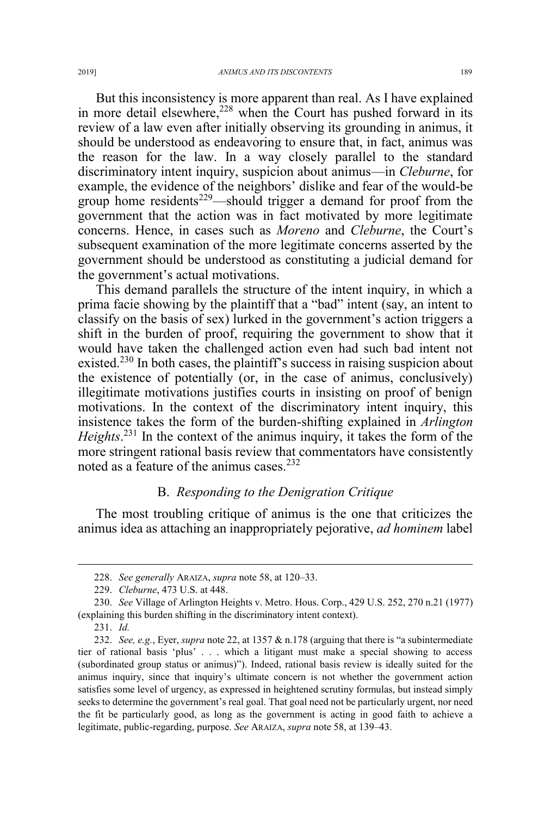But this inconsistency is more apparent than real. As I have explained in more detail elsewhere,<sup>228</sup> when the Court has pushed forward in its review of a law even after initially observing its grounding in animus, it should be understood as endeavoring to ensure that, in fact, animus was the reason for the law. In a way closely parallel to the standard discriminatory intent inquiry, suspicion about animus—in *Cleburne*, for example, the evidence of the neighbors' dislike and fear of the would-be group home residents<sup>229</sup>—should trigger a demand for proof from the government that the action was in fact motivated by more legitimate concerns. Hence, in cases such as *Moreno* and *Cleburne*, the Court's subsequent examination of the more legitimate concerns asserted by the government should be understood as constituting a judicial demand for the government's actual motivations.

This demand parallels the structure of the intent inquiry, in which a prima facie showing by the plaintiff that a "bad" intent (say, an intent to classify on the basis of sex) lurked in the government's action triggers a shift in the burden of proof, requiring the government to show that it would have taken the challenged action even had such bad intent not existed.<sup>230</sup> In both cases, the plaintiff's success in raising suspicion about the existence of potentially (or, in the case of animus, conclusively) illegitimate motivations justifies courts in insisting on proof of benign motivations. In the context of the discriminatory intent inquiry, this insistence takes the form of the burden-shifting explained in *Arlington Heights*. <sup>231</sup> In the context of the animus inquiry, it takes the form of the more stringent rational basis review that commentators have consistently noted as a feature of the animus cases.<sup>232</sup>

# B. *Responding to the Denigration Critique*

The most troubling critique of animus is the one that criticizes the animus idea as attaching an inappropriately pejorative, *ad hominem* label

 <sup>228.</sup> *See generally* ARAIZA, *supra* note 58, at 120–33.

<sup>229.</sup> *Cleburne*, 473 U.S. at 448.

<sup>230.</sup> *See* Village of Arlington Heights v. Metro. Hous. Corp., 429 U.S. 252, 270 n.21 (1977) (explaining this burden shifting in the discriminatory intent context).

<sup>231.</sup> *Id.*

<sup>232.</sup> *See, e.g.*, Eyer, *supra* note 22, at 1357 & n.178 (arguing that there is "a subintermediate tier of rational basis 'plus' . . . which a litigant must make a special showing to access (subordinated group status or animus)"). Indeed, rational basis review is ideally suited for the animus inquiry, since that inquiry's ultimate concern is not whether the government action satisfies some level of urgency, as expressed in heightened scrutiny formulas, but instead simply seeks to determine the government's real goal. That goal need not be particularly urgent, nor need the fit be particularly good, as long as the government is acting in good faith to achieve a legitimate, public-regarding, purpose. *See* ARAIZA, *supra* note 58, at 139–43.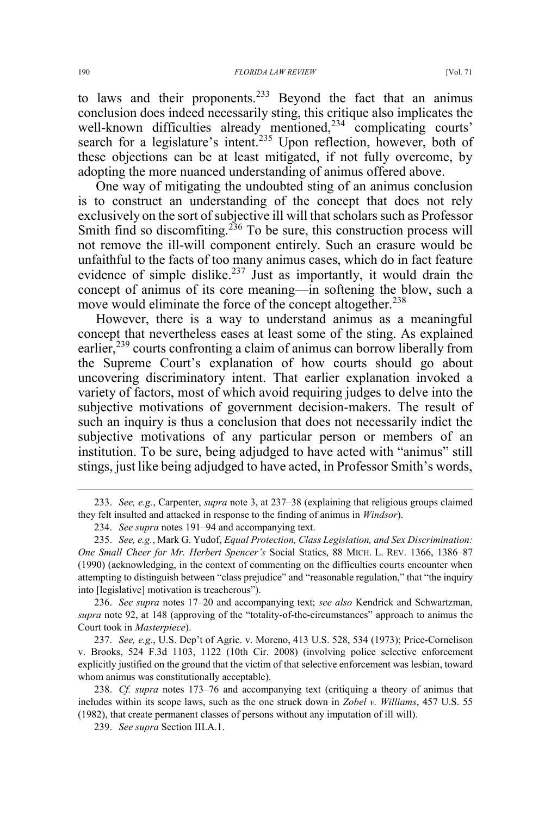to laws and their proponents.<sup>233</sup> Beyond the fact that an animus conclusion does indeed necessarily sting, this critique also implicates the well-known difficulties already mentioned,<sup>234</sup> complicating courts' search for a legislature's intent.<sup>235</sup> Upon reflection, however, both of these objections can be at least mitigated, if not fully overcome, by adopting the more nuanced understanding of animus offered above.

One way of mitigating the undoubted sting of an animus conclusion is to construct an understanding of the concept that does not rely exclusively on the sort of subjective ill will that scholars such as Professor Smith find so discomfiting.<sup>236</sup> To be sure, this construction process will not remove the ill-will component entirely. Such an erasure would be unfaithful to the facts of too many animus cases, which do in fact feature evidence of simple dislike.<sup>237</sup> Just as importantly, it would drain the concept of animus of its core meaning—in softening the blow, such a move would eliminate the force of the concept altogether.<sup>238</sup>

However, there is a way to understand animus as a meaningful concept that nevertheless eases at least some of the sting. As explained earlier,  $239$  courts confronting a claim of animus can borrow liberally from the Supreme Court's explanation of how courts should go about uncovering discriminatory intent. That earlier explanation invoked a variety of factors, most of which avoid requiring judges to delve into the subjective motivations of government decision-makers. The result of such an inquiry is thus a conclusion that does not necessarily indict the subjective motivations of any particular person or members of an institution. To be sure, being adjudged to have acted with "animus" still stings, just like being adjudged to have acted, in Professor Smith's words,

237. *See, e.g.*, U.S. Dep't of Agric. v. Moreno, 413 U.S. 528, 534 (1973); Price-Cornelison v. Brooks, 524 F.3d 1103, 1122 (10th Cir. 2008) (involving police selective enforcement explicitly justified on the ground that the victim of that selective enforcement was lesbian, toward whom animus was constitutionally acceptable).

238. *Cf. supra* notes 173–76 and accompanying text (critiquing a theory of animus that includes within its scope laws, such as the one struck down in *Zobel v. Williams*, 457 U.S. 55 (1982), that create permanent classes of persons without any imputation of ill will).

 <sup>233.</sup> *See, e.g.*, Carpenter, *supra* note 3, at 237–38 (explaining that religious groups claimed they felt insulted and attacked in response to the finding of animus in *Windsor*).

<sup>234.</sup> *See supra* notes 191–94 and accompanying text.

<sup>235.</sup> *See, e.g.*, Mark G. Yudof, *Equal Protection, Class Legislation, and Sex Discrimination: One Small Cheer for Mr. Herbert Spencer's* Social Statics, 88 MICH. L. REV. 1366, 1386–87 (1990) (acknowledging, in the context of commenting on the difficulties courts encounter when attempting to distinguish between "class prejudice" and "reasonable regulation," that "the inquiry into [legislative] motivation is treacherous").

<sup>236.</sup> *See supra* notes 17–20 and accompanying text; *see also* Kendrick and Schwartzman, *supra* note 92, at 148 (approving of the "totality-of-the-circumstances" approach to animus the Court took in *Masterpiece*).

<sup>239.</sup> *See supra* Section III.A.1.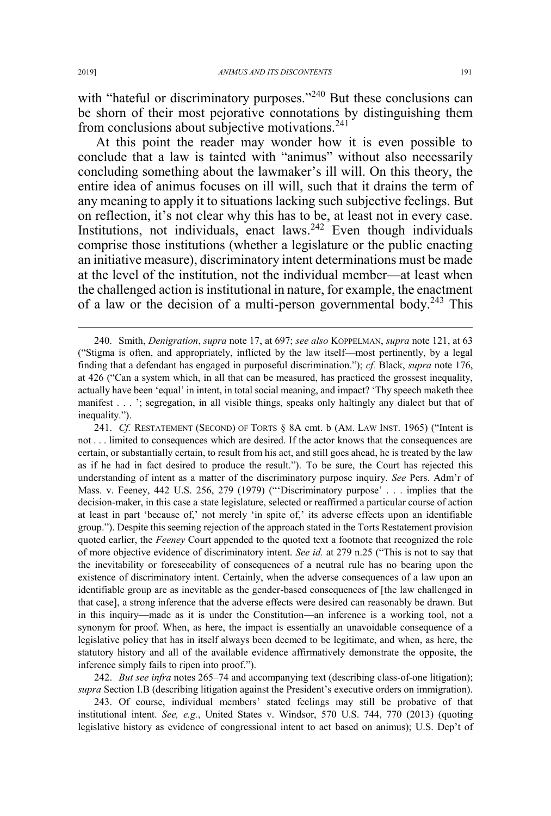with "hateful or discriminatory purposes."<sup>240</sup> But these conclusions can be shorn of their most pejorative connotations by distinguishing them from conclusions about subjective motivations.<sup>241</sup>

At this point the reader may wonder how it is even possible to conclude that a law is tainted with "animus" without also necessarily concluding something about the lawmaker's ill will. On this theory, the entire idea of animus focuses on ill will, such that it drains the term of any meaning to apply it to situations lacking such subjective feelings. But on reflection, it's not clear why this has to be, at least not in every case. Institutions, not individuals, enact laws.  $242$  Even though individuals comprise those institutions (whether a legislature or the public enacting an initiative measure), discriminatory intent determinations must be made at the level of the institution, not the individual member—at least when the challenged action is institutional in nature, for example, the enactment of a law or the decision of a multi-person governmental body.<sup>243</sup> This

242. *But see infra* notes 265–74 and accompanying text (describing class-of-one litigation); *supra* Section I.B (describing litigation against the President's executive orders on immigration).

243. Of course, individual members' stated feelings may still be probative of that institutional intent. *See, e.g.*, United States v. Windsor, 570 U.S. 744, 770 (2013) (quoting legislative history as evidence of congressional intent to act based on animus); U.S. Dep't of

 <sup>240.</sup> Smith, *Denigration*, *supra* note 17, at 697; *see also* KOPPELMAN, *supra* note 121, at 63 ("Stigma is often, and appropriately, inflicted by the law itself—most pertinently, by a legal finding that a defendant has engaged in purposeful discrimination."); *cf.* Black, *supra* note 176, at 426 ("Can a system which, in all that can be measured, has practiced the grossest inequality, actually have been 'equal' in intent, in total social meaning, and impact? 'Thy speech maketh thee manifest . . . '; segregation, in all visible things, speaks only haltingly any dialect but that of inequality.").

<sup>241.</sup> *Cf.* RESTATEMENT (SECOND) OF TORTS § 8A cmt. b (AM. LAW INST. 1965) ("Intent is not . . . limited to consequences which are desired. If the actor knows that the consequences are certain, or substantially certain, to result from his act, and still goes ahead, he is treated by the law as if he had in fact desired to produce the result."). To be sure, the Court has rejected this understanding of intent as a matter of the discriminatory purpose inquiry. *See* Pers. Adm'r of Mass. v. Feeney, 442 U.S. 256, 279 (1979) ("'Discriminatory purpose' . . . implies that the decision-maker, in this case a state legislature, selected or reaffirmed a particular course of action at least in part 'because of,' not merely 'in spite of,' its adverse effects upon an identifiable group."). Despite this seeming rejection of the approach stated in the Torts Restatement provision quoted earlier, the *Feeney* Court appended to the quoted text a footnote that recognized the role of more objective evidence of discriminatory intent. *See id.* at 279 n.25 ("This is not to say that the inevitability or foreseeability of consequences of a neutral rule has no bearing upon the existence of discriminatory intent. Certainly, when the adverse consequences of a law upon an identifiable group are as inevitable as the gender-based consequences of [the law challenged in that case], a strong inference that the adverse effects were desired can reasonably be drawn. But in this inquiry—made as it is under the Constitution—an inference is a working tool, not a synonym for proof. When, as here, the impact is essentially an unavoidable consequence of a legislative policy that has in itself always been deemed to be legitimate, and when, as here, the statutory history and all of the available evidence affirmatively demonstrate the opposite, the inference simply fails to ripen into proof.").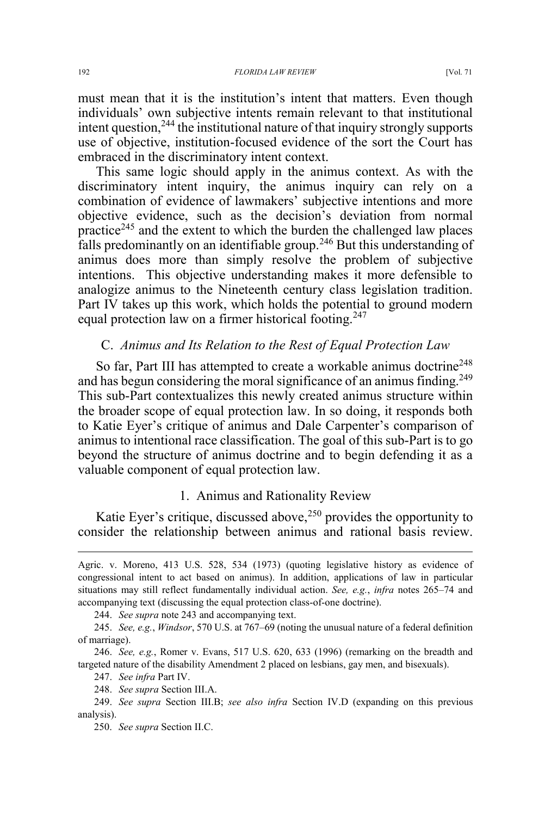must mean that it is the institution's intent that matters. Even though individuals' own subjective intents remain relevant to that institutional intent question,<sup>244</sup> the institutional nature of that inquiry strongly supports use of objective, institution-focused evidence of the sort the Court has embraced in the discriminatory intent context.

This same logic should apply in the animus context. As with the discriminatory intent inquiry, the animus inquiry can rely on a combination of evidence of lawmakers' subjective intentions and more objective evidence, such as the decision's deviation from normal practice<sup>245</sup> and the extent to which the burden the challenged law places falls predominantly on an identifiable group.<sup>246</sup> But this understanding of animus does more than simply resolve the problem of subjective intentions. This objective understanding makes it more defensible to analogize animus to the Nineteenth century class legislation tradition. Part IV takes up this work, which holds the potential to ground modern equal protection law on a firmer historical footing.<sup>247</sup>

#### C. *Animus and Its Relation to the Rest of Equal Protection Law*

So far, Part III has attempted to create a workable animus doctrine<sup>248</sup> and has begun considering the moral significance of an animus finding.<sup>249</sup> This sub-Part contextualizes this newly created animus structure within the broader scope of equal protection law. In so doing, it responds both to Katie Eyer's critique of animus and Dale Carpenter's comparison of animus to intentional race classification. The goal of this sub-Part is to go beyond the structure of animus doctrine and to begin defending it as a valuable component of equal protection law.

## 1. Animus and Rationality Review

Katie Eyer's critique, discussed above,  $250$  provides the opportunity to consider the relationship between animus and rational basis review.

 $\overline{a}$ 

Agric. v. Moreno, 413 U.S. 528, 534 (1973) (quoting legislative history as evidence of congressional intent to act based on animus). In addition, applications of law in particular situations may still reflect fundamentally individual action. *See, e.g.*, *infra* notes 265–74 and accompanying text (discussing the equal protection class-of-one doctrine).

<sup>244.</sup> *See supra* note 243 and accompanying text.

<sup>245.</sup> *See, e.g.*, *Windsor*, 570 U.S. at 767–69 (noting the unusual nature of a federal definition of marriage).

<sup>246.</sup> *See, e.g.*, Romer v. Evans, 517 U.S. 620, 633 (1996) (remarking on the breadth and targeted nature of the disability Amendment 2 placed on lesbians, gay men, and bisexuals).

<sup>247.</sup> *See infra* Part IV.

<sup>248.</sup> *See supra* Section III.A.

<sup>249.</sup> *See supra* Section III.B; *see also infra* Section IV.D (expanding on this previous analysis).

<sup>250.</sup> *See supra* Section II.C.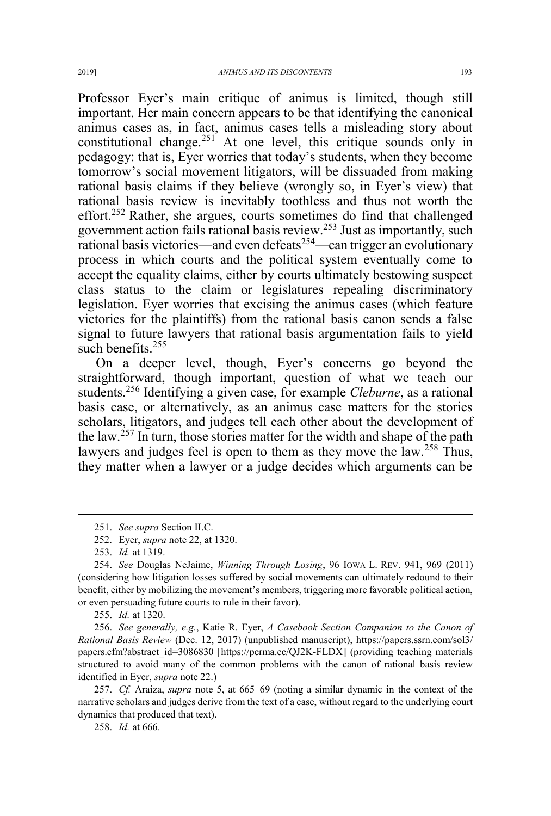Professor Eyer's main critique of animus is limited, though still important. Her main concern appears to be that identifying the canonical animus cases as, in fact, animus cases tells a misleading story about constitutional change.<sup>251</sup> At one level, this critique sounds only in pedagogy: that is, Eyer worries that today's students, when they become tomorrow's social movement litigators, will be dissuaded from making rational basis claims if they believe (wrongly so, in Eyer's view) that rational basis review is inevitably toothless and thus not worth the effort.<sup>252</sup> Rather, she argues, courts sometimes do find that challenged government action fails rational basis review.<sup>253</sup> Just as importantly, such rational basis victories—and even defeats<sup>254</sup>—can trigger an evolutionary process in which courts and the political system eventually come to accept the equality claims, either by courts ultimately bestowing suspect class status to the claim or legislatures repealing discriminatory legislation. Eyer worries that excising the animus cases (which feature victories for the plaintiffs) from the rational basis canon sends a false signal to future lawyers that rational basis argumentation fails to yield such benefits  $255$ 

On a deeper level, though, Eyer's concerns go beyond the straightforward, though important, question of what we teach our students.<sup>256</sup> Identifying a given case, for example *Cleburne*, as a rational basis case, or alternatively, as an animus case matters for the stories scholars, litigators, and judges tell each other about the development of the law.<sup>257</sup> In turn, those stories matter for the width and shape of the path lawyers and judges feel is open to them as they move the  $law<sup>258</sup>$ . Thus, they matter when a lawyer or a judge decides which arguments can be

255. *Id.* at 1320.

256. *See generally, e.g.*, Katie R. Eyer, *A Casebook Section Companion to the Canon of Rational Basis Review* (Dec. 12, 2017) (unpublished manuscript), https://papers.ssrn.com/sol3/ papers.cfm?abstract\_id=3086830 [https://perma.cc/QJ2K-FLDX] (providing teaching materials structured to avoid many of the common problems with the canon of rational basis review identified in Eyer, *supra* note 22.)

257. *Cf.* Araiza, *supra* note 5, at 665–69 (noting a similar dynamic in the context of the narrative scholars and judges derive from the text of a case, without regard to the underlying court dynamics that produced that text).

258. *Id.* at 666.

 <sup>251.</sup> *See supra* Section II.C.

<sup>252.</sup> Eyer, *supra* note 22, at 1320.

<sup>253.</sup> *Id.* at 1319.

<sup>254.</sup> *See* Douglas NeJaime, *Winning Through Losing*, 96 IOWA L. REV. 941, 969 (2011) (considering how litigation losses suffered by social movements can ultimately redound to their benefit, either by mobilizing the movement's members, triggering more favorable political action, or even persuading future courts to rule in their favor).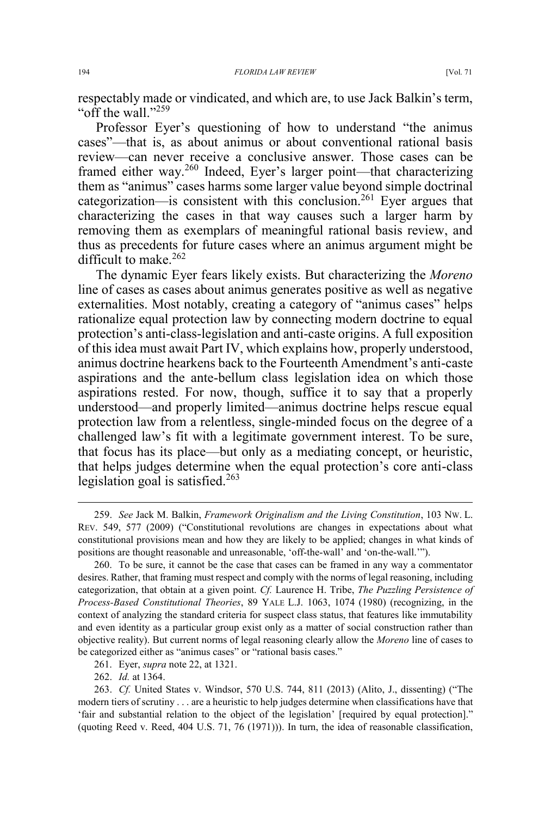respectably made or vindicated, and which are, to use Jack Balkin's term, "off the wall."<sup>259</sup>

Professor Eyer's questioning of how to understand "the animus cases"—that is, as about animus or about conventional rational basis review—can never receive a conclusive answer. Those cases can be framed either way.<sup>260</sup> Indeed, Eyer's larger point—that characterizing them as "animus" cases harms some larger value beyond simple doctrinal categorization—is consistent with this conclusion.<sup>261</sup> Eyer argues that characterizing the cases in that way causes such a larger harm by removing them as exemplars of meaningful rational basis review, and thus as precedents for future cases where an animus argument might be difficult to make. $262$ 

The dynamic Eyer fears likely exists. But characterizing the *Moreno* line of cases as cases about animus generates positive as well as negative externalities. Most notably, creating a category of "animus cases" helps rationalize equal protection law by connecting modern doctrine to equal protection's anti-class-legislation and anti-caste origins. A full exposition of this idea must await Part IV, which explains how, properly understood, animus doctrine hearkens back to the Fourteenth Amendment's anti-caste aspirations and the ante-bellum class legislation idea on which those aspirations rested. For now, though, suffice it to say that a properly understood—and properly limited—animus doctrine helps rescue equal protection law from a relentless, single-minded focus on the degree of a challenged law's fit with a legitimate government interest. To be sure, that focus has its place—but only as a mediating concept, or heuristic, that helps judges determine when the equal protection's core anti-class legislation goal is satisfied. $263$ 

262. *Id.* at 1364.

 <sup>259.</sup> *See* Jack M. Balkin, *Framework Originalism and the Living Constitution*, 103 NW. L. REV. 549, 577 (2009) ("Constitutional revolutions are changes in expectations about what constitutional provisions mean and how they are likely to be applied; changes in what kinds of positions are thought reasonable and unreasonable, 'off-the-wall' and 'on-the-wall.'").

<sup>260.</sup> To be sure, it cannot be the case that cases can be framed in any way a commentator desires. Rather, that framing must respect and comply with the norms of legal reasoning, including categorization, that obtain at a given point. *Cf.* Laurence H. Tribe, *The Puzzling Persistence of Process-Based Constitutional Theories*, 89 YALE L.J. 1063, 1074 (1980) (recognizing, in the context of analyzing the standard criteria for suspect class status, that features like immutability and even identity as a particular group exist only as a matter of social construction rather than objective reality). But current norms of legal reasoning clearly allow the *Moreno* line of cases to be categorized either as "animus cases" or "rational basis cases."

<sup>261.</sup> Eyer, *supra* note 22, at 1321.

<sup>263.</sup> *Cf.* United States v. Windsor, 570 U.S. 744, 811 (2013) (Alito, J., dissenting) ("The modern tiers of scrutiny . . . are a heuristic to help judges determine when classifications have that 'fair and substantial relation to the object of the legislation' [required by equal protection]." (quoting Reed v. Reed, 404 U.S. 71, 76 (1971))). In turn, the idea of reasonable classification,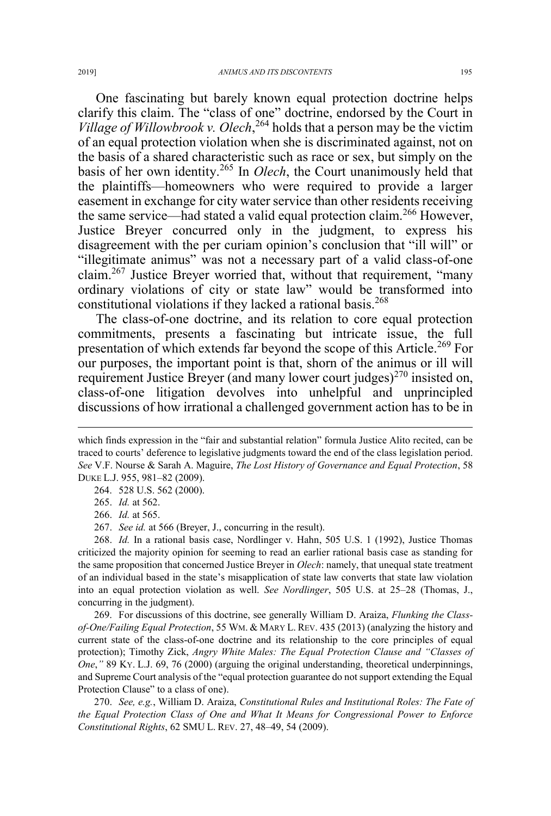One fascinating but barely known equal protection doctrine helps clarify this claim. The "class of one" doctrine, endorsed by the Court in *Village of Willowbrook v. Olech*, <sup>264</sup> holds that a person may be the victim of an equal protection violation when she is discriminated against, not on the basis of a shared characteristic such as race or sex, but simply on the basis of her own identity.<sup>265</sup> In *Olech*, the Court unanimously held that the plaintiffs—homeowners who were required to provide a larger easement in exchange for city water service than other residents receiving the same service—had stated a valid equal protection claim.<sup>266</sup> However, Justice Breyer concurred only in the judgment, to express his disagreement with the per curiam opinion's conclusion that "ill will" or "illegitimate animus" was not a necessary part of a valid class-of-one claim.<sup>267</sup> Justice Breyer worried that, without that requirement, "many" ordinary violations of city or state law" would be transformed into constitutional violations if they lacked a rational basis.<sup>268</sup>

The class-of-one doctrine, and its relation to core equal protection commitments, presents a fascinating but intricate issue, the full presentation of which extends far beyond the scope of this Article.<sup>269</sup> For our purposes, the important point is that, shorn of the animus or ill will requirement Justice Breyer (and many lower court judges)<sup>270</sup> insisted on, class-of-one litigation devolves into unhelpful and unprincipled discussions of how irrational a challenged government action has to be in

264. 528 U.S. 562 (2000).

265. *Id.* at 562.

 $\overline{a}$ 

266. *Id.* at 565.

267. *See id.* at 566 (Breyer, J., concurring in the result).

268. *Id.* In a rational basis case, Nordlinger v. Hahn, 505 U.S. 1 (1992), Justice Thomas criticized the majority opinion for seeming to read an earlier rational basis case as standing for the same proposition that concerned Justice Breyer in *Olech*: namely, that unequal state treatment of an individual based in the state's misapplication of state law converts that state law violation into an equal protection violation as well. *See Nordlinger*, 505 U.S. at 25–28 (Thomas, J., concurring in the judgment).

269. For discussions of this doctrine, see generally William D. Araiza, *Flunking the Classof-One/Failing Equal Protection*, 55 WM.&MARY L. REV. 435 (2013) (analyzing the history and current state of the class-of-one doctrine and its relationship to the core principles of equal protection); Timothy Zick, *Angry White Males: The Equal Protection Clause and "Classes of One*,*"* 89 KY. L.J. 69, 76 (2000) (arguing the original understanding, theoretical underpinnings, and Supreme Court analysis of the "equal protection guarantee do not support extending the Equal Protection Clause" to a class of one).

270. *See, e.g.*, William D. Araiza, *Constitutional Rules and Institutional Roles: The Fate of the Equal Protection Class of One and What It Means for Congressional Power to Enforce Constitutional Rights*, 62 SMU L. REV. 27, 48–49, 54 (2009).

which finds expression in the "fair and substantial relation" formula Justice Alito recited, can be traced to courts' deference to legislative judgments toward the end of the class legislation period. *See* V.F. Nourse & Sarah A. Maguire, *The Lost History of Governance and Equal Protection*, 58 DUKE L.J. 955, 981–82 (2009).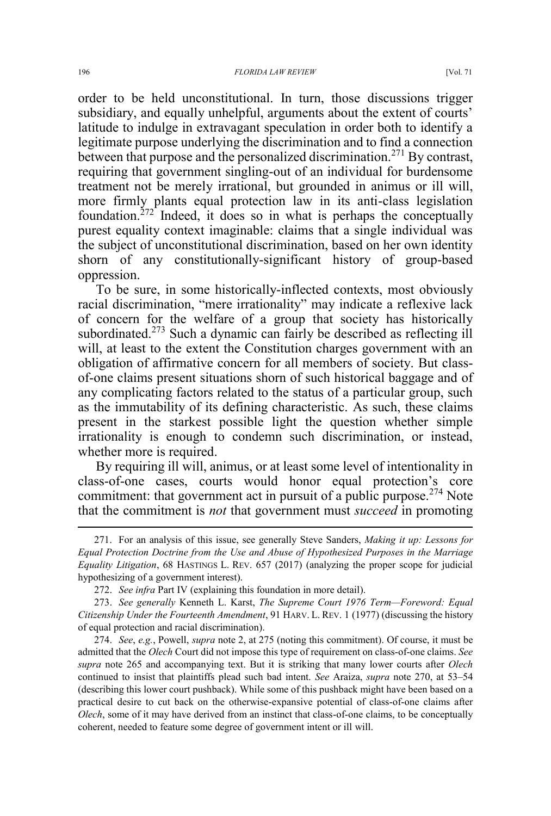order to be held unconstitutional. In turn, those discussions trigger subsidiary, and equally unhelpful, arguments about the extent of courts' latitude to indulge in extravagant speculation in order both to identify a legitimate purpose underlying the discrimination and to find a connection between that purpose and the personalized discrimination.<sup>271</sup> By contrast, requiring that government singling-out of an individual for burdensome treatment not be merely irrational, but grounded in animus or ill will, more firmly plants equal protection law in its anti-class legislation foundation.272 Indeed, it does so in what is perhaps the conceptually purest equality context imaginable: claims that a single individual was the subject of unconstitutional discrimination, based on her own identity shorn of any constitutionally-significant history of group-based oppression.

To be sure, in some historically-inflected contexts, most obviously racial discrimination, "mere irrationality" may indicate a reflexive lack of concern for the welfare of a group that society has historically subordinated.<sup>273</sup> Such a dynamic can fairly be described as reflecting ill will, at least to the extent the Constitution charges government with an obligation of affirmative concern for all members of society. But classof-one claims present situations shorn of such historical baggage and of any complicating factors related to the status of a particular group, such as the immutability of its defining characteristic. As such, these claims present in the starkest possible light the question whether simple irrationality is enough to condemn such discrimination, or instead, whether more is required.

By requiring ill will, animus, or at least some level of intentionality in class-of-one cases, courts would honor equal protection's core commitment: that government act in pursuit of a public purpose. $274$  Note that the commitment is *not* that government must *succeed* in promoting

 <sup>271.</sup> For an analysis of this issue, see generally Steve Sanders, *Making it up: Lessons for Equal Protection Doctrine from the Use and Abuse of Hypothesized Purposes in the Marriage Equality Litigation*, 68 HASTINGS L. REV. 657 (2017) (analyzing the proper scope for judicial hypothesizing of a government interest).

<sup>272.</sup> *See infra* Part IV (explaining this foundation in more detail).

<sup>273.</sup> *See generally* Kenneth L. Karst, *The Supreme Court 1976 Term—Foreword: Equal Citizenship Under the Fourteenth Amendment*, 91 HARV. L. REV. 1 (1977) (discussing the history of equal protection and racial discrimination).

<sup>274.</sup> *See*, *e.g.*, Powell, *supra* note 2, at 275 (noting this commitment). Of course, it must be admitted that the *Olech* Court did not impose this type of requirement on class-of-one claims. *See supra* note 265 and accompanying text. But it is striking that many lower courts after *Olech* continued to insist that plaintiffs plead such bad intent. *See* Araiza, *supra* note 270, at 53–54 (describing this lower court pushback). While some of this pushback might have been based on a practical desire to cut back on the otherwise-expansive potential of class-of-one claims after *Olech*, some of it may have derived from an instinct that class-of-one claims, to be conceptually coherent, needed to feature some degree of government intent or ill will.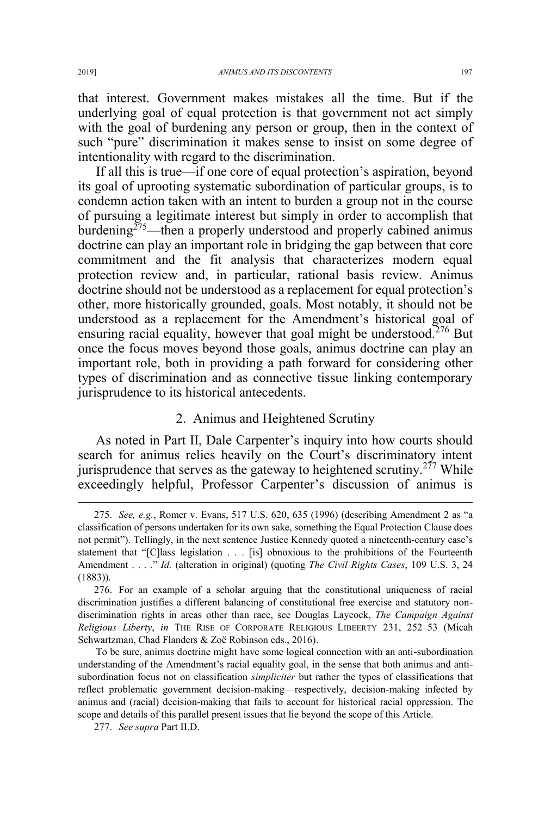that interest. Government makes mistakes all the time. But if the underlying goal of equal protection is that government not act simply with the goal of burdening any person or group, then in the context of such "pure" discrimination it makes sense to insist on some degree of intentionality with regard to the discrimination.

If all this is true—if one core of equal protection's aspiration, beyond its goal of uprooting systematic subordination of particular groups, is to condemn action taken with an intent to burden a group not in the course of pursuing a legitimate interest but simply in order to accomplish that burdening<sup>275</sup>—then a properly understood and properly cabined animus doctrine can play an important role in bridging the gap between that core commitment and the fit analysis that characterizes modern equal protection review and, in particular, rational basis review. Animus doctrine should not be understood as a replacement for equal protection's other, more historically grounded, goals. Most notably, it should not be understood as a replacement for the Amendment's historical goal of ensuring racial equality, however that goal might be understood.<sup>276</sup> But once the focus moves beyond those goals, animus doctrine can play an important role, both in providing a path forward for considering other types of discrimination and as connective tissue linking contemporary jurisprudence to its historical antecedents.

## 2. Animus and Heightened Scrutiny

As noted in Part II, Dale Carpenter's inquiry into how courts should search for animus relies heavily on the Court's discriminatory intent jurisprudence that serves as the gateway to heightened scrutiny.<sup>277</sup> While exceedingly helpful, Professor Carpenter's discussion of animus is

 <sup>275.</sup> *See, e.g.*, Romer v. Evans, 517 U.S. 620, 635 (1996) (describing Amendment 2 as "a classification of persons undertaken for its own sake, something the Equal Protection Clause does not permit"). Tellingly, in the next sentence Justice Kennedy quoted a nineteenth-century case's statement that "[C]lass legislation . . . [is] obnoxious to the prohibitions of the Fourteenth Amendment . . . ." *Id.* (alteration in original) (quoting *The Civil Rights Cases*, 109 U.S. 3, 24 (1883)).

<sup>276.</sup> For an example of a scholar arguing that the constitutional uniqueness of racial discrimination justifies a different balancing of constitutional free exercise and statutory nondiscrimination rights in areas other than race, see Douglas Laycock, *The Campaign Against Religious Liberty*, *in* THE RISE OF CORPORATE RELIGIOUS LIBEERTY 231, 252–53 (Micah Schwartzman, Chad Flanders & Zoë Robinson eds., 2016).

To be sure, animus doctrine might have some logical connection with an anti-subordination understanding of the Amendment's racial equality goal, in the sense that both animus and antisubordination focus not on classification *simpliciter* but rather the types of classifications that reflect problematic government decision-making—respectively, decision-making infected by animus and (racial) decision-making that fails to account for historical racial oppression. The scope and details of this parallel present issues that lie beyond the scope of this Article.

<sup>277.</sup> *See supra* Part II.D.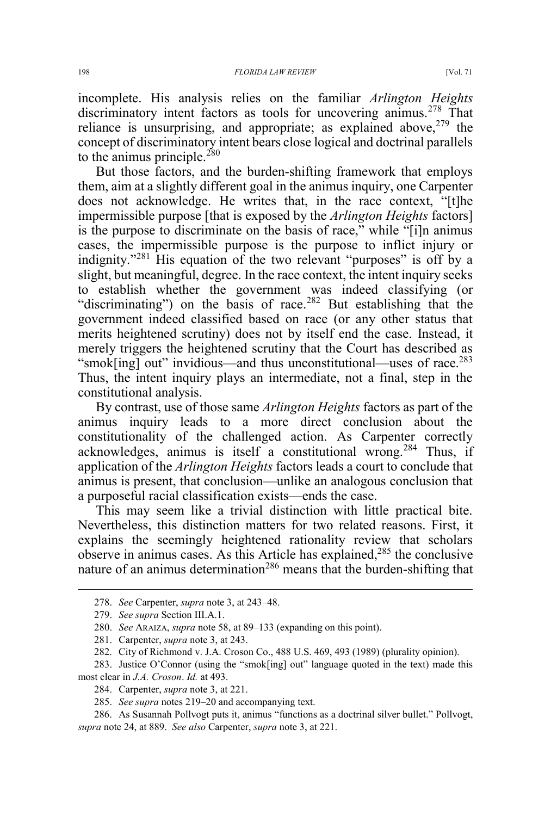incomplete. His analysis relies on the familiar *Arlington Heights* discriminatory intent factors as tools for uncovering animus.<sup>278</sup> That reliance is unsurprising, and appropriate; as explained above.<sup>279</sup> the concept of discriminatory intent bears close logical and doctrinal parallels to the animus principle.<sup>280</sup>

But those factors, and the burden-shifting framework that employs them, aim at a slightly different goal in the animus inquiry, one Carpenter does not acknowledge. He writes that, in the race context, "[t]he impermissible purpose [that is exposed by the *Arlington Heights* factors] is the purpose to discriminate on the basis of race," while "[i]n animus cases, the impermissible purpose is the purpose to inflict injury or indignity."<sup>281</sup> His equation of the two relevant "purposes" is off by a slight, but meaningful, degree. In the race context, the intent inquiry seeks to establish whether the government was indeed classifying (or "discriminating") on the basis of race.<sup>282</sup> But establishing that the government indeed classified based on race (or any other status that merits heightened scrutiny) does not by itself end the case. Instead, it merely triggers the heightened scrutiny that the Court has described as "smok[ing] out" invidious—and thus unconstitutional—uses of race.<sup>283</sup> Thus, the intent inquiry plays an intermediate, not a final, step in the constitutional analysis.

By contrast, use of those same *Arlington Heights* factors as part of the animus inquiry leads to a more direct conclusion about the constitutionality of the challenged action. As Carpenter correctly acknowledges, animus is itself a constitutional wrong.<sup>284</sup> Thus, if application of the *Arlington Heights* factors leads a court to conclude that animus is present, that conclusion—unlike an analogous conclusion that a purposeful racial classification exists—ends the case.

This may seem like a trivial distinction with little practical bite. Nevertheless, this distinction matters for two related reasons. First, it explains the seemingly heightened rationality review that scholars observe in animus cases. As this Article has explained,<sup>285</sup> the conclusive nature of an animus determination<sup>286</sup> means that the burden-shifting that

 <sup>278.</sup> *See* Carpenter, *supra* note 3, at 243–48.

<sup>279.</sup> *See supra* Section III.A.1.

<sup>280.</sup> *See* ARAIZA, *supra* note 58, at 89–133 (expanding on this point).

<sup>281.</sup> Carpenter, *supra* note 3, at 243.

<sup>282.</sup> City of Richmond v. J.A. Croson Co., 488 U.S. 469, 493 (1989) (plurality opinion).

<sup>283.</sup> Justice O'Connor (using the "smok[ing] out" language quoted in the text) made this most clear in *J.A. Croson*. *Id.* at 493.

<sup>284.</sup> Carpenter, *supra* note 3, at 221.

<sup>285.</sup> *See supra* notes 219–20 and accompanying text.

<sup>286.</sup> As Susannah Pollvogt puts it, animus "functions as a doctrinal silver bullet." Pollvogt, *supra* note 24, at 889. *See also* Carpenter, *supra* note 3, at 221.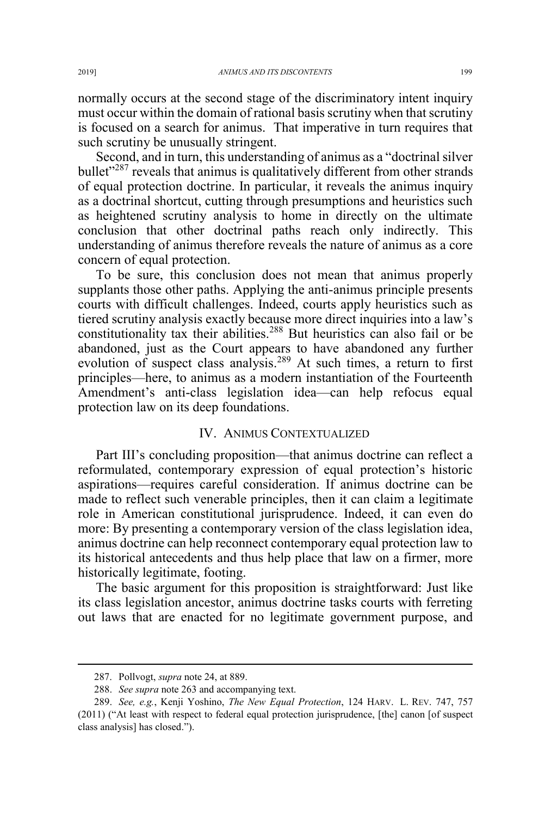normally occurs at the second stage of the discriminatory intent inquiry must occur within the domain of rational basis scrutiny when that scrutiny is focused on a search for animus. That imperative in turn requires that such scrutiny be unusually stringent.

Second, and in turn, this understanding of animus as a "doctrinal silver bullet<sup>"287</sup> reveals that animus is qualitatively different from other strands of equal protection doctrine. In particular, it reveals the animus inquiry as a doctrinal shortcut, cutting through presumptions and heuristics such as heightened scrutiny analysis to home in directly on the ultimate conclusion that other doctrinal paths reach only indirectly. This understanding of animus therefore reveals the nature of animus as a core concern of equal protection.

To be sure, this conclusion does not mean that animus properly supplants those other paths. Applying the anti-animus principle presents courts with difficult challenges. Indeed, courts apply heuristics such as tiered scrutiny analysis exactly because more direct inquiries into a law's constitutionality tax their abilities.<sup>288</sup> But heuristics can also fail or be abandoned, just as the Court appears to have abandoned any further evolution of suspect class analysis.<sup>289</sup> At such times, a return to first principles—here, to animus as a modern instantiation of the Fourteenth Amendment's anti-class legislation idea—can help refocus equal protection law on its deep foundations.

#### IV. ANIMUS CONTEXTUALIZED

Part III's concluding proposition—that animus doctrine can reflect a reformulated, contemporary expression of equal protection's historic aspirations—requires careful consideration. If animus doctrine can be made to reflect such venerable principles, then it can claim a legitimate role in American constitutional jurisprudence. Indeed, it can even do more: By presenting a contemporary version of the class legislation idea, animus doctrine can help reconnect contemporary equal protection law to its historical antecedents and thus help place that law on a firmer, more historically legitimate, footing.

The basic argument for this proposition is straightforward: Just like its class legislation ancestor, animus doctrine tasks courts with ferreting out laws that are enacted for no legitimate government purpose, and

 <sup>287.</sup> Pollvogt, *supra* note 24, at 889.

<sup>288.</sup> *See supra* note 263 and accompanying text.

<sup>289.</sup> *See, e.g.*, Kenji Yoshino, *The New Equal Protection*, 124 HARV. L. REV. 747, 757 (2011) ("At least with respect to federal equal protection jurisprudence, [the] canon [of suspect class analysis] has closed.").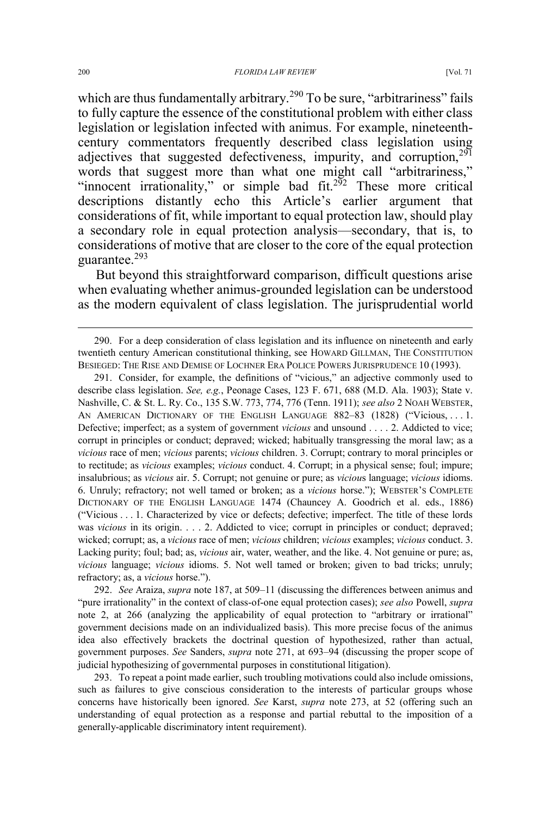which are thus fundamentally arbitrary.<sup>290</sup> To be sure, "arbitrariness" fails to fully capture the essence of the constitutional problem with either class legislation or legislation infected with animus. For example, nineteenthcentury commentators frequently described class legislation using adjectives that suggested defectiveness, impurity, and corruption, $291$ words that suggest more than what one might call "arbitrariness," "innocent irrationality," or simple bad fit.<sup>292</sup> These more critical descriptions distantly echo this Article's earlier argument that considerations of fit, while important to equal protection law, should play a secondary role in equal protection analysis—secondary, that is, to considerations of motive that are closer to the core of the equal protection guarantee.<sup>293</sup>

But beyond this straightforward comparison, difficult questions arise when evaluating whether animus-grounded legislation can be understood as the modern equivalent of class legislation. The jurisprudential world

292. *See* Araiza, *supra* note 187, at 509–11 (discussing the differences between animus and "pure irrationality" in the context of class-of-one equal protection cases); *see also* Powell, *supra* note 2, at 266 (analyzing the applicability of equal protection to "arbitrary or irrational" government decisions made on an individualized basis). This more precise focus of the animus idea also effectively brackets the doctrinal question of hypothesized, rather than actual, government purposes. *See* Sanders, *supra* note 271, at 693–94 (discussing the proper scope of judicial hypothesizing of governmental purposes in constitutional litigation).

293. To repeat a point made earlier, such troubling motivations could also include omissions, such as failures to give conscious consideration to the interests of particular groups whose concerns have historically been ignored. *See* Karst, *supra* note 273, at 52 (offering such an understanding of equal protection as a response and partial rebuttal to the imposition of a generally-applicable discriminatory intent requirement).

 <sup>290.</sup> For a deep consideration of class legislation and its influence on nineteenth and early twentieth century American constitutional thinking, see HOWARD GILLMAN, THE CONSTITUTION BESIEGED: THE RISE AND DEMISE OF LOCHNER ERA POLICE POWERS JURISPRUDENCE 10 (1993).

<sup>291.</sup> Consider, for example, the definitions of "vicious," an adjective commonly used to describe class legislation. *See, e.g.*, Peonage Cases, 123 F. 671, 688 (M.D. Ala. 1903); State v. Nashville, C. & St. L. Ry. Co., 135 S.W. 773, 774, 776 (Tenn. 1911); *see also* 2 NOAH WEBSTER, AN AMERICAN DICTIONARY OF THE ENGLISH LANGUAGE 882-83 (1828) ("Vicious, ... 1. Defective; imperfect; as a system of government *vicious* and unsound . . . . 2. Addicted to vice; corrupt in principles or conduct; depraved; wicked; habitually transgressing the moral law; as a *vicious* race of men; *vicious* parents; *vicious* children. 3. Corrupt; contrary to moral principles or to rectitude; as *vicious* examples; *vicious* conduct. 4. Corrupt; in a physical sense; foul; impure; insalubrious; as *vicious* air. 5. Corrupt; not genuine or pure; as *viciou*s language; *vicious* idioms. 6. Unruly; refractory; not well tamed or broken; as a *vicious* horse."); WEBSTER'S COMPLETE DICTIONARY OF THE ENGLISH LANGUAGE 1474 (Chauncey A. Goodrich et al. eds., 1886) ("Vicious . . . 1. Characterized by vice or defects; defective; imperfect. The title of these lords was *vicious* in its origin. . . . 2. Addicted to vice; corrupt in principles or conduct; depraved; wicked; corrupt; as, a *vicious* race of men; *vicious* children; *vicious* examples; *vicious* conduct. 3. Lacking purity; foul; bad; as, *vicious* air, water, weather, and the like. 4. Not genuine or pure; as, *vicious* language; *vicious* idioms. 5. Not well tamed or broken; given to bad tricks; unruly; refractory; as, a *vicious* horse.").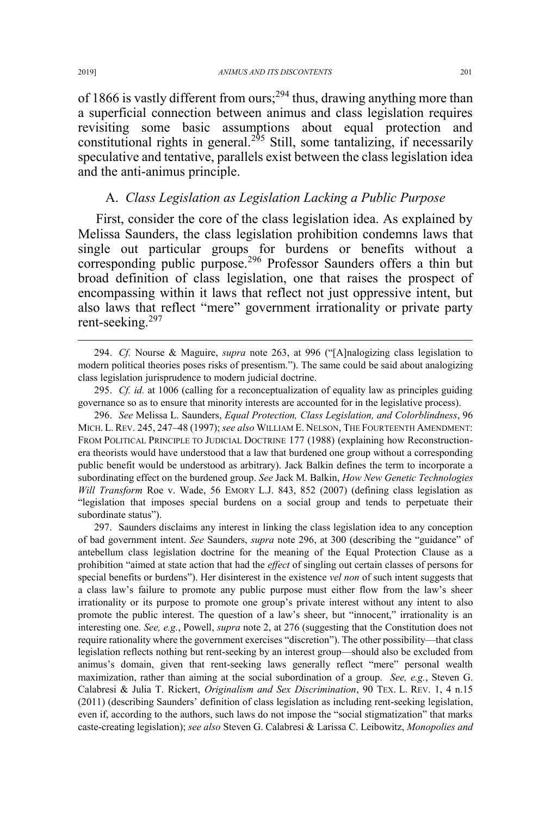of 1866 is vastly different from ours;<sup>294</sup> thus, drawing anything more than a superficial connection between animus and class legislation requires revisiting some basic assumptions about equal protection and constitutional rights in general.<sup>295</sup> Still, some tantalizing, if necessarily speculative and tentative, parallels exist between the class legislation idea and the anti-animus principle.

## A. *Class Legislation as Legislation Lacking a Public Purpose*

First, consider the core of the class legislation idea. As explained by Melissa Saunders, the class legislation prohibition condemns laws that single out particular groups for burdens or benefits without a corresponding public purpose.<sup>296</sup> Professor Saunders offers a thin but broad definition of class legislation, one that raises the prospect of encompassing within it laws that reflect not just oppressive intent, but also laws that reflect "mere" government irrationality or private party rent-seeking.<sup>297</sup>

296. *See* Melissa L. Saunders, *Equal Protection, Class Legislation, and Colorblindness*, 96 MICH. L. REV. 245, 247–48 (1997); *see also* WILLIAM E. NELSON, THE FOURTEENTH AMENDMENT: FROM POLITICAL PRINCIPLE TO JUDICIAL DOCTRINE 177 (1988) (explaining how Reconstructionera theorists would have understood that a law that burdened one group without a corresponding public benefit would be understood as arbitrary). Jack Balkin defines the term to incorporate a subordinating effect on the burdened group. *See* Jack M. Balkin, *How New Genetic Technologies Will Transform* Roe v. Wade, 56 EMORY L.J. 843, 852 (2007) (defining class legislation as "legislation that imposes special burdens on a social group and tends to perpetuate their subordinate status").

297. Saunders disclaims any interest in linking the class legislation idea to any conception of bad government intent. *See* Saunders, *supra* note 296, at 300 (describing the "guidance" of antebellum class legislation doctrine for the meaning of the Equal Protection Clause as a prohibition "aimed at state action that had the *effect* of singling out certain classes of persons for special benefits or burdens"). Her disinterest in the existence *vel non* of such intent suggests that a class law's failure to promote any public purpose must either flow from the law's sheer irrationality or its purpose to promote one group's private interest without any intent to also promote the public interest. The question of a law's sheer, but "innocent," irrationality is an interesting one. *See, e.g.*, Powell, *supra* note 2, at 276 (suggesting that the Constitution does not require rationality where the government exercises "discretion"). The other possibility—that class legislation reflects nothing but rent-seeking by an interest group—should also be excluded from animus's domain, given that rent-seeking laws generally reflect "mere" personal wealth maximization, rather than aiming at the social subordination of a group. *See, e.g.*, Steven G. Calabresi & Julia T. Rickert, *Originalism and Sex Discrimination*, 90 TEX. L. REV. 1, 4 n.15 (2011) (describing Saunders' definition of class legislation as including rent-seeking legislation, even if, according to the authors, such laws do not impose the "social stigmatization" that marks caste-creating legislation); *see also* Steven G. Calabresi & Larissa C. Leibowitz, *Monopolies and* 

 <sup>294.</sup> *Cf.* Nourse & Maguire, *supra* note 263, at 996 ("[A]nalogizing class legislation to modern political theories poses risks of presentism."). The same could be said about analogizing class legislation jurisprudence to modern judicial doctrine.

<sup>295.</sup> *Cf. id.* at 1006 (calling for a reconceptualization of equality law as principles guiding governance so as to ensure that minority interests are accounted for in the legislative process).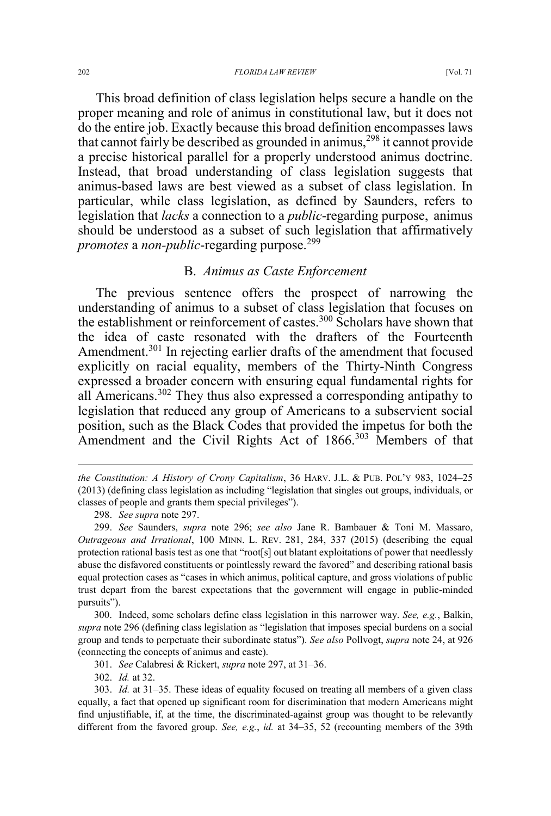This broad definition of class legislation helps secure a handle on the proper meaning and role of animus in constitutional law, but it does not do the entire job. Exactly because this broad definition encompasses laws that cannot fairly be described as grounded in animus,<sup>298</sup> it cannot provide a precise historical parallel for a properly understood animus doctrine. Instead, that broad understanding of class legislation suggests that animus-based laws are best viewed as a subset of class legislation. In particular, while class legislation, as defined by Saunders, refers to legislation that *lacks* a connection to a *public*-regarding purpose, animus should be understood as a subset of such legislation that affirmatively *promotes* a *non-public*-regarding purpose.<sup>299</sup>

## B. *Animus as Caste Enforcement*

The previous sentence offers the prospect of narrowing the understanding of animus to a subset of class legislation that focuses on the establishment or reinforcement of castes.<sup>300</sup> Scholars have shown that the idea of caste resonated with the drafters of the Fourteenth Amendment.<sup>301</sup> In rejecting earlier drafts of the amendment that focused explicitly on racial equality, members of the Thirty-Ninth Congress expressed a broader concern with ensuring equal fundamental rights for all Americans.<sup>302</sup> They thus also expressed a corresponding antipathy to legislation that reduced any group of Americans to a subservient social position, such as the Black Codes that provided the impetus for both the Amendment and the Civil Rights Act of 1866.<sup>303</sup> Members of that

 $\overline{a}$ 

302. *Id.* at 32.

*the Constitution: A History of Crony Capitalism*, 36 HARV. J.L. & PUB. POL'Y 983, 1024–25 (2013) (defining class legislation as including "legislation that singles out groups, individuals, or classes of people and grants them special privileges").

<sup>298.</sup> *See supra* note 297.

<sup>299.</sup> *See* Saunders, *supra* note 296; *see also* Jane R. Bambauer & Toni M. Massaro, *Outrageous and Irrational*, 100 MINN. L. REV. 281, 284, 337 (2015) (describing the equal protection rational basis test as one that "root[s] out blatant exploitations of power that needlessly abuse the disfavored constituents or pointlessly reward the favored" and describing rational basis equal protection cases as "cases in which animus, political capture, and gross violations of public trust depart from the barest expectations that the government will engage in public-minded pursuits").

<sup>300.</sup> Indeed, some scholars define class legislation in this narrower way. *See, e.g.*, Balkin, *supra* note 296 (defining class legislation as "legislation that imposes special burdens on a social group and tends to perpetuate their subordinate status"). *See also* Pollvogt, *supra* note 24, at 926 (connecting the concepts of animus and caste).

<sup>301.</sup> *See* Calabresi & Rickert, *supra* note 297, at 31–36.

<sup>303.</sup> *Id.* at 31–35. These ideas of equality focused on treating all members of a given class equally, a fact that opened up significant room for discrimination that modern Americans might find unjustifiable, if, at the time, the discriminated-against group was thought to be relevantly different from the favored group. *See, e.g.*, *id.* at 34–35, 52 (recounting members of the 39th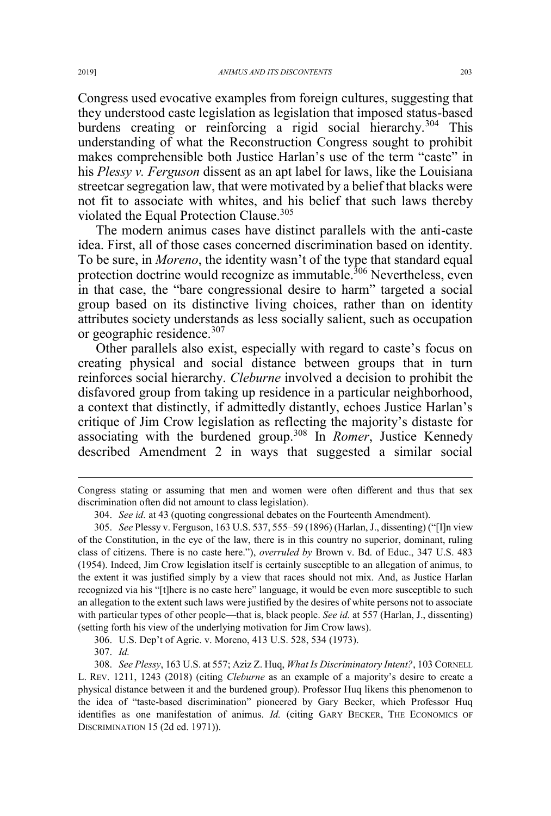Congress used evocative examples from foreign cultures, suggesting that they understood caste legislation as legislation that imposed status-based burdens creating or reinforcing a rigid social hierarchy.<sup>304</sup> This understanding of what the Reconstruction Congress sought to prohibit makes comprehensible both Justice Harlan's use of the term "caste" in his *Plessy v. Ferguson* dissent as an apt label for laws, like the Louisiana streetcar segregation law, that were motivated by a belief that blacks were not fit to associate with whites, and his belief that such laws thereby violated the Equal Protection Clause.<sup>305</sup>

The modern animus cases have distinct parallels with the anti-caste idea. First, all of those cases concerned discrimination based on identity. To be sure, in *Moreno*, the identity wasn't of the type that standard equal protection doctrine would recognize as immutable.<sup>306</sup> Nevertheless, even in that case, the "bare congressional desire to harm" targeted a social group based on its distinctive living choices, rather than on identity attributes society understands as less socially salient, such as occupation or geographic residence.<sup>307</sup>

Other parallels also exist, especially with regard to caste's focus on creating physical and social distance between groups that in turn reinforces social hierarchy. *Cleburne* involved a decision to prohibit the disfavored group from taking up residence in a particular neighborhood, a context that distinctly, if admittedly distantly, echoes Justice Harlan's critique of Jim Crow legislation as reflecting the majority's distaste for associating with the burdened group.<sup>308</sup> In *Romer*, Justice Kennedy described Amendment 2 in ways that suggested a similar social

306. U.S. Dep't of Agric. v. Moreno, 413 U.S. 528, 534 (1973).

307. *Id.*

 $\overline{a}$ 

Congress stating or assuming that men and women were often different and thus that sex discrimination often did not amount to class legislation).

<sup>304.</sup> *See id.* at 43 (quoting congressional debates on the Fourteenth Amendment).

<sup>305.</sup> *See* Plessy v. Ferguson, 163 U.S. 537, 555–59 (1896) (Harlan, J., dissenting) ("[I]n view of the Constitution, in the eye of the law, there is in this country no superior, dominant, ruling class of citizens. There is no caste here."), *overruled by* Brown v. Bd. of Educ., 347 U.S. 483 (1954). Indeed, Jim Crow legislation itself is certainly susceptible to an allegation of animus, to the extent it was justified simply by a view that races should not mix. And, as Justice Harlan recognized via his "[t]here is no caste here" language, it would be even more susceptible to such an allegation to the extent such laws were justified by the desires of white persons not to associate with particular types of other people—that is, black people. *See id.* at 557 (Harlan, J., dissenting) (setting forth his view of the underlying motivation for Jim Crow laws).

<sup>308.</sup> *See Plessy*, 163 U.S. at 557; Aziz Z. Huq, *What Is Discriminatory Intent?*, 103 CORNELL L. REV. 1211, 1243 (2018) (citing *Cleburne* as an example of a majority's desire to create a physical distance between it and the burdened group). Professor Huq likens this phenomenon to the idea of "taste-based discrimination" pioneered by Gary Becker, which Professor Huq identifies as one manifestation of animus. *Id.* (citing GARY BECKER, THE ECONOMICS OF DISCRIMINATION 15 (2d ed. 1971)).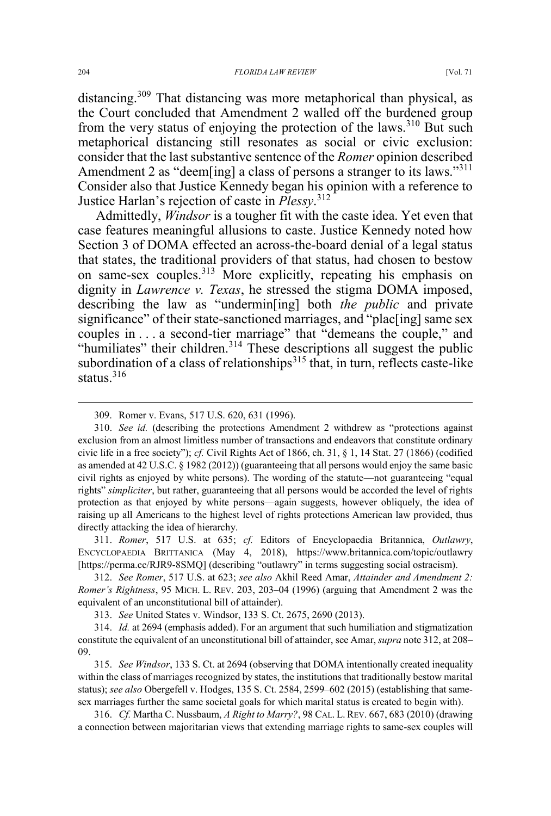distancing.<sup>309</sup> That distancing was more metaphorical than physical, as the Court concluded that Amendment 2 walled off the burdened group from the very status of enjoying the protection of the laws.<sup>310</sup> But such metaphorical distancing still resonates as social or civic exclusion: consider that the last substantive sentence of the *Romer* opinion described Amendment 2 as "deem[ing] a class of persons a stranger to its laws."<sup>311</sup> Consider also that Justice Kennedy began his opinion with a reference to Justice Harlan's rejection of caste in *Plessy*. 312

Admittedly, *Windsor* is a tougher fit with the caste idea. Yet even that case features meaningful allusions to caste. Justice Kennedy noted how Section 3 of DOMA effected an across-the-board denial of a legal status that states, the traditional providers of that status, had chosen to bestow on same-sex couples.<sup>313</sup> More explicitly, repeating his emphasis on dignity in *Lawrence v. Texas*, he stressed the stigma DOMA imposed, describing the law as "undermin[ing] both *the public* and private significance" of their state-sanctioned marriages, and "plac<sup>[ing]</sup> same sex couples in . . . a second-tier marriage" that "demeans the couple," and "humiliates" their children.<sup>314</sup> These descriptions all suggest the public subordination of a class of relationships<sup>315</sup> that, in turn, reflects caste-like status.<sup>316</sup>

311. *Romer*, 517 U.S. at 635; *cf.* Editors of Encyclopaedia Britannica, *Outlawry*, ENCYCLOPAEDIA BRITTANICA (May 4, 2018), https://www.britannica.com/topic/outlawry [https://perma.cc/RJR9-8SMQ] (describing "outlawry" in terms suggesting social ostracism).

312. *See Romer*, 517 U.S. at 623; *see also* Akhil Reed Amar, *Attainder and Amendment 2: Romer's Rightness*, 95 MICH. L. REV. 203, 203–04 (1996) (arguing that Amendment 2 was the equivalent of an unconstitutional bill of attainder).

313. *See* United States v. Windsor, 133 S. Ct. 2675, 2690 (2013).

314. *Id.* at 2694 (emphasis added). For an argument that such humiliation and stigmatization constitute the equivalent of an unconstitutional bill of attainder, see Amar, *supra* note 312, at 208– 09.

315. *See Windsor*, 133 S. Ct. at 2694 (observing that DOMA intentionally created inequality within the class of marriages recognized by states, the institutions that traditionally bestow marital status); *see also* Obergefell v. Hodges, 135 S. Ct. 2584, 2599–602 (2015) (establishing that samesex marriages further the same societal goals for which marital status is created to begin with).

316. *Cf.* Martha C. Nussbaum, *A Right to Marry?*, 98 CAL. L. REV. 667, 683 (2010) (drawing a connection between majoritarian views that extending marriage rights to same-sex couples will

 <sup>309.</sup> Romer v. Evans, 517 U.S. 620, 631 (1996).

<sup>310.</sup> *See id.* (describing the protections Amendment 2 withdrew as "protections against exclusion from an almost limitless number of transactions and endeavors that constitute ordinary civic life in a free society"); *cf.* Civil Rights Act of 1866, ch. 31, § 1, 14 Stat. 27 (1866) (codified as amended at 42 U.S.C. § 1982 (2012)) (guaranteeing that all persons would enjoy the same basic civil rights as enjoyed by white persons). The wording of the statute—not guaranteeing "equal rights" *simpliciter*, but rather, guaranteeing that all persons would be accorded the level of rights protection as that enjoyed by white persons—again suggests, however obliquely, the idea of raising up all Americans to the highest level of rights protections American law provided, thus directly attacking the idea of hierarchy.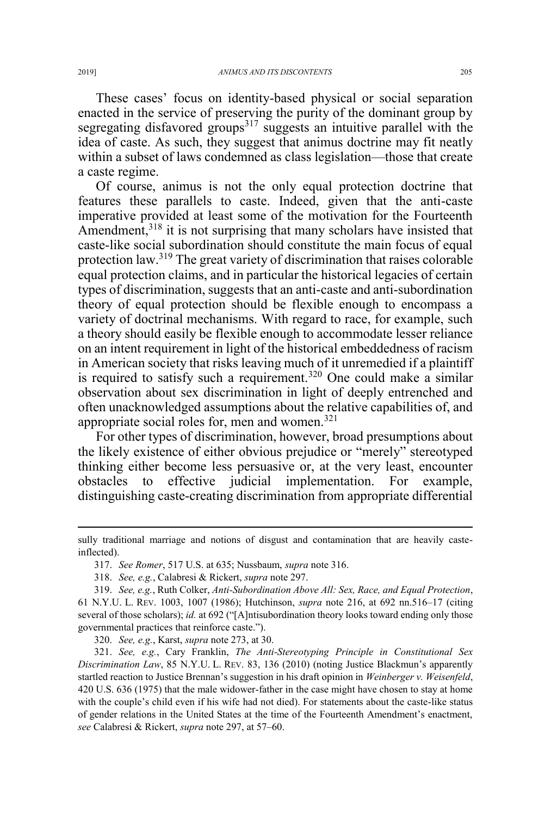These cases' focus on identity-based physical or social separation enacted in the service of preserving the purity of the dominant group by segregating disfavored groups $317$  suggests an intuitive parallel with the idea of caste. As such, they suggest that animus doctrine may fit neatly within a subset of laws condemned as class legislation—those that create a caste regime.

Of course, animus is not the only equal protection doctrine that features these parallels to caste. Indeed, given that the anti-caste imperative provided at least some of the motivation for the Fourteenth Amendment,<sup>318</sup> it is not surprising that many scholars have insisted that caste-like social subordination should constitute the main focus of equal protection law.<sup>319</sup> The great variety of discrimination that raises colorable equal protection claims, and in particular the historical legacies of certain types of discrimination, suggests that an anti-caste and anti-subordination theory of equal protection should be flexible enough to encompass a variety of doctrinal mechanisms. With regard to race, for example, such a theory should easily be flexible enough to accommodate lesser reliance on an intent requirement in light of the historical embeddedness of racism in American society that risks leaving much of it unremedied if a plaintiff is required to satisfy such a requirement.<sup>320</sup> One could make a similar observation about sex discrimination in light of deeply entrenched and often unacknowledged assumptions about the relative capabilities of, and appropriate social roles for, men and women. $321$ 

For other types of discrimination, however, broad presumptions about the likely existence of either obvious prejudice or "merely" stereotyped thinking either become less persuasive or, at the very least, encounter obstacles to effective judicial implementation. For example, distinguishing caste-creating discrimination from appropriate differential

320. *See, e.g.*, Karst, *supra* note 273, at 30.

321. *See, e.g.*, Cary Franklin, *The Anti-Stereotyping Principle in Constitutional Sex Discrimination Law*, 85 N.Y.U. L. REV. 83, 136 (2010) (noting Justice Blackmun's apparently startled reaction to Justice Brennan's suggestion in his draft opinion in *Weinberger v. Weisenfeld*, 420 U.S. 636 (1975) that the male widower-father in the case might have chosen to stay at home with the couple's child even if his wife had not died). For statements about the caste-like status of gender relations in the United States at the time of the Fourteenth Amendment's enactment, *see* Calabresi & Rickert, *supra* note 297, at 57–60.

 $\overline{a}$ 

sully traditional marriage and notions of disgust and contamination that are heavily casteinflected).

<sup>317.</sup> *See Romer*, 517 U.S. at 635; Nussbaum, *supra* note 316.

<sup>318.</sup> *See, e.g.*, Calabresi & Rickert, *supra* note 297.

<sup>319.</sup> *See, e.g.*, Ruth Colker, *Anti-Subordination Above All: Sex, Race, and Equal Protection*, 61 N.Y.U. L. REV. 1003, 1007 (1986); Hutchinson, *supra* note 216, at 692 nn.516–17 (citing several of those scholars); *id.* at 692 ("[A]ntisubordination theory looks toward ending only those governmental practices that reinforce caste.").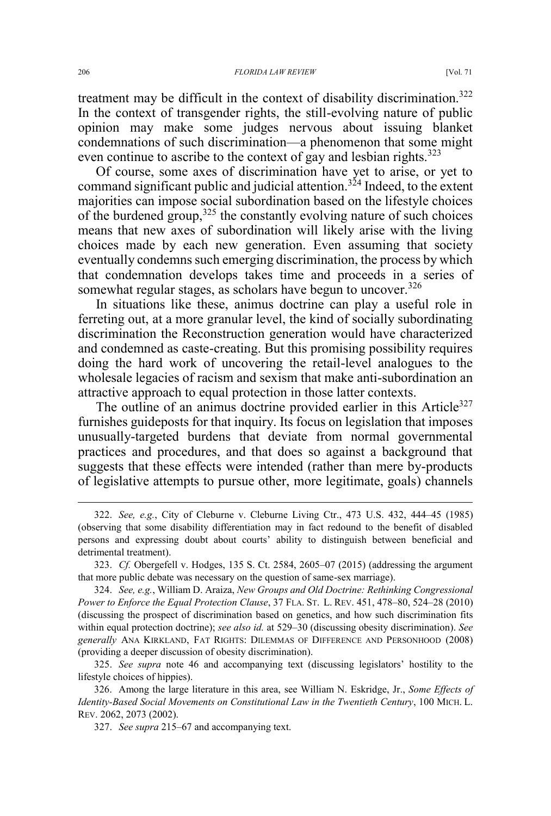treatment may be difficult in the context of disability discrimination.<sup>322</sup> In the context of transgender rights, the still-evolving nature of public opinion may make some judges nervous about issuing blanket condemnations of such discrimination—a phenomenon that some might even continue to ascribe to the context of gay and lesbian rights.<sup>323</sup>

Of course, some axes of discrimination have yet to arise, or yet to command significant public and judicial attention.<sup>324</sup> Indeed, to the extent majorities can impose social subordination based on the lifestyle choices of the burdened group,  $325$  the constantly evolving nature of such choices means that new axes of subordination will likely arise with the living choices made by each new generation. Even assuming that society eventually condemns such emerging discrimination, the process by which that condemnation develops takes time and proceeds in a series of somewhat regular stages, as scholars have begun to uncover.<sup>326</sup>

In situations like these, animus doctrine can play a useful role in ferreting out, at a more granular level, the kind of socially subordinating discrimination the Reconstruction generation would have characterized and condemned as caste-creating. But this promising possibility requires doing the hard work of uncovering the retail-level analogues to the wholesale legacies of racism and sexism that make anti-subordination an attractive approach to equal protection in those latter contexts.

The outline of an animus doctrine provided earlier in this Article<sup>327</sup> furnishes guideposts for that inquiry. Its focus on legislation that imposes unusually-targeted burdens that deviate from normal governmental practices and procedures, and that does so against a background that suggests that these effects were intended (rather than mere by-products of legislative attempts to pursue other, more legitimate, goals) channels

323. *Cf.* Obergefell v. Hodges, 135 S. Ct. 2584, 2605–07 (2015) (addressing the argument that more public debate was necessary on the question of same-sex marriage).

324. *See, e.g.*, William D. Araiza, *New Groups and Old Doctrine: Rethinking Congressional Power to Enforce the Equal Protection Clause*, 37 FLA. ST. L. REV. 451, 478–80, 524–28 (2010) (discussing the prospect of discrimination based on genetics, and how such discrimination fits within equal protection doctrine); *see also id.* at 529–30 (discussing obesity discrimination). *See generally* ANA KIRKLAND, FAT RIGHTS: DILEMMAS OF DIFFERENCE AND PERSONHOOD (2008) (providing a deeper discussion of obesity discrimination).

325. *See supra* note 46 and accompanying text (discussing legislators' hostility to the lifestyle choices of hippies).

326. Among the large literature in this area, see William N. Eskridge, Jr., *Some Effects of Identity-Based Social Movements on Constitutional Law in the Twentieth Century*, 100 MICH. L. REV. 2062, 2073 (2002).

327. *See supra* 215–67 and accompanying text.

 <sup>322.</sup> *See, e.g.*, City of Cleburne v. Cleburne Living Ctr., 473 U.S. 432, 444–45 (1985) (observing that some disability differentiation may in fact redound to the benefit of disabled persons and expressing doubt about courts' ability to distinguish between beneficial and detrimental treatment).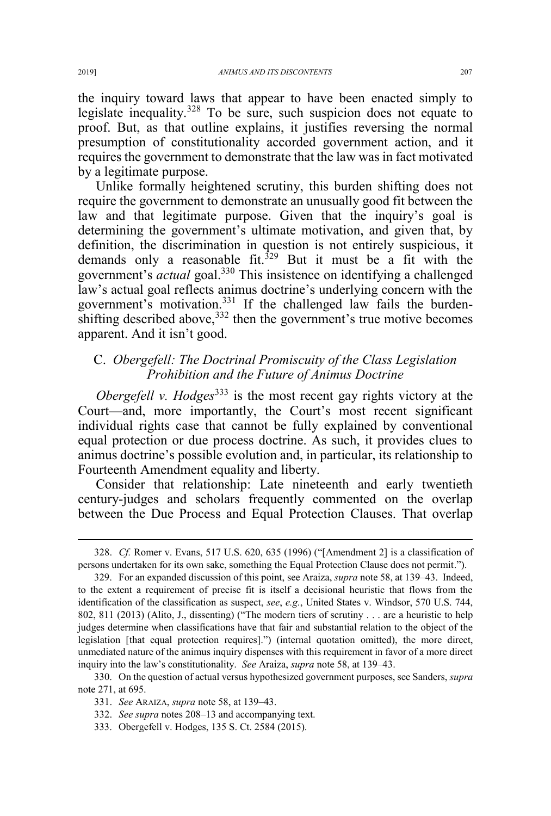the inquiry toward laws that appear to have been enacted simply to legislate inequality.<sup>328</sup> To be sure, such suspicion does not equate to proof. But, as that outline explains, it justifies reversing the normal presumption of constitutionality accorded government action, and it requires the government to demonstrate that the law was in fact motivated by a legitimate purpose.

Unlike formally heightened scrutiny, this burden shifting does not require the government to demonstrate an unusually good fit between the law and that legitimate purpose. Given that the inquiry's goal is determining the government's ultimate motivation, and given that, by definition, the discrimination in question is not entirely suspicious, it demands only a reasonable fit. $329$  But it must be a fit with the government's *actual* goal.<sup>330</sup> This insistence on identifying a challenged law's actual goal reflects animus doctrine's underlying concern with the government's motivation.<sup>331</sup> If the challenged law fails the burdenshifting described above,  $332$  then the government's true motive becomes apparent. And it isn't good.

## C. *Obergefell: The Doctrinal Promiscuity of the Class Legislation Prohibition and the Future of Animus Doctrine*

*Obergefell v. Hodges*<sup>333</sup> is the most recent gay rights victory at the Court—and, more importantly, the Court's most recent significant individual rights case that cannot be fully explained by conventional equal protection or due process doctrine. As such, it provides clues to animus doctrine's possible evolution and, in particular, its relationship to Fourteenth Amendment equality and liberty.

Consider that relationship: Late nineteenth and early twentieth century-judges and scholars frequently commented on the overlap between the Due Process and Equal Protection Clauses. That overlap

333. Obergefell v. Hodges, 135 S. Ct. 2584 (2015).

 <sup>328.</sup> *Cf.* Romer v. Evans, 517 U.S. 620, 635 (1996) ("[Amendment 2] is a classification of persons undertaken for its own sake, something the Equal Protection Clause does not permit.").

<sup>329.</sup> For an expanded discussion of this point, see Araiza, *supra* note 58, at 139–43. Indeed, to the extent a requirement of precise fit is itself a decisional heuristic that flows from the identification of the classification as suspect, *see*, *e.g.*, United States v. Windsor, 570 U.S. 744, 802, 811 (2013) (Alito, J., dissenting) ("The modern tiers of scrutiny . . . are a heuristic to help judges determine when classifications have that fair and substantial relation to the object of the legislation [that equal protection requires].") (internal quotation omitted), the more direct, unmediated nature of the animus inquiry dispenses with this requirement in favor of a more direct inquiry into the law's constitutionality. *See* Araiza, *supra* note 58, at 139–43.

<sup>330.</sup> On the question of actual versus hypothesized government purposes, see Sanders, *supra*  note 271, at 695.

<sup>331.</sup> *See* ARAIZA, *supra* note 58, at 139–43.

<sup>332.</sup> *See supra* notes 208–13 and accompanying text.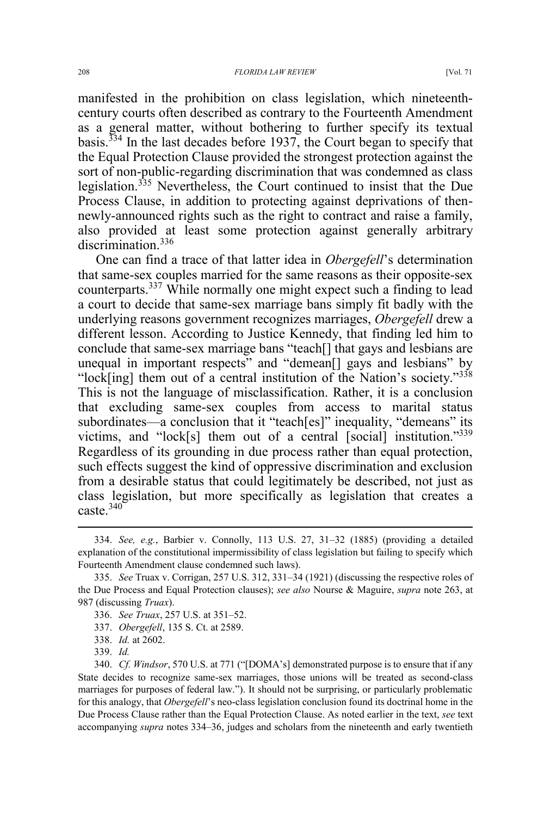manifested in the prohibition on class legislation, which nineteenthcentury courts often described as contrary to the Fourteenth Amendment as a general matter, without bothering to further specify its textual basis.<sup> $334$ </sup> In the last decades before 1937, the Court began to specify that the Equal Protection Clause provided the strongest protection against the sort of non-public-regarding discrimination that was condemned as class legislation.<sup>335</sup> Nevertheless, the Court continued to insist that the Due Process Clause, in addition to protecting against deprivations of thennewly-announced rights such as the right to contract and raise a family, also provided at least some protection against generally arbitrary discrimination.<sup>336</sup>

One can find a trace of that latter idea in *Obergefell*'s determination that same-sex couples married for the same reasons as their opposite-sex counterparts.<sup>337</sup> While normally one might expect such a finding to lead a court to decide that same-sex marriage bans simply fit badly with the underlying reasons government recognizes marriages, *Obergefell* drew a different lesson. According to Justice Kennedy, that finding led him to conclude that same-sex marriage bans "teach[] that gays and lesbians are unequal in important respects" and "demean[] gays and lesbians" by "lock[ing] them out of a central institution of the Nation's society."<sup>338</sup> This is not the language of misclassification. Rather, it is a conclusion that excluding same-sex couples from access to marital status subordinates—a conclusion that it "teach[es]" inequality, "demeans" its victims, and "lock[s] them out of a central [social] institution."<sup>339</sup> Regardless of its grounding in due process rather than equal protection, such effects suggest the kind of oppressive discrimination and exclusion from a desirable status that could legitimately be described, not just as class legislation, but more specifically as legislation that creates a caste. $340$ 

337. *Obergefell*, 135 S. Ct. at 2589.

 <sup>334.</sup> *See, e.g.*, Barbier v. Connolly, 113 U.S. 27, 31–32 (1885) (providing a detailed explanation of the constitutional impermissibility of class legislation but failing to specify which Fourteenth Amendment clause condemned such laws).

<sup>335.</sup> *See* Truax v. Corrigan, 257 U.S. 312, 331–34 (1921) (discussing the respective roles of the Due Process and Equal Protection clauses); *see also* Nourse & Maguire, *supra* note 263, at 987 (discussing *Truax*).

<sup>336.</sup> *See Truax*, 257 U.S. at 351–52.

<sup>338.</sup> *Id.* at 2602.

<sup>339.</sup> *Id.*

<sup>340.</sup> *Cf. Windsor*, 570 U.S. at 771 ("[DOMA's] demonstrated purpose is to ensure that if any State decides to recognize same-sex marriages, those unions will be treated as second-class marriages for purposes of federal law."). It should not be surprising, or particularly problematic for this analogy, that *Obergefell*'s neo-class legislation conclusion found its doctrinal home in the Due Process Clause rather than the Equal Protection Clause. As noted earlier in the text, *see* text accompanying *supra* notes 334–36, judges and scholars from the nineteenth and early twentieth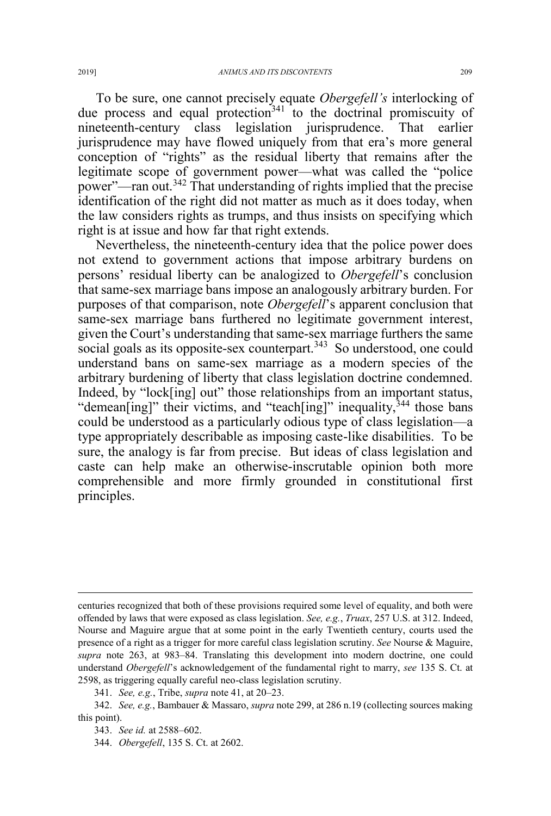To be sure, one cannot precisely equate *Obergefell's* interlocking of due process and equal protection<sup>341</sup> to the doctrinal promiscuity of nineteenth-century class legislation jurisprudence. That earlier jurisprudence may have flowed uniquely from that era's more general conception of "rights" as the residual liberty that remains after the legitimate scope of government power—what was called the "police power"—ran out.<sup>342</sup> That understanding of rights implied that the precise identification of the right did not matter as much as it does today, when the law considers rights as trumps, and thus insists on specifying which right is at issue and how far that right extends.

Nevertheless, the nineteenth-century idea that the police power does not extend to government actions that impose arbitrary burdens on persons' residual liberty can be analogized to *Obergefell*'s conclusion that same-sex marriage bans impose an analogously arbitrary burden. For purposes of that comparison, note *Obergefell*'s apparent conclusion that same-sex marriage bans furthered no legitimate government interest, given the Court's understanding that same-sex marriage furthers the same social goals as its opposite-sex counterpart.<sup>343</sup> So understood, one could understand bans on same-sex marriage as a modern species of the arbitrary burdening of liberty that class legislation doctrine condemned. Indeed, by "lock[ing] out" those relationships from an important status, "demean[ing]" their victims, and "teach[ing]" inequality,<sup>344</sup> those bans could be understood as a particularly odious type of class legislation—a type appropriately describable as imposing caste-like disabilities. To be sure, the analogy is far from precise. But ideas of class legislation and caste can help make an otherwise-inscrutable opinion both more comprehensible and more firmly grounded in constitutional first principles.

 $\overline{a}$ 

centuries recognized that both of these provisions required some level of equality, and both were offended by laws that were exposed as class legislation. *See, e.g.*, *Truax*, 257 U.S. at 312. Indeed, Nourse and Maguire argue that at some point in the early Twentieth century, courts used the presence of a right as a trigger for more careful class legislation scrutiny. *See* Nourse & Maguire, *supra* note 263, at 983–84. Translating this development into modern doctrine, one could understand *Obergefell*'s acknowledgement of the fundamental right to marry, *see* 135 S. Ct. at 2598, as triggering equally careful neo-class legislation scrutiny.

<sup>341.</sup> *See, e.g.*, Tribe, *supra* note 41, at 20–23.

<sup>342.</sup> *See, e.g.*, Bambauer & Massaro, *supra* note 299, at 286 n.19 (collecting sources making this point).

<sup>343.</sup> *See id.* at 2588–602.

<sup>344.</sup> *Obergefell*, 135 S. Ct. at 2602.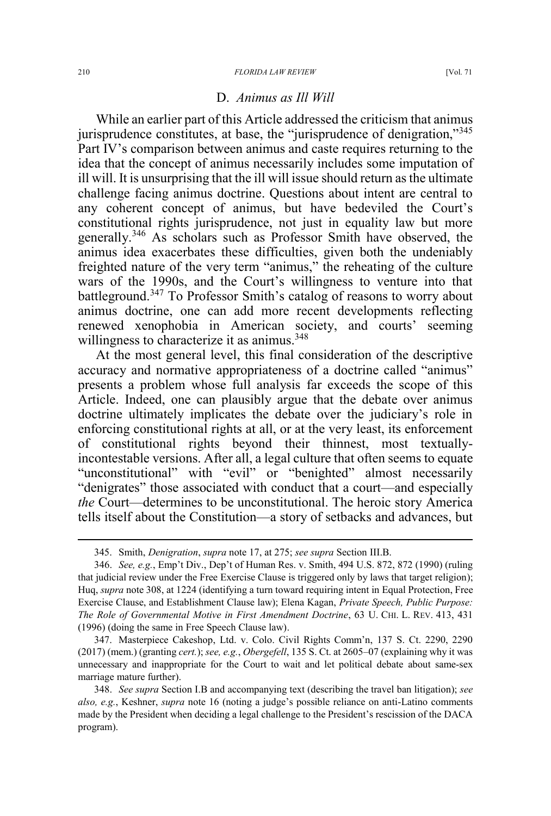## D. *Animus as Ill Will*

While an earlier part of this Article addressed the criticism that animus jurisprudence constitutes, at base, the "jurisprudence of denigration,"<sup>345</sup> Part IV's comparison between animus and caste requires returning to the idea that the concept of animus necessarily includes some imputation of ill will. It is unsurprising that the ill will issue should return as the ultimate challenge facing animus doctrine. Questions about intent are central to any coherent concept of animus, but have bedeviled the Court's constitutional rights jurisprudence, not just in equality law but more generally.<sup>346</sup> As scholars such as Professor Smith have observed, the animus idea exacerbates these difficulties, given both the undeniably freighted nature of the very term "animus," the reheating of the culture wars of the 1990s, and the Court's willingness to venture into that battleground.<sup>347</sup> To Professor Smith's catalog of reasons to worry about animus doctrine, one can add more recent developments reflecting renewed xenophobia in American society, and courts' seeming willingness to characterize it as animus.<sup>348</sup>

At the most general level, this final consideration of the descriptive accuracy and normative appropriateness of a doctrine called "animus" presents a problem whose full analysis far exceeds the scope of this Article. Indeed, one can plausibly argue that the debate over animus doctrine ultimately implicates the debate over the judiciary's role in enforcing constitutional rights at all, or at the very least, its enforcement of constitutional rights beyond their thinnest, most textuallyincontestable versions. After all, a legal culture that often seems to equate "unconstitutional" with "evil" or "benighted" almost necessarily "denigrates" those associated with conduct that a court—and especially *the* Court—determines to be unconstitutional. The heroic story America tells itself about the Constitution—a story of setbacks and advances, but

347. Masterpiece Cakeshop, Ltd. v. Colo. Civil Rights Comm'n, 137 S. Ct. 2290, 2290 (2017) (mem.) (granting *cert.*); *see, e.g.*, *Obergefell*, 135 S. Ct. at 2605–07 (explaining why it was unnecessary and inappropriate for the Court to wait and let political debate about same-sex marriage mature further).

 <sup>345.</sup> Smith, *Denigration*, *supra* note 17, at 275; *see supra* Section III.B.

<sup>346.</sup> *See, e.g.*, Emp't Div., Dep't of Human Res. v. Smith, 494 U.S. 872, 872 (1990) (ruling that judicial review under the Free Exercise Clause is triggered only by laws that target religion); Huq, *supra* note 308, at 1224 (identifying a turn toward requiring intent in Equal Protection, Free Exercise Clause, and Establishment Clause law); Elena Kagan, *Private Speech, Public Purpose: The Role of Governmental Motive in First Amendment Doctrine*, 63 U. CHI. L. REV. 413, 431 (1996) (doing the same in Free Speech Clause law).

<sup>348.</sup> *See supra* Section I.B and accompanying text (describing the travel ban litigation); *see also, e.g.*, Keshner, *supra* note 16 (noting a judge's possible reliance on anti-Latino comments made by the President when deciding a legal challenge to the President's rescission of the DACA program).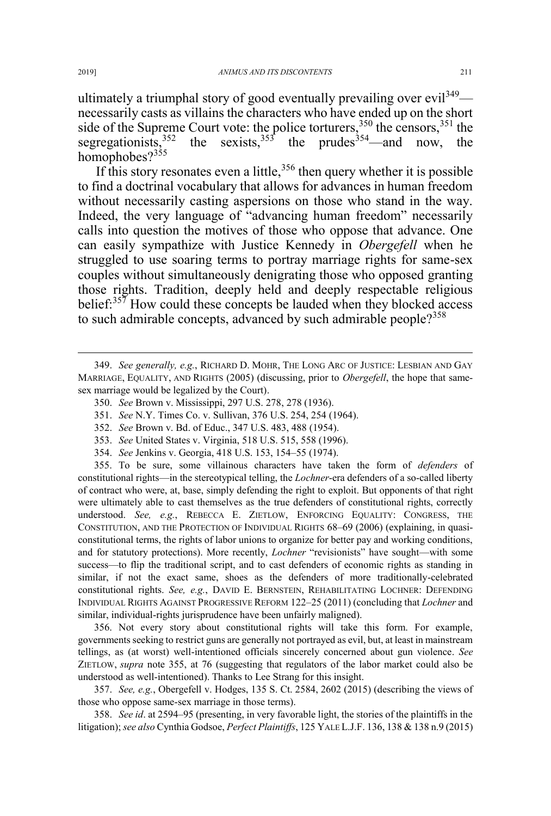ultimately a triumphal story of good eventually prevailing over evil<sup>349</sup> necessarily casts as villains the characters who have ended up on the short side of the Supreme Court vote: the police torturers,<sup>350</sup> the censors,<sup>351</sup> the segregationists,<sup>352</sup> the sexists,<sup>353</sup> the prudes<sup>354</sup>—and now, the the sexists,  $353$  the prudes  $354$  and now, the homophobes?<sup>355</sup>

If this story resonates even a little,  $356$  then query whether it is possible to find a doctrinal vocabulary that allows for advances in human freedom without necessarily casting aspersions on those who stand in the way. Indeed, the very language of "advancing human freedom" necessarily calls into question the motives of those who oppose that advance. One can easily sympathize with Justice Kennedy in *Obergefell* when he struggled to use soaring terms to portray marriage rights for same-sex couples without simultaneously denigrating those who opposed granting those rights. Tradition, deeply held and deeply respectable religious belief:<sup>357</sup> How could these concepts be lauded when they blocked access to such admirable concepts, advanced by such admirable people?<sup>358</sup>

- 350. *See* Brown v. Mississippi, 297 U.S. 278, 278 (1936).
- 351. *See* N.Y. Times Co. v. Sullivan, 376 U.S. 254, 254 (1964).
- 352. *See* Brown v. Bd. of Educ., 347 U.S. 483, 488 (1954).
- 353. *See* United States v. Virginia, 518 U.S. 515, 558 (1996).
- 354. *See* Jenkins v. Georgia, 418 U.S. 153, 154–55 (1974).

355. To be sure, some villainous characters have taken the form of *defenders* of constitutional rights—in the stereotypical telling, the *Lochner*-era defenders of a so-called liberty of contract who were, at, base, simply defending the right to exploit. But opponents of that right were ultimately able to cast themselves as the true defenders of constitutional rights, correctly understood. *See, e.g.*, REBECCA E. ZIETLOW, ENFORCING EQUALITY: CONGRESS, THE CONSTITUTION, AND THE PROTECTION OF INDIVIDUAL RIGHTS 68–69 (2006) (explaining, in quasiconstitutional terms, the rights of labor unions to organize for better pay and working conditions, and for statutory protections). More recently, *Lochner* "revisionists" have sought—with some success—to flip the traditional script, and to cast defenders of economic rights as standing in similar, if not the exact same, shoes as the defenders of more traditionally-celebrated constitutional rights. *See, e.g.*, DAVID E. BERNSTEIN, REHABILITATING LOCHNER: DEFENDING INDIVIDUAL RIGHTS AGAINST PROGRESSIVE REFORM 122–25 (2011) (concluding that *Lochner* and similar, individual-rights jurisprudence have been unfairly maligned).

356. Not every story about constitutional rights will take this form. For example, governments seeking to restrict guns are generally not portrayed as evil, but, at least in mainstream tellings, as (at worst) well-intentioned officials sincerely concerned about gun violence. *See* ZIETLOW, *supra* note 355, at 76 (suggesting that regulators of the labor market could also be understood as well-intentioned). Thanks to Lee Strang for this insight.

357. *See, e.g.*, Obergefell v. Hodges, 135 S. Ct. 2584, 2602 (2015) (describing the views of those who oppose same-sex marriage in those terms).

358. *See id*. at 2594–95 (presenting, in very favorable light, the stories of the plaintiffs in the litigation); *see also* Cynthia Godsoe, *Perfect Plaintiffs*, 125 YALE L.J.F. 136, 138 & 138 n.9 (2015)

 <sup>349.</sup> *See generally, e.g.*, RICHARD D. MOHR, THE LONG ARC OF JUSTICE: LESBIAN AND GAY MARRIAGE, EQUALITY, AND RIGHTS (2005) (discussing, prior to *Obergefell*, the hope that samesex marriage would be legalized by the Court).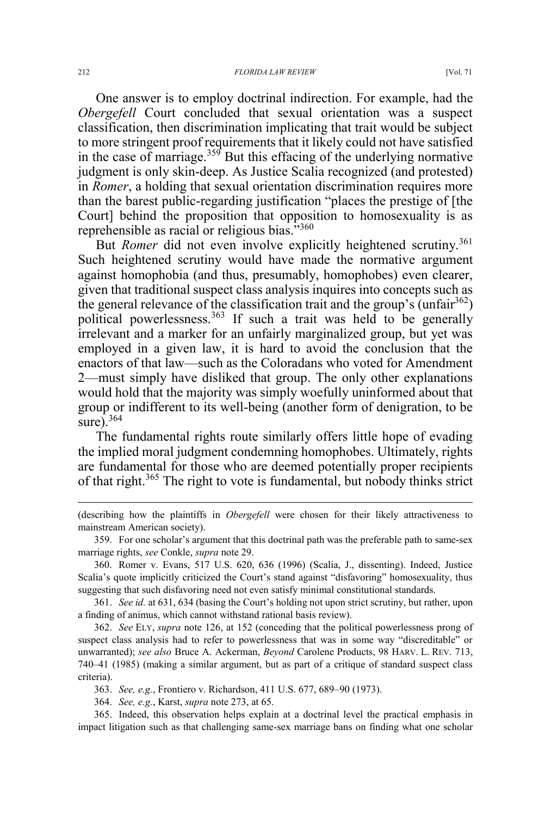One answer is to employ doctrinal indirection. For example, had the *Obergefell* Court concluded that sexual orientation was a suspect classification, then discrimination implicating that trait would be subject to more stringent proof requirements that it likely could not have satisfied in the case of marriage. $359$  But this effacing of the underlying normative judgment is only skin-deep. As Justice Scalia recognized (and protested) in *Romer*, a holding that sexual orientation discrimination requires more than the barest public-regarding justification "places the prestige of [the Court] behind the proposition that opposition to homosexuality is as reprehensible as racial or religious bias."<sup>360</sup>

But *Romer* did not even involve explicitly heightened scrutiny.<sup>361</sup> Such heightened scrutiny would have made the normative argument against homophobia (and thus, presumably, homophobes) even clearer, given that traditional suspect class analysis inquires into concepts such as the general relevance of the classification trait and the group's (unfair  $362$ ) political powerlessness.<sup>363</sup> If such a trait was held to be generally irrelevant and a marker for an unfairly marginalized group, but yet was employed in a given law, it is hard to avoid the conclusion that the enactors of that law—such as the Coloradans who voted for Amendment 2—must simply have disliked that group. The only other explanations would hold that the majority was simply woefully uninformed about that group or indifferent to its well-being (another form of denigration, to be sure).  $364$ 

The fundamental rights route similarly offers little hope of evading the implied moral judgment condemning homophobes. Ultimately, rights are fundamental for those who are deemed potentially proper recipients of that right.<sup>365</sup> The right to vote is fundamental, but nobody thinks strict

365. Indeed, this observation helps explain at a doctrinal level the practical emphasis in impact litigation such as that challenging same-sex marriage bans on finding what one scholar

 $\overline{a}$ 

<sup>(</sup>describing how the plaintiffs in *Obergefell* were chosen for their likely attractiveness to mainstream American society).

<sup>359.</sup> For one scholar's argument that this doctrinal path was the preferable path to same-sex marriage rights, *see* Conkle, *supra* note 29.

<sup>360.</sup> Romer v. Evans, 517 U.S. 620, 636 (1996) (Scalia, J., dissenting). Indeed, Justice Scalia's quote implicitly criticized the Court's stand against "disfavoring" homosexuality, thus suggesting that such disfavoring need not even satisfy minimal constitutional standards.

<sup>361.</sup> *See id.* at 631, 634 (basing the Court's holding not upon strict scrutiny, but rather, upon a finding of animus, which cannot withstand rational basis review).

<sup>362.</sup> *See* ELY, *supra* note 126, at 152 (conceding that the political powerlessness prong of suspect class analysis had to refer to powerlessness that was in some way "discreditable" or unwarranted); *see also* Bruce A. Ackerman, *Beyond* Carolene Products, 98 HARV. L. REV. 713, 740–41 (1985) (making a similar argument, but as part of a critique of standard suspect class criteria).

<sup>363.</sup> *See, e.g.*, Frontiero v. Richardson, 411 U.S. 677, 689–90 (1973).

<sup>364.</sup> *See, e.g.*, Karst, *supra* note 273, at 65.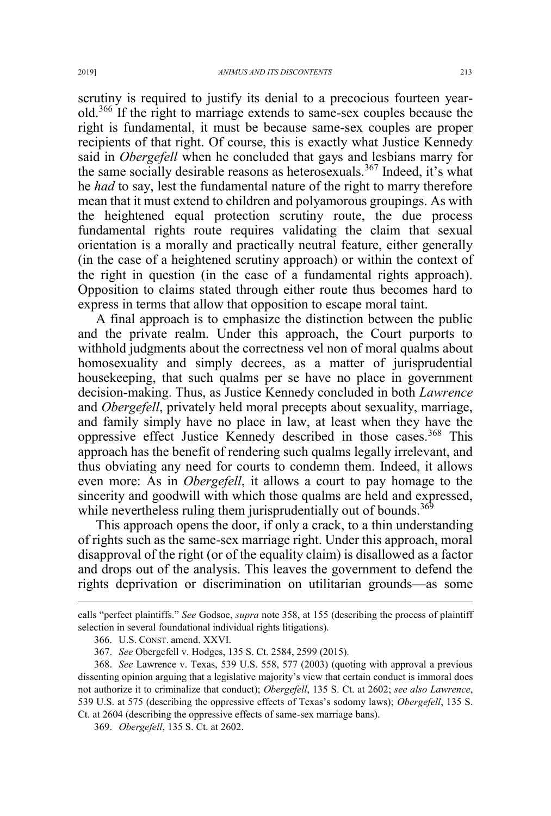scrutiny is required to justify its denial to a precocious fourteen yearold.<sup>366</sup> If the right to marriage extends to same-sex couples because the right is fundamental, it must be because same-sex couples are proper recipients of that right. Of course, this is exactly what Justice Kennedy said in *Obergefell* when he concluded that gays and lesbians marry for the same socially desirable reasons as heterosexuals.<sup>367</sup> Indeed, it's what he *had* to say, lest the fundamental nature of the right to marry therefore mean that it must extend to children and polyamorous groupings. As with the heightened equal protection scrutiny route, the due process fundamental rights route requires validating the claim that sexual orientation is a morally and practically neutral feature, either generally (in the case of a heightened scrutiny approach) or within the context of the right in question (in the case of a fundamental rights approach). Opposition to claims stated through either route thus becomes hard to express in terms that allow that opposition to escape moral taint.

A final approach is to emphasize the distinction between the public and the private realm. Under this approach, the Court purports to withhold judgments about the correctness vel non of moral qualms about homosexuality and simply decrees, as a matter of jurisprudential housekeeping, that such qualms per se have no place in government decision-making. Thus, as Justice Kennedy concluded in both *Lawrence* and *Obergefell*, privately held moral precepts about sexuality, marriage, and family simply have no place in law, at least when they have the oppressive effect Justice Kennedy described in those cases.<sup>368</sup> This approach has the benefit of rendering such qualms legally irrelevant, and thus obviating any need for courts to condemn them. Indeed, it allows even more: As in *Obergefell*, it allows a court to pay homage to the sincerity and goodwill with which those qualms are held and expressed, while nevertheless ruling them jurisprudentially out of bounds.<sup>369</sup>

This approach opens the door, if only a crack, to a thin understanding of rights such as the same-sex marriage right. Under this approach, moral disapproval of the right (or of the equality claim) is disallowed as a factor and drops out of the analysis. This leaves the government to defend the rights deprivation or discrimination on utilitarian grounds—as some

 $\overline{a}$ 

calls "perfect plaintiffs." *See* Godsoe, *supra* note 358, at 155 (describing the process of plaintiff selection in several foundational individual rights litigations).

<sup>366.</sup> U.S. CONST. amend. XXVI.

<sup>367.</sup> *See* Obergefell v. Hodges, 135 S. Ct. 2584, 2599 (2015).

<sup>368.</sup> *See* Lawrence v. Texas, 539 U.S. 558, 577 (2003) (quoting with approval a previous dissenting opinion arguing that a legislative majority's view that certain conduct is immoral does not authorize it to criminalize that conduct); *Obergefell*, 135 S. Ct. at 2602; *see also Lawrence*, 539 U.S. at 575 (describing the oppressive effects of Texas's sodomy laws); *Obergefell*, 135 S. Ct. at 2604 (describing the oppressive effects of same-sex marriage bans).

<sup>369.</sup> *Obergefell*, 135 S. Ct. at 2602.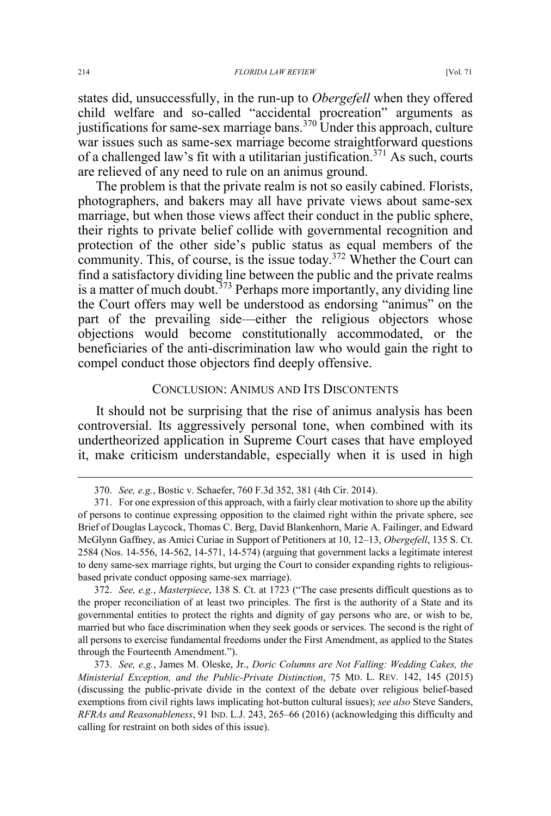states did, unsuccessfully, in the run-up to *Obergefell* when they offered child welfare and so-called "accidental procreation" arguments as justifications for same-sex marriage bans.<sup>370</sup> Under this approach, culture war issues such as same-sex marriage become straightforward questions of a challenged law's fit with a utilitarian justification.<sup>371</sup> As such, courts are relieved of any need to rule on an animus ground.

The problem is that the private realm is not so easily cabined. Florists, photographers, and bakers may all have private views about same-sex marriage, but when those views affect their conduct in the public sphere, their rights to private belief collide with governmental recognition and protection of the other side's public status as equal members of the community. This, of course, is the issue today.<sup>372</sup> Whether the Court can find a satisfactory dividing line between the public and the private realms is a matter of much doubt.<sup>373</sup> Perhaps more importantly, any dividing line the Court offers may well be understood as endorsing "animus" on the part of the prevailing side—either the religious objectors whose objections would become constitutionally accommodated, or the beneficiaries of the anti-discrimination law who would gain the right to compel conduct those objectors find deeply offensive.

#### CONCLUSION: ANIMUS AND ITS DISCONTENTS

It should not be surprising that the rise of animus analysis has been controversial. Its aggressively personal tone, when combined with its undertheorized application in Supreme Court cases that have employed it, make criticism understandable, especially when it is used in high

 <sup>370.</sup> *See, e.g.*, Bostic v. Schaefer, 760 F.3d 352, 381 (4th Cir. 2014).

<sup>371.</sup> For one expression of this approach, with a fairly clear motivation to shore up the ability of persons to continue expressing opposition to the claimed right within the private sphere, see Brief of Douglas Laycock, Thomas C. Berg, David Blankenhorn, Marie A. Failinger, and Edward McGlynn Gaffney, as Amici Curiae in Support of Petitioners at 10, 12–13, *Obergefell*, 135 S. Ct. 2584 (Nos. 14-556, 14-562, 14-571, 14-574) (arguing that government lacks a legitimate interest to deny same-sex marriage rights, but urging the Court to consider expanding rights to religiousbased private conduct opposing same-sex marriage).

<sup>372.</sup> *See, e.g.*, *Masterpiece*, 138 S. Ct. at 1723 ("The case presents difficult questions as to the proper reconciliation of at least two principles. The first is the authority of a State and its governmental entities to protect the rights and dignity of gay persons who are, or wish to be, married but who face discrimination when they seek goods or services. The second is the right of all persons to exercise fundamental freedoms under the First Amendment, as applied to the States through the Fourteenth Amendment.").

<sup>373.</sup> *See, e.g.*, James M. Oleske, Jr., *Doric Columns are Not Falling: Wedding Cakes, the Ministerial Exception, and the Public-Private Distinction*, 75 MD. L. REV. 142, 145 (2015) (discussing the public-private divide in the context of the debate over religious belief-based exemptions from civil rights laws implicating hot-button cultural issues); *see also* Steve Sanders, *RFRAs and Reasonableness*, 91 IND. L.J. 243, 265–66 (2016) (acknowledging this difficulty and calling for restraint on both sides of this issue).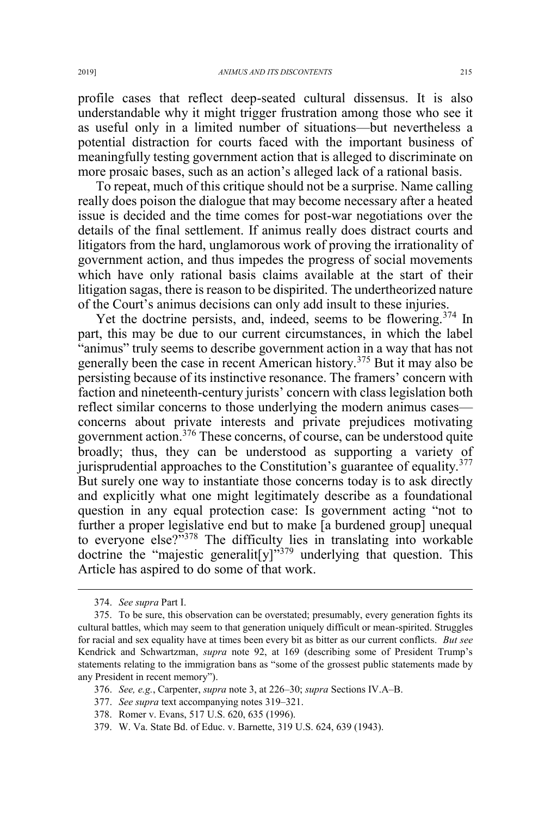profile cases that reflect deep-seated cultural dissensus. It is also understandable why it might trigger frustration among those who see it as useful only in a limited number of situations—but nevertheless a potential distraction for courts faced with the important business of meaningfully testing government action that is alleged to discriminate on more prosaic bases, such as an action's alleged lack of a rational basis.

To repeat, much of this critique should not be a surprise. Name calling really does poison the dialogue that may become necessary after a heated issue is decided and the time comes for post-war negotiations over the details of the final settlement. If animus really does distract courts and litigators from the hard, unglamorous work of proving the irrationality of government action, and thus impedes the progress of social movements which have only rational basis claims available at the start of their litigation sagas, there is reason to be dispirited. The undertheorized nature of the Court's animus decisions can only add insult to these injuries.

Yet the doctrine persists, and, indeed, seems to be flowering.<sup>374</sup> In part, this may be due to our current circumstances, in which the label "animus" truly seems to describe government action in a way that has not generally been the case in recent American history.<sup>375</sup> But it may also be persisting because of its instinctive resonance. The framers' concern with faction and nineteenth-century jurists' concern with class legislation both reflect similar concerns to those underlying the modern animus cases concerns about private interests and private prejudices motivating government action.<sup>376</sup> These concerns, of course, can be understood quite broadly; thus, they can be understood as supporting a variety of jurisprudential approaches to the Constitution's guarantee of equality.<sup>377</sup> But surely one way to instantiate those concerns today is to ask directly and explicitly what one might legitimately describe as a foundational question in any equal protection case: Is government acting "not to further a proper legislative end but to make [a burdened group] unequal to everyone else?"<sup>378</sup> The difficulty lies in translating into workable doctrine the "majestic generalit [y]<sup> $\frac{379}{27}$ </sup> underlying that question. This Article has aspired to do some of that work.

 <sup>374.</sup> *See supra* Part I.

<sup>375.</sup> To be sure, this observation can be overstated; presumably, every generation fights its cultural battles, which may seem to that generation uniquely difficult or mean-spirited. Struggles for racial and sex equality have at times been every bit as bitter as our current conflicts. *But see* Kendrick and Schwartzman, *supra* note 92, at 169 (describing some of President Trump's statements relating to the immigration bans as "some of the grossest public statements made by any President in recent memory").

<sup>376.</sup> *See, e.g.*, Carpenter, *supra* note 3, at 226–30; *supra* Sections IV.A–B.

<sup>377.</sup> *See supra* text accompanying notes 319–321.

<sup>378.</sup> Romer v. Evans, 517 U.S. 620, 635 (1996).

<sup>379.</sup> W. Va. State Bd. of Educ. v. Barnette, 319 U.S. 624, 639 (1943).